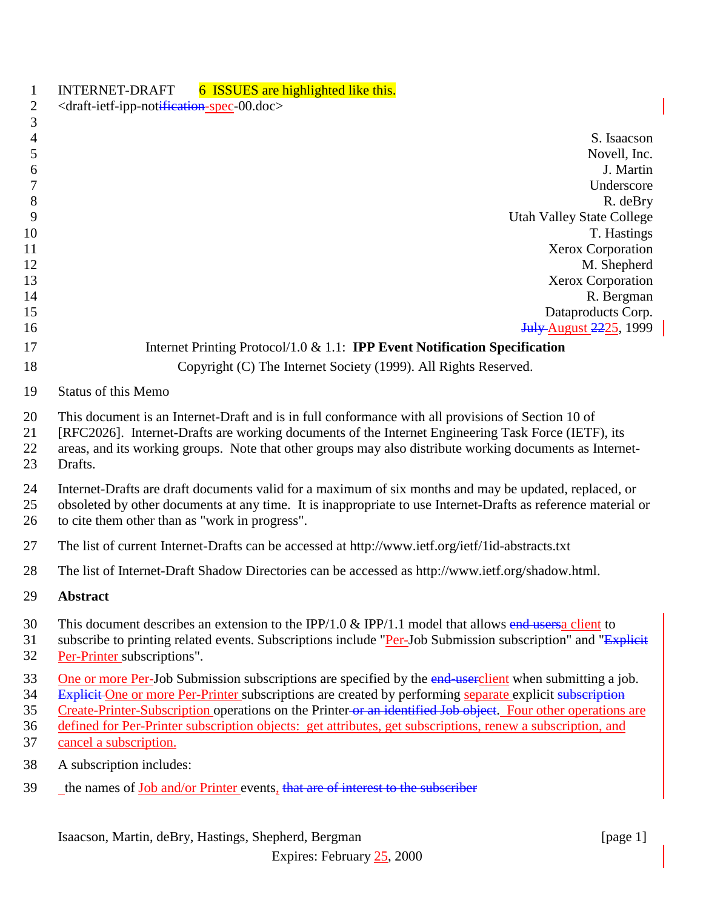| $\mathbf{1}$   | 6 ISSUES are highlighted like this.<br><b>INTERNET-DRAFT</b>                                                                                                                                                       |
|----------------|--------------------------------------------------------------------------------------------------------------------------------------------------------------------------------------------------------------------|
| $\overline{2}$ | <draft-ietf-ipp-notification-spec-00.doc></draft-ietf-ipp-notification-spec-00.doc>                                                                                                                                |
| 3              |                                                                                                                                                                                                                    |
| $\overline{4}$ | S. Isaacson                                                                                                                                                                                                        |
| 5              | Novell, Inc.                                                                                                                                                                                                       |
| 6              | J. Martin                                                                                                                                                                                                          |
| 7              | Underscore                                                                                                                                                                                                         |
| 8              | R. deBry                                                                                                                                                                                                           |
| 9              | <b>Utah Valley State College</b>                                                                                                                                                                                   |
| 10             | T. Hastings                                                                                                                                                                                                        |
| 11             | Xerox Corporation                                                                                                                                                                                                  |
| 12             | M. Shepherd                                                                                                                                                                                                        |
| 13             | Xerox Corporation                                                                                                                                                                                                  |
| 14             | R. Bergman                                                                                                                                                                                                         |
| 15             | Dataproducts Corp.                                                                                                                                                                                                 |
| 16             | <b>July-August 2225</b> , 1999                                                                                                                                                                                     |
| 17             | Internet Printing Protocol/1.0 $& 1.1$ : <b>IPP Event Notification Specification</b>                                                                                                                               |
| 18             | Copyright (C) The Internet Society (1999). All Rights Reserved.                                                                                                                                                    |
|                |                                                                                                                                                                                                                    |
| 19             | <b>Status of this Memo</b>                                                                                                                                                                                         |
| 20             | This document is an Internet-Draft and is in full conformance with all provisions of Section 10 of                                                                                                                 |
| 21             | [RFC2026]. Internet-Drafts are working documents of the Internet Engineering Task Force (IETF), its                                                                                                                |
| 22             | areas, and its working groups. Note that other groups may also distribute working documents as Internet-                                                                                                           |
| 23             | Drafts.                                                                                                                                                                                                            |
| 24             | Internet-Drafts are draft documents valid for a maximum of six months and may be updated, replaced, or                                                                                                             |
| 25             | obsoleted by other documents at any time. It is inappropriate to use Internet-Drafts as reference material or                                                                                                      |
| 26             | to cite them other than as "work in progress".                                                                                                                                                                     |
|                |                                                                                                                                                                                                                    |
| 27             | The list of current Internet-Drafts can be accessed at http://www.ietf.org/ietf/1id-abstracts.txt                                                                                                                  |
| 28             | The list of Internet-Draft Shadow Directories can be accessed as http://www.ietf.org/shadow.html.                                                                                                                  |
| 29             | Abstract                                                                                                                                                                                                           |
| 30             | This document describes an extension to the IPP/1.0 & IPP/1.1 model that allows end users a client to                                                                                                              |
| 31             | subscribe to printing related events. Subscriptions include "Per-Job Submission subscription" and "Explicit                                                                                                        |
| 32             | Per-Printer subscriptions".                                                                                                                                                                                        |
| 33             |                                                                                                                                                                                                                    |
| 34             | One or more Per-Job Submission subscriptions are specified by the end-userclient when submitting a job.<br>Explicit One or more Per-Printer subscriptions are created by performing separate explicit subscription |
| 35             | Create-Printer-Subscription operations on the Printer-or an identified Job object. Four other operations are                                                                                                       |
| 36             | defined for Per-Printer subscription objects: get attributes, get subscriptions, renew a subscription, and                                                                                                         |
| 37             | cancel a subscription.                                                                                                                                                                                             |
| 38             | A subscription includes:                                                                                                                                                                                           |
|                |                                                                                                                                                                                                                    |
| 39             | the names of Job and/or Printer events, that are of interest to the subscriber                                                                                                                                     |
|                |                                                                                                                                                                                                                    |
|                |                                                                                                                                                                                                                    |

Isaacson, Martin, deBry, Hastings, Shepherd, Bergman [page 1]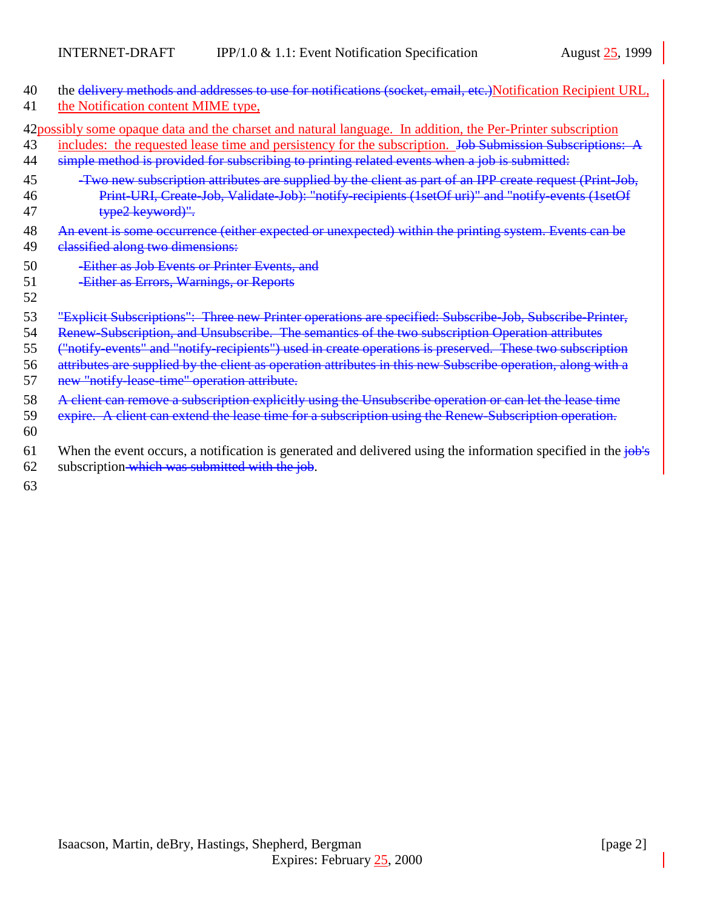| 40             | the delivery methods and addresses to use for notifications (socket, email, etc.) Notification Recipient URL,                                                                                                                                                                                                             |
|----------------|---------------------------------------------------------------------------------------------------------------------------------------------------------------------------------------------------------------------------------------------------------------------------------------------------------------------------|
| 41             | the Notification content MIME type,                                                                                                                                                                                                                                                                                       |
| 43<br>44       | 42 possibly some opaque data and the charset and natural language. In addition, the Per-Printer subscription<br>includes: the requested lease time and persistency for the subscription. Job Submission Subscriptions: A<br>simple method is provided for subscribing to printing related events when a job is submitted: |
| 45             | -Two new subscription attributes are supplied by the client as part of an IPP create request (Print-Job,                                                                                                                                                                                                                  |
| 46             | Print-URI, Create-Job, Validate-Job): "notify-recipients (1setOf uri)" and "notify-events (1setOf                                                                                                                                                                                                                         |
| 47             | type2 keyword)".                                                                                                                                                                                                                                                                                                          |
| 48             | An event is some occurrence (either expected or unexpected) within the printing system. Events can be                                                                                                                                                                                                                     |
| 49             | classified along two dimensions:                                                                                                                                                                                                                                                                                          |
| 50<br>51<br>52 | -Either as Job Events or Printer Events, and<br>-Either as Errors, Warnings, or Reports                                                                                                                                                                                                                                   |
| 53             | "Explicit Subscriptions": Three new Printer operations are specified: Subscribe Job, Subscribe Printer,                                                                                                                                                                                                                   |
| 54             | Renew-Subscription, and Unsubscribe. The semantics of the two subscription Operation attributes                                                                                                                                                                                                                           |
| 55             | ("notify-events" and "notify-recipients") used in create operations is preserved. These two subscription                                                                                                                                                                                                                  |
| 56             | attributes are supplied by the client as operation attributes in this new Subscribe operation, along with a                                                                                                                                                                                                               |
| 57             | new "notify lease time" operation attribute.                                                                                                                                                                                                                                                                              |
| 58             | A client can remove a subscription explicitly using the Unsubscribe operation or can let the lease time                                                                                                                                                                                                                   |

- 59 expire. A client can extend the lease time for a subscription using the Renew-Subscription operation.
- 60
- 61 When the event occurs, a notification is generated and delivered using the information specified in the  $j\theta b's$
- 62 subscription which was submitted with the job.

63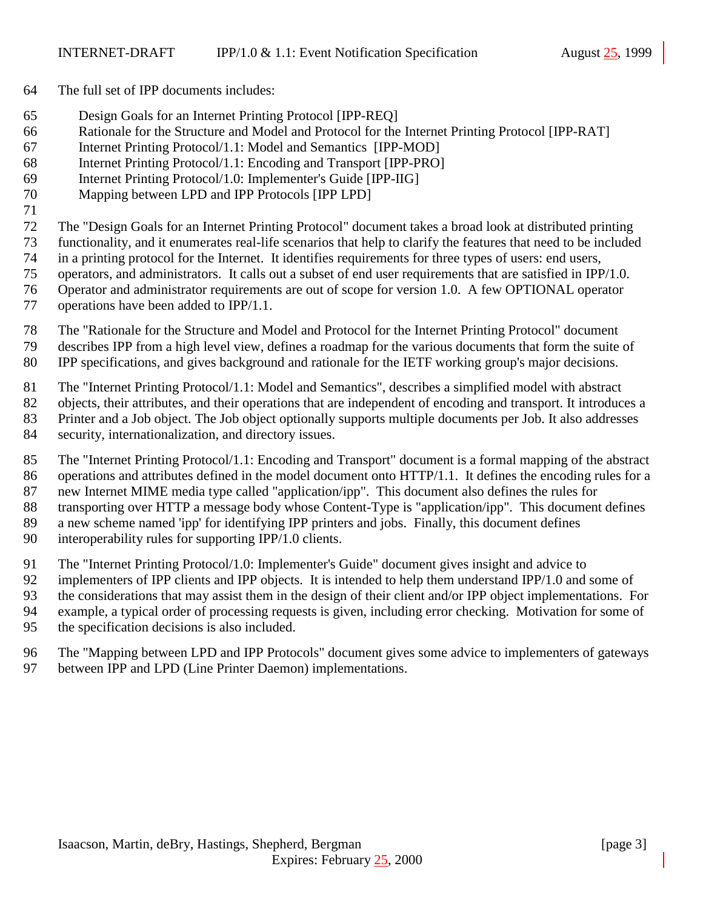- The full set of IPP documents includes:
- Design Goals for an Internet Printing Protocol [IPP-REQ]
- Rationale for the Structure and Model and Protocol for the Internet Printing Protocol [IPP-RAT]
- Internet Printing Protocol/1.1: Model and Semantics [IPP-MOD]
- Internet Printing Protocol/1.1: Encoding and Transport [IPP-PRO]
- Internet Printing Protocol/1.0: Implementer's Guide [IPP-IIG]
- Mapping between LPD and IPP Protocols [IPP LPD]
- The "Design Goals for an Internet Printing Protocol" document takes a broad look at distributed printing
- functionality, and it enumerates real-life scenarios that help to clarify the features that need to be included
- in a printing protocol for the Internet. It identifies requirements for three types of users: end users,
- operators, and administrators. It calls out a subset of end user requirements that are satisfied in IPP/1.0.
- Operator and administrator requirements are out of scope for version 1.0. A few OPTIONAL operator
- operations have been added to IPP/1.1.
- The "Rationale for the Structure and Model and Protocol for the Internet Printing Protocol" document describes IPP from a high level view, defines a roadmap for the various documents that form the suite of
- IPP specifications, and gives background and rationale for the IETF working group's major decisions.
- The "Internet Printing Protocol/1.1: Model and Semantics", describes a simplified model with abstract
- objects, their attributes, and their operations that are independent of encoding and transport. It introduces a Printer and a Job object. The Job object optionally supports multiple documents per Job. It also addresses
- security, internationalization, and directory issues.
- The "Internet Printing Protocol/1.1: Encoding and Transport" document is a formal mapping of the abstract operations and attributes defined in the model document onto HTTP/1.1. It defines the encoding rules for a new Internet MIME media type called "application/ipp". This document also defines the rules for transporting over HTTP a message body whose Content-Type is "application/ipp". This document defines a new scheme named 'ipp' for identifying IPP printers and jobs. Finally, this document defines
- interoperability rules for supporting IPP/1.0 clients.
- The "Internet Printing Protocol/1.0: Implementer's Guide" document gives insight and advice to
- implementers of IPP clients and IPP objects. It is intended to help them understand IPP/1.0 and some of
- the considerations that may assist them in the design of their client and/or IPP object implementations. For example, a typical order of processing requests is given, including error checking. Motivation for some of the specification decisions is also included.
- The "Mapping between LPD and IPP Protocols" document gives some advice to implementers of gateways between IPP and LPD (Line Printer Daemon) implementations.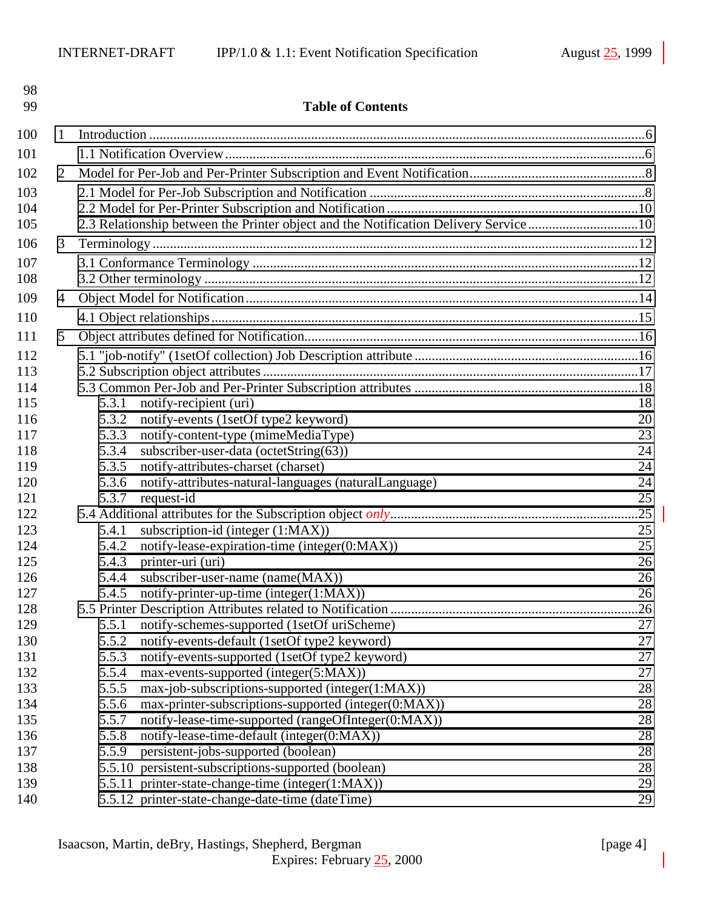| 98<br>99   |                | <b>Table of Contents</b>                                                             |           |  |  |  |
|------------|----------------|--------------------------------------------------------------------------------------|-----------|--|--|--|
| 100        | 1              |                                                                                      |           |  |  |  |
| 101        |                |                                                                                      |           |  |  |  |
| 102        | 2              |                                                                                      |           |  |  |  |
| 103        |                |                                                                                      |           |  |  |  |
| 104        |                |                                                                                      |           |  |  |  |
| 105        |                | 2.3 Relationship between the Printer object and the Notification Delivery Service 10 |           |  |  |  |
| 106        | 3              |                                                                                      |           |  |  |  |
| 107        |                |                                                                                      |           |  |  |  |
| 108        |                |                                                                                      |           |  |  |  |
| 109        |                |                                                                                      |           |  |  |  |
|            | $\overline{4}$ |                                                                                      |           |  |  |  |
| 110        |                |                                                                                      |           |  |  |  |
| 111        | 5              |                                                                                      |           |  |  |  |
| 112        |                |                                                                                      |           |  |  |  |
| 113        |                |                                                                                      |           |  |  |  |
| 114        |                |                                                                                      |           |  |  |  |
| 115        |                | notify-recipient (uri)<br>5.3.1                                                      | 18        |  |  |  |
| 116        |                | notify-events (1setOf type2 keyword)<br>5.3.2                                        | 20        |  |  |  |
| 117        |                | 5.3.3<br>notify-content-type (mimeMediaType)                                         | 23        |  |  |  |
| 118        |                | subscriber-user-data (octetString(63))<br>5.3.4                                      | 24        |  |  |  |
| 119        |                | notify-attributes-charset (charset)<br>5.3.5                                         | 24        |  |  |  |
| 120        |                | notify-attributes-natural-languages (naturalLanguage)<br>5.3.6                       | 24        |  |  |  |
| 121<br>122 |                | 5.3.7<br>request-id                                                                  | 25<br>.25 |  |  |  |
| 123        |                | subscription-id (integer (1:MAX))<br>5.4.1                                           | 25        |  |  |  |
| 124        |                | notify-lease-expiration-time (integer(0:MAX))<br>5.4.2                               | 25        |  |  |  |
| 125        |                | printer-uri (uri)<br>5.4.3                                                           | 26        |  |  |  |
| 126        |                | subscriber-user-name (name(MAX))<br>5.4.4                                            | 26        |  |  |  |
| 127        |                | 5.4.5<br>notify-printer-up-time (integer(1:MAX))                                     | 26        |  |  |  |
| 128        |                |                                                                                      | .26       |  |  |  |
| 129        |                | notify-schemes-supported (1setOf uriScheme)<br>5.5.1                                 | 27        |  |  |  |
| 130        |                | notify-events-default (1setOf type2 keyword)<br>5.5.2                                | 27        |  |  |  |
| 131        |                | notify-events-supported (1setOf type2 keyword)<br>5.5.3                              | 27        |  |  |  |
| 132        |                | max-events-supported (integer(5:MAX))<br>5.5.4                                       | 27        |  |  |  |
| 133        |                | 5.5.5<br>max-job-subscriptions-supported (integer(1:MAX))                            | 28        |  |  |  |
| 134        |                | 5.5.6<br>max-printer-subscriptions-supported (integer(0:MAX))                        | 28        |  |  |  |
| 135        |                | notify-lease-time-supported (rangeOfInteger(0:MAX))<br>5.5.7                         | 28        |  |  |  |
| 136        |                | notify-lease-time-default (integer(0:MAX))<br>5.5.8                                  | 28        |  |  |  |
| 137        |                | persistent-jobs-supported (boolean)<br>5.5.9                                         | 28        |  |  |  |
| 138        |                | 5.5.10 persistent-subscriptions-supported (boolean)                                  | 28        |  |  |  |
| 139        |                | 5.5.11 printer-state-change-time (integer(1:MAX))                                    | 29        |  |  |  |
| 140        |                | 5.5.12 printer-state-change-date-time (dateTime)                                     | 29        |  |  |  |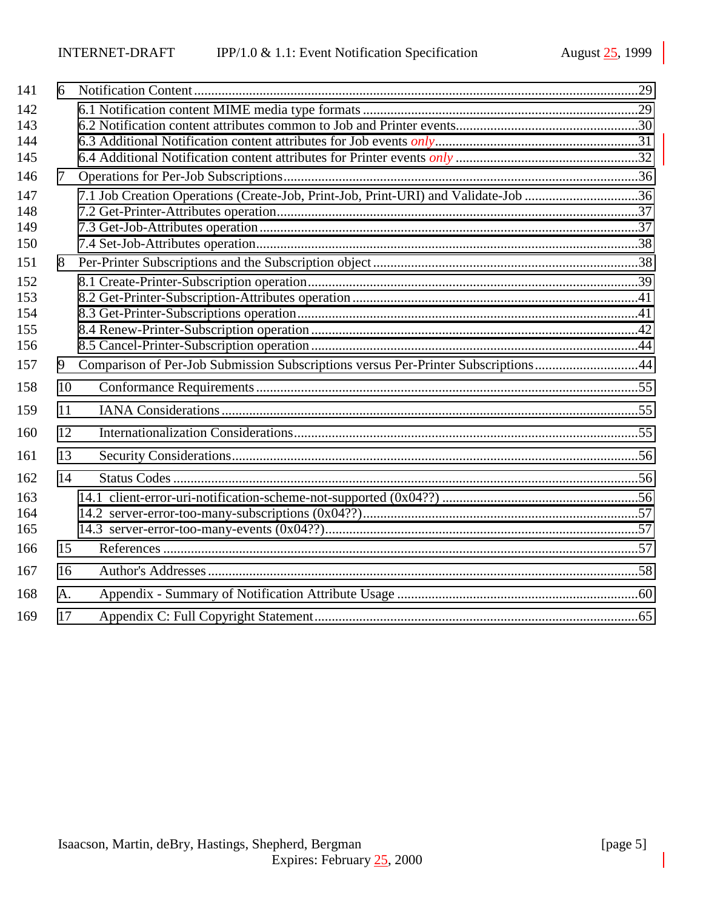| 141        | 6  |                                                                                    |  |
|------------|----|------------------------------------------------------------------------------------|--|
| 142        |    |                                                                                    |  |
| 143        |    |                                                                                    |  |
| 144        |    |                                                                                    |  |
| 145        |    |                                                                                    |  |
| 146        | 7  |                                                                                    |  |
| 147        |    | 7.1 Job Creation Operations (Create-Job, Print-Job, Print-URI) and Validate-Job 36 |  |
| 148        |    |                                                                                    |  |
| 149        |    |                                                                                    |  |
| 150        |    |                                                                                    |  |
| 151        | 8  |                                                                                    |  |
| 152        |    |                                                                                    |  |
| 153        |    |                                                                                    |  |
| 154        |    |                                                                                    |  |
| 155<br>156 |    |                                                                                    |  |
| 157        | 9  |                                                                                    |  |
|            |    | Comparison of Per-Job Submission Subscriptions versus Per-Printer Subscriptions44  |  |
| 158        | 10 |                                                                                    |  |
| 159        | 11 |                                                                                    |  |
| 160        | 12 |                                                                                    |  |
| 161        | 13 |                                                                                    |  |
| 162        | 14 |                                                                                    |  |
| 163        |    |                                                                                    |  |
| 164        |    |                                                                                    |  |
| 165        |    |                                                                                    |  |
| 166        | 15 |                                                                                    |  |
| 167        | 16 |                                                                                    |  |
| 168        | A. |                                                                                    |  |
| 169        | 17 |                                                                                    |  |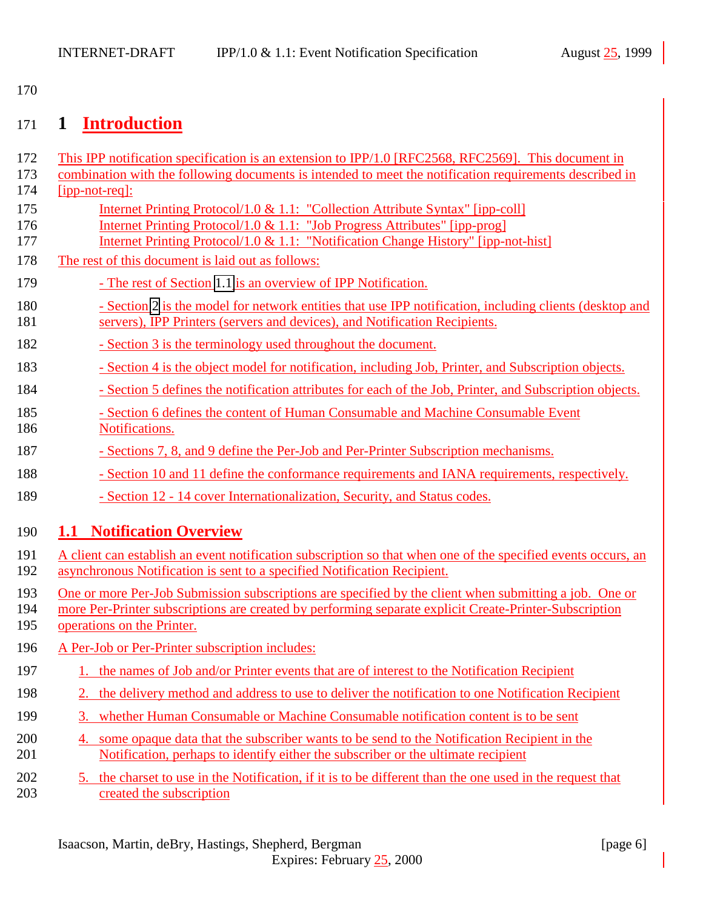<span id="page-5-0"></span>170

# 171 **1 Introduction**

| 172<br>173<br>174 | This IPP notification specification is an extension to IPP/1.0 [RFC2568, RFC2569]. This document in<br>combination with the following documents is intended to meet the notification requirements described in<br>$[ipp-not-reg]$ :                           |
|-------------------|---------------------------------------------------------------------------------------------------------------------------------------------------------------------------------------------------------------------------------------------------------------|
| 175<br>176<br>177 | <u>Internet Printing Protocol/1.0 &amp; 1.1: "Collection Attribute Syntax" [ipp-coll]</u><br>Internet Printing Protocol/1.0 & 1.1: "Job Progress Attributes" [ipp-prog]<br>Internet Printing Protocol/1.0 & 1.1: "Notification Change History" [ipp-not-hist] |
| 178               | The rest of this document is laid out as follows:                                                                                                                                                                                                             |
| 179               | - The rest of Section 1.1 is an overview of IPP Notification.                                                                                                                                                                                                 |
| 180<br>181        | - Section 2 is the model for network entities that use IPP notification, including clients (desktop and<br>servers), IPP Printers (servers and devices), and Notification Recipients.                                                                         |
| 182               | - Section 3 is the terminology used throughout the document.                                                                                                                                                                                                  |
| 183               | - Section 4 is the object model for notification, including Job, Printer, and Subscription objects.                                                                                                                                                           |
| 184               | - Section 5 defines the notification attributes for each of the Job, Printer, and Subscription objects.                                                                                                                                                       |
| 185<br>186        | - Section 6 defines the content of Human Consumable and Machine Consumable Event<br>Notifications.                                                                                                                                                            |
| 187               | - Sections 7, 8, and 9 define the Per-Job and Per-Printer Subscription mechanisms.                                                                                                                                                                            |
| 188               | - Section 10 and 11 define the conformance requirements and IANA requirements, respectively.                                                                                                                                                                  |
| 189               | - Section 12 - 14 cover Internationalization, Security, and Status codes.                                                                                                                                                                                     |
| 190               | <b>1.1 Notification Overview</b>                                                                                                                                                                                                                              |
| 191<br>192        | A client can establish an event notification subscription so that when one of the specified events occurs, an<br>asynchronous Notification is sent to a specified Notification Recipient.                                                                     |
| 193<br>194<br>195 | One or more Per-Job Submission subscriptions are specified by the client when submitting a job. One or<br>more Per-Printer subscriptions are created by performing separate explicit Create-Printer-Subscription<br>operations on the Printer.                |
| 196               | A Per-Job or Per-Printer subscription includes:                                                                                                                                                                                                               |
| 197               | 1. the names of Job and/or Printer events that are of interest to the Notification Recipient                                                                                                                                                                  |
| 198               | the delivery method and address to use to deliver the notification to one Notification Recipient<br>2.                                                                                                                                                        |
| 199               | 3. whether Human Consumable or Machine Consumable notification content is to be sent                                                                                                                                                                          |
| 200<br>201        | 4. some opaque data that the subscriber wants to be send to the Notification Recipient in the<br>Notification, perhaps to identify either the subscriber or the ultimate recipient                                                                            |
| 202<br>203        | 5. the charset to use in the Notification, if it is to be different than the one used in the request that<br>created the subscription                                                                                                                         |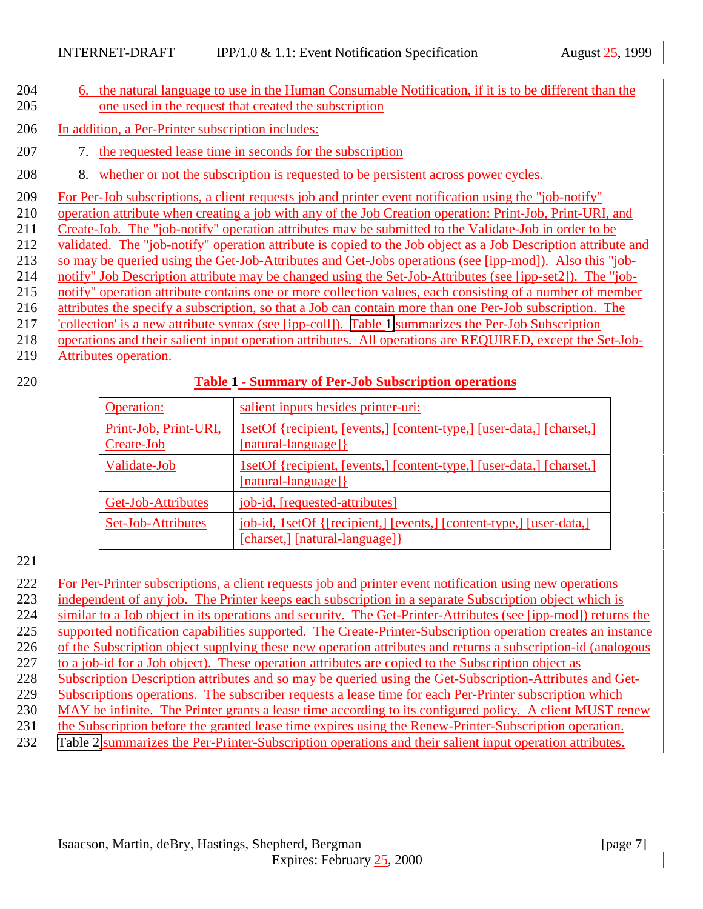- 6. the natural language to use in the Human Consumable Notification, if it is to be different than the one used in the request that created the subscription
- In addition, a Per-Printer subscription includes:
- 7. the requested lease time in seconds for the subscription
- 8. whether or not the subscription is requested to be persistent across power cycles.
- For Per-Job subscriptions, a client requests job and printer event notification using the "job-notify"
- operation attribute when creating a job with any of the Job Creation operation: Print-Job, Print-URI, and
- Create-Job. The "job-notify" operation attributes may be submitted to the Validate-Job in order to be
- validated. The "job-notify" operation attribute is copied to the Job object as a Job Description attribute and
- so may be queried using the Get-Job-Attributes and Get-Jobs operations (see [ipp-mod]). Also this "job-
- notify" Job Description attribute may be changed using the Set-Job-Attributes (see [ipp-set2]). The "job-
- notify" operation attribute contains one or more collection values, each consisting of a number of member
- attributes the specify a subscription, so that a Job can contain more than one Per-Job subscription. The
- 'collection' is a new attribute syntax (see [ipp-coll]). Table 1 summarizes the Per-Job Subscription
- operations and their salient input operation attributes. All operations are REQUIRED, except the Set-Job-
- Attributes operation.

#### **Table 1 - Summary of Per-Job Subscription operations**

| <b>Operation:</b>                   | salient inputs besides printer-uri:                                                                    |
|-------------------------------------|--------------------------------------------------------------------------------------------------------|
| Print-Job, Print-URI,<br>Create-Job | 1setOf {recipient, [events,] [content-type,] [user-data,] [charset,]<br>[natural-language] }           |
| Validate-Job                        | 1setOf {recipient, [events,] [content-type,] [user-data,] [charset,]<br>[natural-language]}            |
| Get-Job-Attributes                  | job-id, [requested-attributes]                                                                         |
| Set-Job-Attributes                  | job-id, 1setOf {[recipient,] [events,] [content-type,] [user-data,]<br>[charset,] [natural-language] } |

- For Per-Printer subscriptions, a client requests job and printer event notification using new operations
- independent of any job. The Printer keeps each subscription in a separate Subscription object which is
- similar to a Job object in its operations and security. The Get-Printer-Attributes (see [ipp-mod]) returns the
- supported notification capabilities supported. The Create-Printer-Subscription operation creates an instance
- of the Subscription object supplying these new operation attributes and returns a subscription-id (analogous
- 227 to a job-id for a Job object). These operation attributes are copied to the Subscription object as
- Subscription Description attributes and so may be queried using the Get-Subscription-Attributes and Get-
- 229 Subscriptions operations. The subscriber requests a lease time for each Per-Printer subscription which
- MAY be infinite. The Printer grants a lease time according to its configured policy. A client MUST renew
- the Subscription before the granted lease time expires using the Renew-Printer-Subscription operation.
- [Table 2](#page-7-0) summarizes the Per-Printer-Subscription operations and their salient input operation attributes.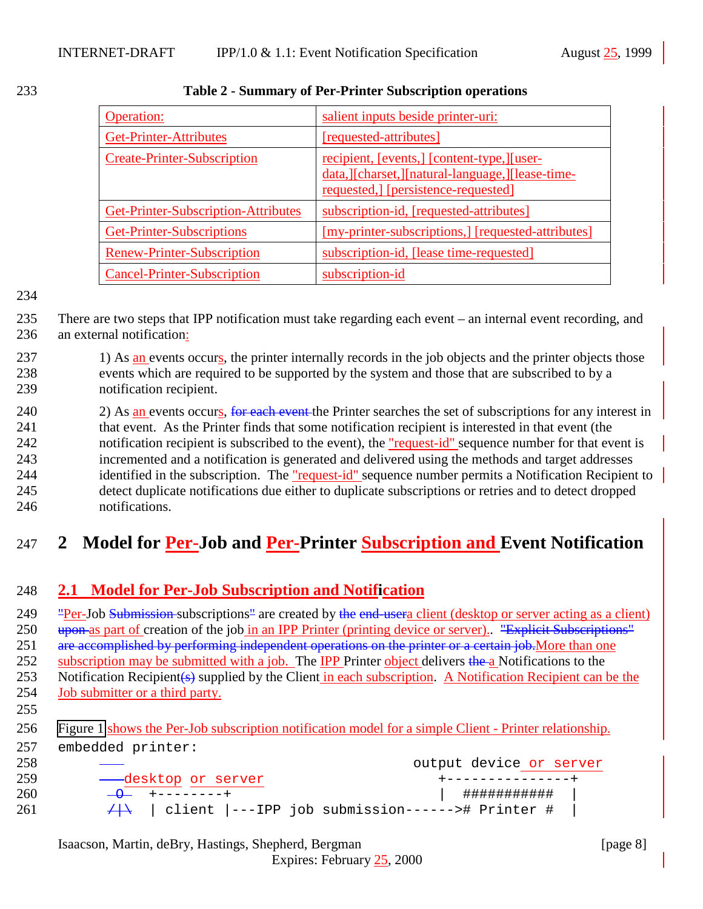| <b>Operation:</b>                   | salient inputs beside printer-uri:                                                                                                    |
|-------------------------------------|---------------------------------------------------------------------------------------------------------------------------------------|
| <b>Get-Printer-Attributes</b>       | [requested-attributes]                                                                                                                |
| <b>Create-Printer-Subscription</b>  | recipient, [events,] [content-type,][user-<br>data, [Charset, ][natural-language, ][lease-time-<br>requested, [persistence-requested] |
| Get-Printer-Subscription-Attributes | subscription-id, [requested-attributes]                                                                                               |
| Get-Printer-Subscriptions           | [my-printer-subscriptions,] [requested-attributes]                                                                                    |
| Renew-Printer-Subscription          | subscription-id, [lease time-requested]                                                                                               |
| <b>Cancel-Printer-Subscription</b>  | subscription-id                                                                                                                       |

#### <span id="page-7-0"></span>233 **Table 2 - Summary of Per-Printer Subscription operations**

#### 234

235 There are two steps that IPP notification must take regarding each event – an internal event recording, and 236 an external notification:

237 1) As an events occurs, the printer internally records in the job objects and the printer objects those 238 events which are required to be supported by the system and those that are subscribed to by a 239 notification recipient.

240 2) As an events occurs, for each event the Printer searches the set of subscriptions for any interest in 241 that event. As the Printer finds that some notification recipient is interested in that event (the 242 notification recipient is subscribed to the event), the "request-id" sequence number for that event is 243 incremented and a notification is generated and delivered using the methods and target addresses 244 identified in the subscription. The "request-id" sequence number permits a Notification Recipient to 245 detect duplicate notifications due either to duplicate subscriptions or retries and to detect dropped 246 notifications.

# 247 **2 Model for Per-Job and Per-Printer Subscription and Event Notification**

## 248 **2.1 Model for Per-Job Subscription and Notification**

249 "Per-Job Submission subscriptions" are created by the end-usera client (desktop or server acting as a client) 250 upon as part of creation of the job in an IPP Printer (printing device or server). "Explicit Subscriptions" 251 are accomplished by performing independent operations on the printer or a certain job. More than one 252 subscription may be submitted with a job. The IPP Printer object delivers the a Notifications to the 253 Notification Recipient(s) supplied by the Client in each subscription. A Notification Recipient can be the 254 **Job submitter or a third party.** 

255

256 [Figure 1](#page-8-0) shows the Per-Job subscription notification model for a simple Client - Printer relationship. 257 embedded printer:

| 258 |                           | output device or server                               |
|-----|---------------------------|-------------------------------------------------------|
| 259 | -----desktop or server    | +----------------+                                    |
| 260 | $\overline{a}$ +--------+ | ###########                                           |
| 261 |                           | $+$   client  ---IPP job submission------># Printer # |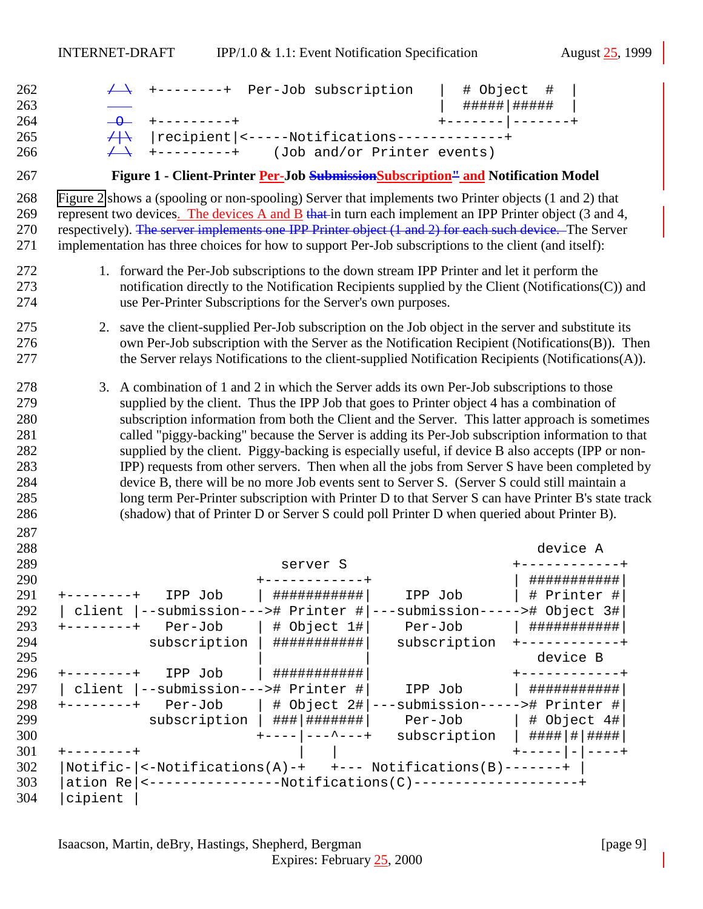<span id="page-8-0"></span>

| 262<br>263<br>264<br>265                                           | +--------+ Per-Job subscription<br>$+ - - - - - - - - +$<br>$\overline{\phantom{a}}$<br> recipient <-----Notifications-------------+<br>$+$                                                                                                                                                                                                                                                                                                                                                                                                                                                                                                                                                                                                                                                                                                                                                                   | # Object<br>#####   #####<br>+------- -------+ | #                              |                             |
|--------------------------------------------------------------------|---------------------------------------------------------------------------------------------------------------------------------------------------------------------------------------------------------------------------------------------------------------------------------------------------------------------------------------------------------------------------------------------------------------------------------------------------------------------------------------------------------------------------------------------------------------------------------------------------------------------------------------------------------------------------------------------------------------------------------------------------------------------------------------------------------------------------------------------------------------------------------------------------------------|------------------------------------------------|--------------------------------|-----------------------------|
| 266                                                                | +---------+ (Job and/or Printer events)                                                                                                                                                                                                                                                                                                                                                                                                                                                                                                                                                                                                                                                                                                                                                                                                                                                                       |                                                |                                |                             |
| 267                                                                | Figure 1 - Client-Printer Per-Job Submission Subscription <sup>11</sup> and Notification Model                                                                                                                                                                                                                                                                                                                                                                                                                                                                                                                                                                                                                                                                                                                                                                                                                |                                                |                                |                             |
| 268<br>269<br>270<br>271                                           | Figure 2 shows a (spooling or non-spooling) Server that implements two Printer objects (1 and 2) that<br>represent two devices. The devices A and B that in turn each implement an IPP Printer object $(3 \text{ and } 4, 4)$<br>respectively). The server implements one IPP Printer object (1 and 2) for each such device. The Server<br>implementation has three choices for how to support Per-Job subscriptions to the client (and itself):                                                                                                                                                                                                                                                                                                                                                                                                                                                              |                                                |                                |                             |
| 272<br>273<br>274                                                  | 1. forward the Per-Job subscriptions to the down stream IPP Printer and let it perform the<br>notification directly to the Notification Recipients supplied by the Client (Notifications(C)) and<br>use Per-Printer Subscriptions for the Server's own purposes.                                                                                                                                                                                                                                                                                                                                                                                                                                                                                                                                                                                                                                              |                                                |                                |                             |
| 275<br>276<br>277                                                  | save the client-supplied Per-Job subscription on the Job object in the server and substitute its<br>2.<br>own Per-Job subscription with the Server as the Notification Recipient (Notifications(B)). Then<br>the Server relays Notifications to the client-supplied Notification Recipients (Notifications(A)).                                                                                                                                                                                                                                                                                                                                                                                                                                                                                                                                                                                               |                                                |                                |                             |
| 278<br>279<br>280<br>281<br>282<br>283<br>284<br>285<br>286<br>287 | 3. A combination of 1 and 2 in which the Server adds its own Per-Job subscriptions to those<br>supplied by the client. Thus the IPP Job that goes to Printer object 4 has a combination of<br>subscription information from both the Client and the Server. This latter approach is sometimes<br>called "piggy-backing" because the Server is adding its Per-Job subscription information to that<br>supplied by the client. Piggy-backing is especially useful, if device B also accepts (IPP or non-<br>IPP) requests from other servers. Then when all the jobs from Server S have been completed by<br>device B, there will be no more Job events sent to Server S. (Server S could still maintain a<br>long term Per-Printer subscription with Printer D to that Server S can have Printer B's state track<br>(shadow) that of Printer D or Server S could poll Printer D when queried about Printer B). |                                                |                                |                             |
| 288                                                                |                                                                                                                                                                                                                                                                                                                                                                                                                                                                                                                                                                                                                                                                                                                                                                                                                                                                                                               |                                                | device A                       |                             |
| 289<br>290                                                         | server S                                                                                                                                                                                                                                                                                                                                                                                                                                                                                                                                                                                                                                                                                                                                                                                                                                                                                                      |                                                |                                | -----------+<br>########### |
| 291<br>292                                                         | ###########<br>IPP Job<br>IPP Job<br>$+ - - - - - - - +$<br>  client  --submission---># Printer # ---submission-----># Object 3#                                                                                                                                                                                                                                                                                                                                                                                                                                                                                                                                                                                                                                                                                                                                                                              |                                                | # Printer #                    |                             |
| 293                                                                | # Object 1# <br>Per-Job                                                                                                                                                                                                                                                                                                                                                                                                                                                                                                                                                                                                                                                                                                                                                                                                                                                                                       |                                                | ###########                    |                             |
| 294                                                                | $subscript$ tiption   #############                                                                                                                                                                                                                                                                                                                                                                                                                                                                                                                                                                                                                                                                                                                                                                                                                                                                           | subscription +------------+                    |                                |                             |
| 295                                                                |                                                                                                                                                                                                                                                                                                                                                                                                                                                                                                                                                                                                                                                                                                                                                                                                                                                                                                               |                                                | device B                       |                             |
| 296<br>297                                                         | $+ - - - - - - - +$<br>IPP Job<br>###########<br>  client  --submission---># Printer #                                                                                                                                                                                                                                                                                                                                                                                                                                                                                                                                                                                                                                                                                                                                                                                                                        |                                                | +-----------+<br>  ########### |                             |
| 298                                                                | IPP Job<br>Per-Job<br>  # Object 2# ---submission-----># Printer #<br>$+ - - - - - - - +$                                                                                                                                                                                                                                                                                                                                                                                                                                                                                                                                                                                                                                                                                                                                                                                                                     |                                                |                                |                             |
| 299                                                                | subscription   ### ######## Per-Job   # Object 4#                                                                                                                                                                                                                                                                                                                                                                                                                                                                                                                                                                                                                                                                                                                                                                                                                                                             |                                                |                                |                             |
| 300                                                                | $+$ - - - - $ -$ - - - - - +<br>subscription   #### # #####                                                                                                                                                                                                                                                                                                                                                                                                                                                                                                                                                                                                                                                                                                                                                                                                                                                   |                                                |                                |                             |
| 301                                                                | $+ - - - - - - - +$                                                                                                                                                                                                                                                                                                                                                                                                                                                                                                                                                                                                                                                                                                                                                                                                                                                                                           |                                                | $+$ - - - - - $   -$ - - - - + |                             |
| 302                                                                |                                                                                                                                                                                                                                                                                                                                                                                                                                                                                                                                                                                                                                                                                                                                                                                                                                                                                                               |                                                |                                |                             |
| 303                                                                | ation Re   <-----------------Notifications(C)----------------------                                                                                                                                                                                                                                                                                                                                                                                                                                                                                                                                                                                                                                                                                                                                                                                                                                           |                                                |                                |                             |
| 304                                                                | cipient                                                                                                                                                                                                                                                                                                                                                                                                                                                                                                                                                                                                                                                                                                                                                                                                                                                                                                       |                                                |                                |                             |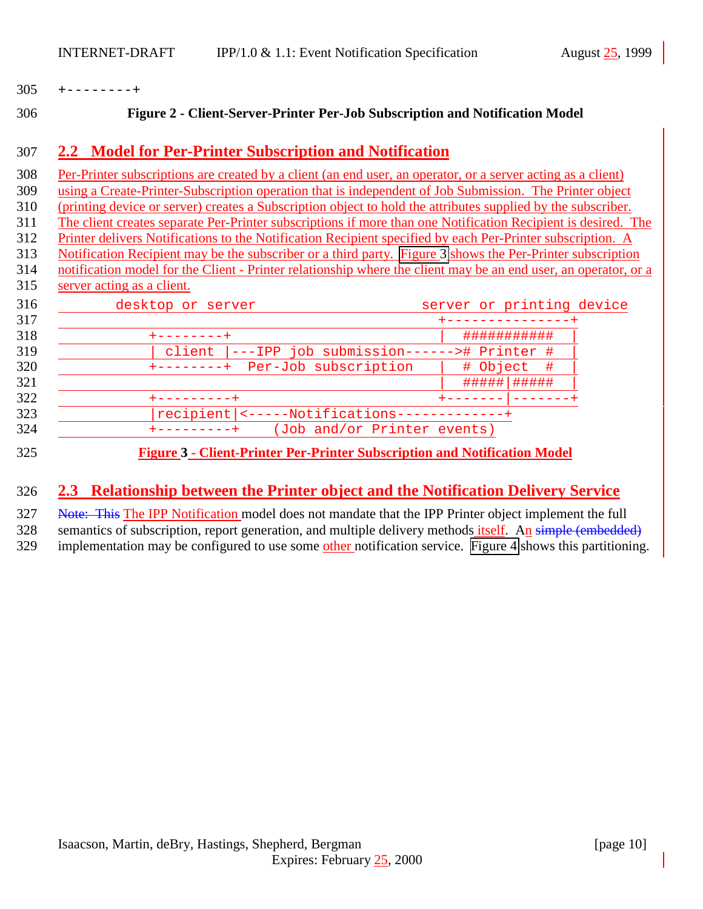<span id="page-9-0"></span>

| 305 |  |  |  |  |  |  |  |  |  |  |  |
|-----|--|--|--|--|--|--|--|--|--|--|--|
|-----|--|--|--|--|--|--|--|--|--|--|--|

#### **Figure 2 - Client-Server-Printer Per-Job Subscription and Notification Model**

#### **2.2 Model for Per-Printer Subscription and Notification**

 Per-Printer subscriptions are created by a client (an end user, an operator, or a server acting as a client) using a Create-Printer-Subscription operation that is independent of Job Submission. The Printer object (printing device or server) creates a Subscription object to hold the attributes supplied by the subscriber. The client creates separate Per-Printer subscriptions if more than one Notification Recipient is desired. The Printer delivers Notifications to the Notification Recipient specified by each Per-Printer subscription. A Notification Recipient may be the subscriber or a third party. Figure 3 shows the Per-Printer subscription notification model for the Client - Printer relationship where the client may be an end user, an operator, or a server acting as a client. 316 desktop or server server server or printing device +---------------+

|                                     | ###########    |
|-------------------------------------|----------------|
| ---IPP job submission----<br>client | --># Printer # |
| Per-Job subscription                | # Object #     |
|                                     | #####          |
|                                     |                |
| recipient  <-----Notifications-     |                |
| (Job and/or Printer events)         |                |

#### **Figure 3 - Client-Printer Per-Printer Subscription and Notification Model**

# **2.3 Relationship between the Printer object and the Notification Delivery Service**

327 Note: This The IPP Notification model does not mandate that the IPP Printer object implement the full

328 semantics of subscription, report generation, and multiple delivery methods itself. An simple (embedded)

329 implementation may be configured to use some other notification service. [Figure 4](#page-10-0) shows this partitioning.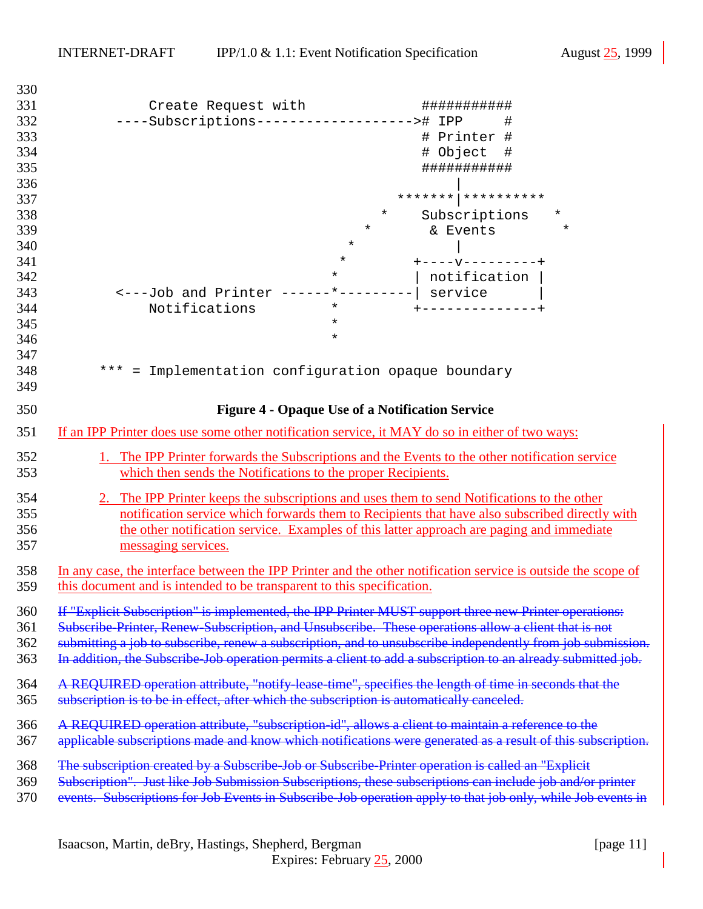<span id="page-10-0"></span>

| 330        |                                                                                                                                                                |          |                                                                                                               |  |  |
|------------|----------------------------------------------------------------------------------------------------------------------------------------------------------------|----------|---------------------------------------------------------------------------------------------------------------|--|--|
| 331        | Create Request with                                                                                                                                            |          | ###########                                                                                                   |  |  |
| 332        | ----Subscriptions--------------------># IPP                                                                                                                    |          | $\#$                                                                                                          |  |  |
| 333        |                                                                                                                                                                |          | # Printer #                                                                                                   |  |  |
| 334        |                                                                                                                                                                |          | # Object<br>#                                                                                                 |  |  |
| 335        |                                                                                                                                                                |          | ###########                                                                                                   |  |  |
| 336        |                                                                                                                                                                |          |                                                                                                               |  |  |
| 337        |                                                                                                                                                                |          |                                                                                                               |  |  |
| 338        |                                                                                                                                                                | $^\star$ | Subscriptions<br>*                                                                                            |  |  |
| 339        |                                                                                                                                                                | $\star$  | & Events<br>$^\star$                                                                                          |  |  |
| 340        |                                                                                                                                                                | $\star$  |                                                                                                               |  |  |
| 341        |                                                                                                                                                                | $\star$  | $+ - - - - - - - - - - - +$                                                                                   |  |  |
| 342        |                                                                                                                                                                | $\star$  | notification                                                                                                  |  |  |
|            | <---Job and Printer ------*---------  service                                                                                                                  |          |                                                                                                               |  |  |
| 343        |                                                                                                                                                                | $\star$  |                                                                                                               |  |  |
| 344        | Notifications                                                                                                                                                  |          | +--------------+                                                                                              |  |  |
| 345        |                                                                                                                                                                | $\star$  |                                                                                                               |  |  |
| 346        |                                                                                                                                                                | $\star$  |                                                                                                               |  |  |
| 347        |                                                                                                                                                                |          |                                                                                                               |  |  |
| 348        | *** = Implementation configuration opaque boundary                                                                                                             |          |                                                                                                               |  |  |
| 349        |                                                                                                                                                                |          |                                                                                                               |  |  |
| 350        |                                                                                                                                                                |          | <b>Figure 4 - Opaque Use of a Notification Service</b>                                                        |  |  |
| 351        | If an IPP Printer does use some other notification service, it MAY do so in either of two ways:                                                                |          |                                                                                                               |  |  |
|            |                                                                                                                                                                |          |                                                                                                               |  |  |
| 352<br>353 | 1. The IPP Printer forwards the Subscriptions and the Events to the other notification service<br>which then sends the Notifications to the proper Recipients. |          |                                                                                                               |  |  |
| 354        | 2.                                                                                                                                                             |          | The IPP Printer keeps the subscriptions and uses them to send Notifications to the other                      |  |  |
| 355        |                                                                                                                                                                |          | notification service which forwards them to Recipients that have also subscribed directly with                |  |  |
| 356        |                                                                                                                                                                |          | the other notification service. Examples of this latter approach are paging and immediate                     |  |  |
| 357        | messaging services.                                                                                                                                            |          |                                                                                                               |  |  |
|            |                                                                                                                                                                |          |                                                                                                               |  |  |
| 358        |                                                                                                                                                                |          | In any case, the interface between the IPP Printer and the other notification service is outside the scope of |  |  |
| 359        | this document and is intended to be transparent to this specification.                                                                                         |          |                                                                                                               |  |  |
|            |                                                                                                                                                                |          |                                                                                                               |  |  |
| 360        | If "Explicit Subscription" is implemented, the IPP Printer MUST support three new Printer operations:                                                          |          |                                                                                                               |  |  |
| 361        | Subscribe-Printer, Renew-Subscription, and Unsubscribe. These operations allow a client that is not                                                            |          |                                                                                                               |  |  |
| 362        |                                                                                                                                                                |          | submitting a job to subscribe, renew a subscription, and to unsubscribe independently from job submission.    |  |  |
| 363        |                                                                                                                                                                |          | In addition, the Subscribe Job operation permits a client to add a subscription to an already submitted job.  |  |  |
| 364        | A REQUIRED operation attribute, "notify-lease-time", specifies the length of time in seconds that the                                                          |          |                                                                                                               |  |  |
| 365        | subscription is to be in effect, after which the subscription is automatically canceled.                                                                       |          |                                                                                                               |  |  |
|            |                                                                                                                                                                |          |                                                                                                               |  |  |
| 366        | A REQUIRED operation attribute, "subscription id", allows a client to maintain a reference to the                                                              |          |                                                                                                               |  |  |
| 367        |                                                                                                                                                                |          | applicable subscriptions made and know which notifications were generated as a result of this subscription.   |  |  |
|            |                                                                                                                                                                |          |                                                                                                               |  |  |
| 368        | The subscription created by a Subscribe-Job or Subscribe-Printer operation is called an "Explicit                                                              |          |                                                                                                               |  |  |
| 369        | Subscription". Just like Job Submission Subscriptions, these subscriptions can include job and/or printer                                                      |          |                                                                                                               |  |  |
| 370        |                                                                                                                                                                |          | events. Subscriptions for Job Events in Subscribe Job operation apply to that job only, while Job events in   |  |  |
|            |                                                                                                                                                                |          |                                                                                                               |  |  |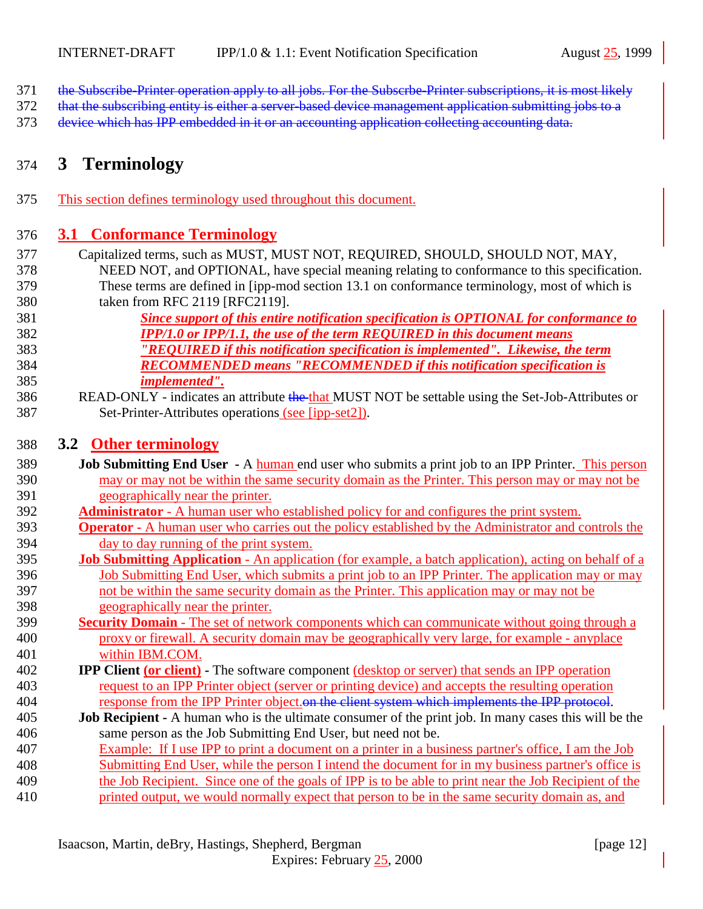- <span id="page-11-0"></span>the Subscribe-Printer operation apply to all jobs. For the Subscrbe-Printer subscriptions, it is most likely
- 372 that the subscribing entity is either a server-based device management application submitting jobs to a
- device which has IPP embedded in it or an accounting application collecting accounting data.

# **3 Terminology**

This section defines terminology used throughout this document.

### **3.1 Conformance Terminology**

- Capitalized terms, such as MUST, MUST NOT, REQUIRED, SHOULD, SHOULD NOT, MAY, NEED NOT, and OPTIONAL, have special meaning relating to conformance to this specification. These terms are defined in [ipp-mod section 13.1 on conformance terminology, most of which is taken from RFC 2119 [RFC2119].
- *Since support of this entire notification specification is OPTIONAL for conformance to IPP/1.0 or IPP/1.1, the use of the term REQUIRED in this document means "REQUIRED if this notification specification is implemented". Likewise, the term RECOMMENDED means "RECOMMENDED if this notification specification is implemented".*
- 386 READ-ONLY indicates an attribute the that MUST NOT be settable using the Set-Job-Attributes or Set-Printer-Attributes operations (see [ipp-set2]).

### **3.2 Other terminology**

- **Job Submitting End User** A human end user who submits a print job to an IPP Printer. This person may or may not be within the same security domain as the Printer. This person may or may not be geographically near the printer.
- **Administrator**  A human user who established policy for and configures the print system.
- **Operator** A human user who carries out the policy established by the Administrator and controls the day to day running of the print system.
- **Job Submitting Application** An application (for example, a batch application), acting on behalf of a Job Submitting End User, which submits a print job to an IPP Printer. The application may or may not be within the same security domain as the Printer. This application may or may not be geographically near the printer.
- **Security Domain** The set of network components which can communicate without going through a proxy or firewall. A security domain may be geographically very large, for example - anyplace within IBM.COM.
- **IPP Client (or client)** The software component (desktop or server) that sends an IPP operation request to an IPP Printer object (server or printing device) and accepts the resulting operation 404 response from the IPP Printer object. on the client system which implements the IPP protocol.
- **Job Recipient** A human who is the ultimate consumer of the print job. In many cases this will be the same person as the Job Submitting End User, but need not be.
- Example: If I use IPP to print a document on a printer in a business partner's office, I am the Job
- Submitting End User, while the person I intend the document for in my business partner's office is
- the Job Recipient. Since one of the goals of IPP is to be able to print near the Job Recipient of the
- printed output, we would normally expect that person to be in the same security domain as, and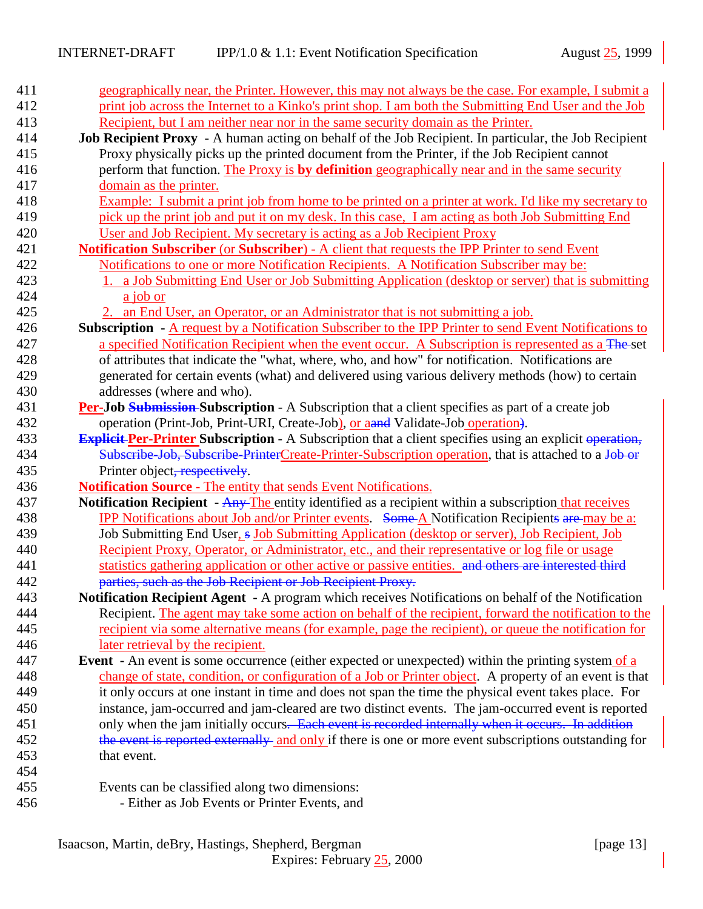| 411        | geographically near, the Printer. However, this may not always be the case. For example, I submit a                  |
|------------|----------------------------------------------------------------------------------------------------------------------|
| 412        | print job across the Internet to a Kinko's print shop. I am both the Submitting End User and the Job                 |
| 413        | Recipient, but I am neither near nor in the same security domain as the Printer.                                     |
| 414        | Job Recipient Proxy - A human acting on behalf of the Job Recipient. In particular, the Job Recipient                |
| 415        | Proxy physically picks up the printed document from the Printer, if the Job Recipient cannot                         |
| 416        | perform that function. The Proxy is by definition geographically near and in the same security                       |
| 417        | domain as the printer.                                                                                               |
| 418        | Example: I submit a print job from home to be printed on a printer at work. I'd like my secretary to                 |
| 419        | pick up the print job and put it on my desk. In this case, I am acting as both Job Submitting End                    |
| 420        | User and Job Recipient. My secretary is acting as a Job Recipient Proxy                                              |
| 421        | Notification Subscriber (or Subscriber) - A client that requests the IPP Printer to send Event                       |
| 422        | Notifications to one or more Notification Recipients. A Notification Subscriber may be:                              |
| 423        | 1. a Job Submitting End User or Job Submitting Application (desktop or server) that is submitting                    |
| 424        | a job or                                                                                                             |
| 425        | 2. an End User, an Operator, or an Administrator that is not submitting a job.                                       |
| 426        | Subscription - A request by a Notification Subscriber to the IPP Printer to send Event Notifications to              |
| 427        | a specified Notification Recipient when the event occur. A Subscription is represented as a The-set                  |
| 428        | of attributes that indicate the "what, where, who, and how" for notification. Notifications are                      |
| 429        | generated for certain events (what) and delivered using various delivery methods (how) to certain                    |
| 430        | addresses (where and who).                                                                                           |
| 431        | Per-Job Submission-Subscription - A Subscription that a client specifies as part of a create job                     |
| 432        | operation (Print-Job, Print-URI, Create-Job), or aand Validate-Job operation.                                        |
| 433        | <b>Explicit Per-Printer Subscription</b> - A Subscription that a client specifies using an explicit operation,       |
| 434        | Subscribe Job, Subscribe PrinterCreate-Printer-Subscription operation, that is attached to a Job or                  |
| 435        | Printer object, respectively.                                                                                        |
| 436        | <b>Notification Source - The entity that sends Event Notifications.</b>                                              |
| 437        | Notification Recipient - Any The entity identified as a recipient within a subscription that receives                |
| 438        | <b>IPP Notifications about Job and/or Printer events.</b> Some A Notification Recipients are may be a:               |
| 439        | Job Submitting End User, s Job Submitting Application (desktop or server), Job Recipient, Job                        |
| 440        | Recipient Proxy, Operator, or Administrator, etc., and their representative or log file or usage                     |
| 441        | statistics gathering application or other active or passive entities. and others are interested third                |
| 442        | parties, such as the Job Recipient or Job Recipient Proxy.                                                           |
| 443        | Notification Recipient Agent - A program which receives Notifications on behalf of the Notification                  |
| 444        | Recipient. The agent may take some action on behalf of the recipient, forward the notification to the                |
| 445        | recipient via some alternative means (for example, page the recipient), or queue the notification for                |
| 446        | later retrieval by the recipient.                                                                                    |
| 447<br>448 | <b>Event</b> - An event is some occurrence (either expected or unexpected) within the printing system of a           |
| 449        | change of state, condition, or configuration of a Job or Printer object. A property of an event is that              |
|            | it only occurs at one instant in time and does not span the time the physical event takes place. For                 |
| 450<br>451 | instance, jam-occurred and jam-cleared are two distinct events. The jam-occurred event is reported                   |
| 452        | only when the jam initially occurs. Each event is recorded internally when it occurs. In addition                    |
| 453        | the event is reported externally and only if there is one or more event subscriptions outstanding for<br>that event. |
| 454        |                                                                                                                      |
| 455        | Events can be classified along two dimensions:                                                                       |
| 456        | - Either as Job Events or Printer Events, and                                                                        |
|            |                                                                                                                      |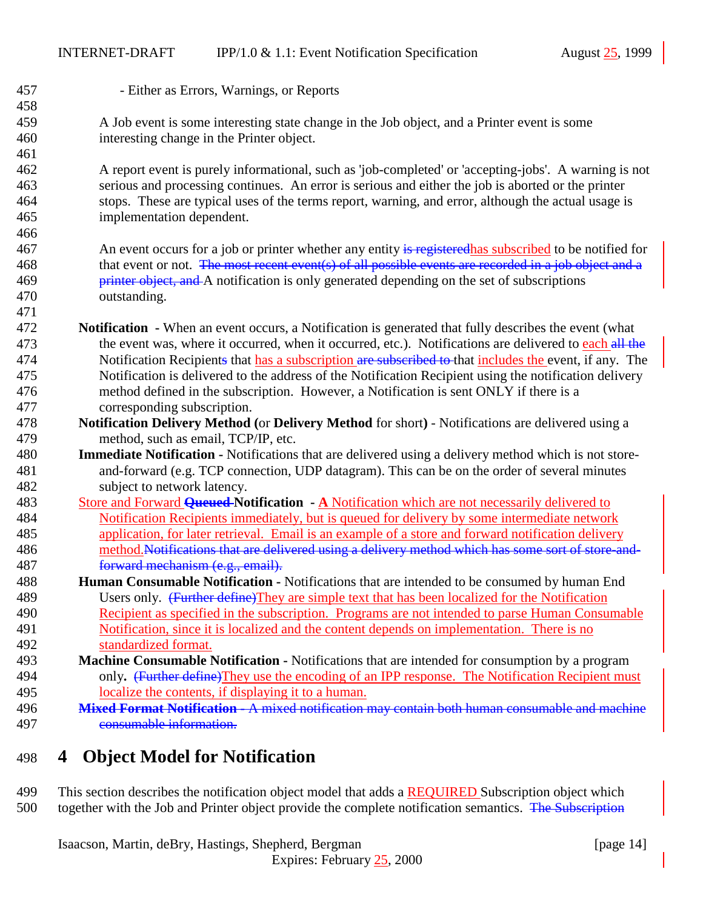<span id="page-13-0"></span> - Either as Errors, Warnings, or Reports A Job event is some interesting state change in the Job object, and a Printer event is some interesting change in the Printer object. A report event is purely informational, such as 'job-completed' or 'accepting-jobs'. A warning is not serious and processing continues. An error is serious and either the job is aborted or the printer stops. These are typical uses of the terms report, warning, and error, although the actual usage is implementation dependent. 467 An event occurs for a job or printer whether any entity is registered has subscribed to be notified for 468 that event or not. The most recent event(s) of all possible events are recorded in a job object and a **printer object, and** A notification is only generated depending on the set of subscriptions outstanding. **Notification -** When an event occurs, a Notification is generated that fully describes the event (what 473 the event was, where it occurred, when it occurred, etc.). Notifications are delivered to each all the 474 Notification Recipients that has a subscription are subscribed to that includes the event, if any. The Notification is delivered to the address of the Notification Recipient using the notification delivery method defined in the subscription. However, a Notification is sent ONLY if there is a corresponding subscription. **Notification Delivery Method (**or **Delivery Method** for short**)** - Notifications are delivered using a method, such as email, TCP/IP, etc. **Immediate Notification -** Notifications that are delivered using a delivery method which is not store- and-forward (e.g. TCP connection, UDP datagram). This can be on the order of several minutes subject to network latency. Store and Forward **Queued Notification - A** Notification which are not necessarily delivered to Notification Recipients immediately, but is queued for delivery by some intermediate network application, for later retrieval. Email is an example of a store and forward notification delivery 486 method.Notifications that are delivered using a delivery method which has some sort of store-and- forward mechanism (e.g., email). **Human Consumable Notification -** Notifications that are intended to be consumed by human End 489 Users only. (Further define)They are simple text that has been localized for the Notification Recipient as specified in the subscription. Programs are not intended to parse Human Consumable Notification, since it is localized and the content depends on implementation. There is no standardized format. **Machine Consumable Notification -** Notifications that are intended for consumption by a program only**.** (Further define)They use the encoding of an IPP response. The Notification Recipient must localize the contents, if displaying it to a human. **Mixed Format Notification -** A mixed notification may contain both human consumable and machine consumable information. **4 Object Model for Notification**

499 This section describes the notification object model that adds a REQUIRED Subscription object which 500 together with the Job and Printer object provide the complete notification semantics. The Subscription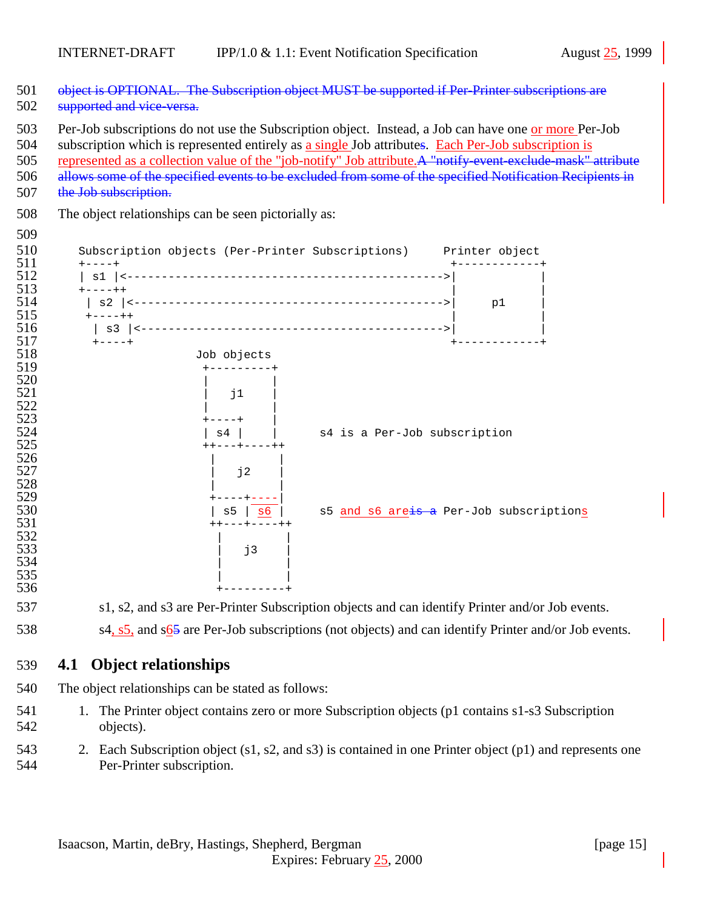- <span id="page-14-0"></span>501 object is OPTIONAL. The Subscription object MUST be supported if Per-Printer subscriptions are
- 502 supported and vice-versa.
- Per-Job subscriptions do not use the Subscription object. Instead, a Job can have one or more Per-Job
- subscription which is represented entirely as a single Job attributes. Each Per-Job subscription is
- represented as a collection value of the "job-notify" Job attribute.A "notify-event-exclude-mask" attribute
- allows some of the specified events to be excluded from some of the specified Notification Recipients in
- 507 the Job subscription.
- The object relationships can be seen pictorially as:
- 

|                                                                                                                 | Subscription objects (Per-Printer Subscriptions) Printer object |                              |                                         |
|-----------------------------------------------------------------------------------------------------------------|-----------------------------------------------------------------|------------------------------|-----------------------------------------|
| $+ - - - +$<br>$s1$   $\leftarrow$<br>$+ - - - + +$<br>s2<br>$\lt$ $-$<br>$+ - - - + +$<br>s3<br>$\overline{a}$ |                                                                 |                              | p1                                      |
| $+ - - - +$                                                                                                     | Job objects                                                     |                              |                                         |
|                                                                                                                 |                                                                 |                              |                                         |
|                                                                                                                 |                                                                 |                              |                                         |
|                                                                                                                 | j1                                                              |                              |                                         |
|                                                                                                                 |                                                                 |                              |                                         |
|                                                                                                                 | - - - - +                                                       |                              |                                         |
|                                                                                                                 | $\mathrm{s}4$                                                   | s4 is a Per-Job subscription |                                         |
|                                                                                                                 | ----++                                                          |                              |                                         |
|                                                                                                                 |                                                                 |                              |                                         |
|                                                                                                                 | j2                                                              |                              |                                         |
|                                                                                                                 |                                                                 |                              |                                         |
|                                                                                                                 | s6<br>s5                                                        |                              | s5 and s6 areis a Per-Job subscriptions |
|                                                                                                                 | ---+----++<br>$++$                                              |                              |                                         |
|                                                                                                                 |                                                                 |                              |                                         |
|                                                                                                                 | j3                                                              |                              |                                         |
|                                                                                                                 |                                                                 |                              |                                         |
|                                                                                                                 |                                                                 |                              |                                         |
|                                                                                                                 |                                                                 |                              |                                         |

- s1, s2, and s3 are Per-Printer Subscription objects and can identify Printer and/or Job events.
- 538 s4,  $s5$ , and  $s65$  are Per-Job subscriptions (not objects) and can identify Printer and/or Job events.
- **4.1 Object relationships**
- The object relationships can be stated as follows:
- 1. The Printer object contains zero or more Subscription objects (p1 contains s1-s3 Subscription objects).
- 2. Each Subscription object (s1, s2, and s3) is contained in one Printer object (p1) and represents one Per-Printer subscription.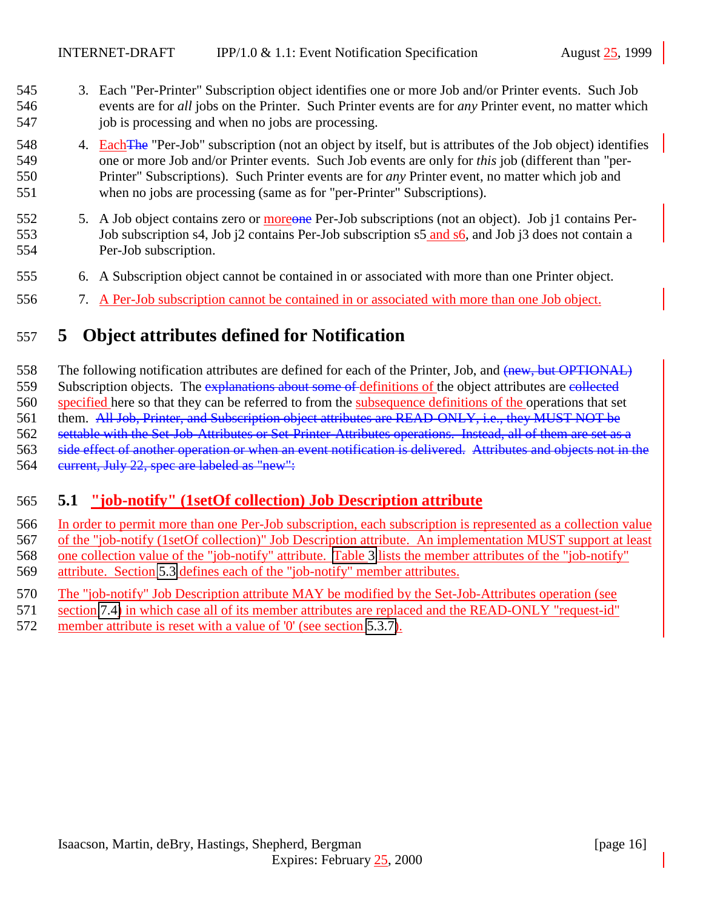- <span id="page-15-0"></span> 3. Each "Per-Printer" Subscription object identifies one or more Job and/or Printer events. Such Job events are for *all* jobs on the Printer. Such Printer events are for *any* Printer event, no matter which 547 job is processing and when no jobs are processing.
- 548 4. Each The "Per-Job" subscription (not an object by itself, but is attributes of the Job object) identifies one or more Job and/or Printer events. Such Job events are only for *this* job (different than "per- Printer" Subscriptions). Such Printer events are for *any* Printer event, no matter which job and when no jobs are processing (same as for "per-Printer" Subscriptions).
- 552 5. A Job object contains zero or moreone Per-Job subscriptions (not an object). Job j1 contains Per-553 Job subscription s4, Job j2 contains Per-Job subscription s5 and s6, and Job j3 does not contain a Per-Job subscription.
- 6. A Subscription object cannot be contained in or associated with more than one Printer object.
- 7. A Per-Job subscription cannot be contained in or associated with more than one Job object.

# **5 Object attributes defined for Notification**

558 The following notification attributes are defined for each of the Printer, Job, and (new, but OPTIONAL) 559 Subscription objects. The explanations about some of definitions of the object attributes are collected specified here so that they can be referred to from the subsequence definitions of the operations that set them. All Job, Printer, and Subscription object attributes are READ-ONLY, i.e., they MUST NOT be settable with the Set-Job-Attributes or Set-Printer-Attributes operations. Instead, all of them are set as a side effect of another operation or when an event notification is delivered. Attributes and objects not in the current, July 22, spec are labeled as "new":

## **5.1 "job-notify" (1setOf collection) Job Description attribute**

- 566 In order to permit more than one Per-Job subscription, each subscription is represented as a collection value of the "job-notify (1setOf collection)" Job Description attribute. An implementation MUST support at least one collection value of the "job-notify" attribute. [Table 3](#page-16-0) lists the member attributes of the "job-notify" attribute. Section [5.3](#page-17-0) defines each of the "job-notify" member attributes.
- The "job-notify" Job Description attribute MAY be modified by the Set-Job-Attributes operation (see
- section [7.4\)](#page-37-0) in which case all of its member attributes are replaced and the READ-ONLY "request-id"
- member attribute is reset with a value of '0' (see section [5.3.7\)](#page-24-0).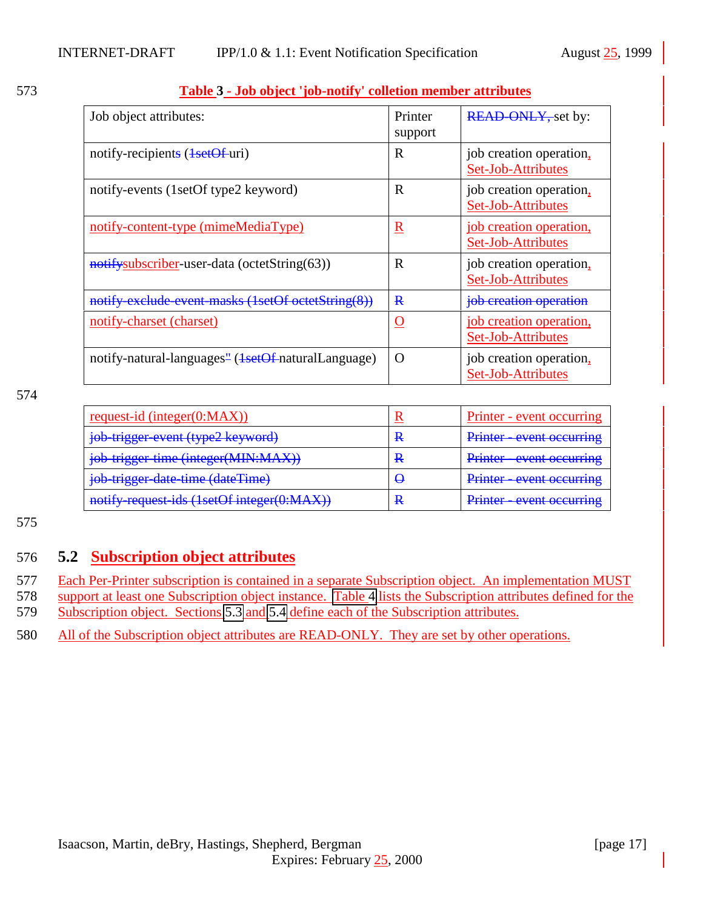| Job object attributes:                                                      | Printer<br>support | <b>READ ONLY, set by:</b>                     |
|-----------------------------------------------------------------------------|--------------------|-----------------------------------------------|
| notify-recipients ( <del>1setOf</del> -uri)                                 | R                  | job creation operation,<br>Set-Job-Attributes |
| notify-events (1setOf type2 keyword)                                        | R                  | job creation operation,<br>Set-Job-Attributes |
| notify-content-type (mimeMediaType)                                         | $\mathbf R$        | job creation operation,<br>Set-Job-Attributes |
| notifysubscriber-user-data (octetString(63))                                | R                  | job creation operation,<br>Set-Job-Attributes |
| notify exclude event masks (1setOf octetString(8))                          | $\mathbf{R}$       | job creation operation                        |
| notify-charset (charset)                                                    | O                  | job creation operation,<br>Set-Job-Attributes |
| notify-natural-languages <sup>"</sup> ( <del>1setOf</del> -naturalLanguage) | O                  | job creation operation,<br>Set-Job-Attributes |

#### <span id="page-16-0"></span>573 **Table 3 - Job object 'job-notify' colletion member attributes**

574

| request-id (integer $(0:MAX)$ )            |   | Printer - event occurring |
|--------------------------------------------|---|---------------------------|
| job-trigger-event (type2 keyword)          | R | Printer - event occurring |
| job-trigger-time (integer(MIN:MAX))        | R | Printer - event occurring |
| job-trigger-date-time (dateTime)           | ₩ | Printer - event occurring |
| notify request ids (1setOf integer(0:MAX)) | R | Printer - event occurring |

575

#### 576 **5.2 Subscription object attributes**

577 Each Per-Printer subscription is contained in a separate Subscription object. An implementation MUST

578 support at least one Subscription object instance. [Table 4](#page-17-0) lists the Subscription attributes defined for the

579 Subscription object. Sections [5.3](#page-17-0) and [5.4](#page-24-0) define each of the Subscription attributes.

580 All of the Subscription object attributes are READ-ONLY. They are set by other operations.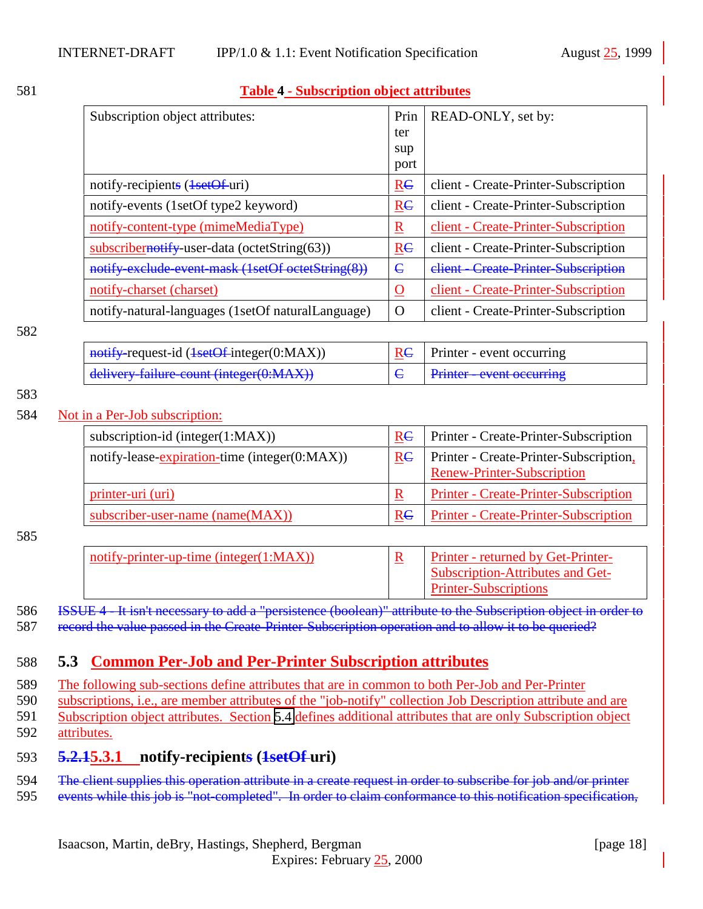#### <span id="page-17-0"></span>581 **Table 4 - Subscription object attributes**

| Subscription object attributes:                   | Prin           | READ-ONLY, set by:                   |
|---------------------------------------------------|----------------|--------------------------------------|
|                                                   | ter            |                                      |
|                                                   | sup            |                                      |
|                                                   | port           |                                      |
| notify-recipients ( <del>1setOf</del> -uri)       | R <sub>C</sub> | client - Create-Printer-Subscription |
| notify-events (1setOf type2 keyword)              | RC             | client - Create-Printer-Subscription |
| notify-content-type (mimeMediaType)               | $\mathbf R$    | client - Create-Printer-Subscription |
| $subscript$ ernotify-user-data (octetString(63))  | R <sub>C</sub> | client - Create-Printer-Subscription |
| notify-exclude-event-mask (1setOf octetString(8)) | $\epsilon$     | client - Create-Printer-Subscription |
| notify-charset (charset)                          | <u>O</u>       | client - Create-Printer-Subscription |
| notify-natural-languages (1setOf naturalLanguage) | $\Omega$       | client - Create-Printer-Subscription |

#### 582

| $\frac{1}{1}$ notify-request-id (1setOf-integer(0:MAX)) | $\vert$ RC $\vert$ Printer - event occurring |
|---------------------------------------------------------|----------------------------------------------|
| delivery-failure-count (integer(0:MAX))                 | <b>Printer - event occurring</b>             |

#### 583

#### 584 Not in a Per-Job subscription:

| subscription-id (integer $(1:MAX)$ )          | R <sub>E</sub> | Printer - Create-Printer-Subscription                                |
|-----------------------------------------------|----------------|----------------------------------------------------------------------|
| notify-lease-expiration-time (integer(0:MAX)) | Re             | Printer - Create-Printer-Subscription,<br>Renew-Printer-Subscription |
| printer-uri (uri)                             | $\mathbf R$    | Printer - Create-Printer-Subscription                                |
| subscriber-user-name (name(MAX))              | R <sub>C</sub> | <b>Printer - Create-Printer-Subscription</b>                         |

#### 585

| notify-printer-up-time (integer $(1:MAX)$ ) | Printer - returned by Get-Printer- |
|---------------------------------------------|------------------------------------|
|                                             | Subscription-Attributes and Get-   |
|                                             | <b>Printer-Subscriptions</b>       |

#### 586 ISSUE 4 - It isn't necessary to add a "persistence (boolean)" attribute to the Subscription object in order to 587 record the value passed in the Create-Printer-Subscription operation and to allow it to be queried?

#### 588 **5.3 Common Per-Job and Per-Printer Subscription attributes**

589 The following sub-sections define attributes that are in common to both Per-Job and Per-Printer

590 subscriptions, i.e., are member attributes of the "job-notify" collection Job Description attribute and are

591 Subscription object attributes. Section [5.4](#page-24-0) defines additional attributes that are only Subscription object

592 attributes.

## 593 **5.2.15.3.1 notify-recipients (1setOf uri)**

594 The client supplies this operation attribute in a create request in order to subscribe for job and/or printer

595 events while this job is "not-completed". In order to claim conformance to this notification specification,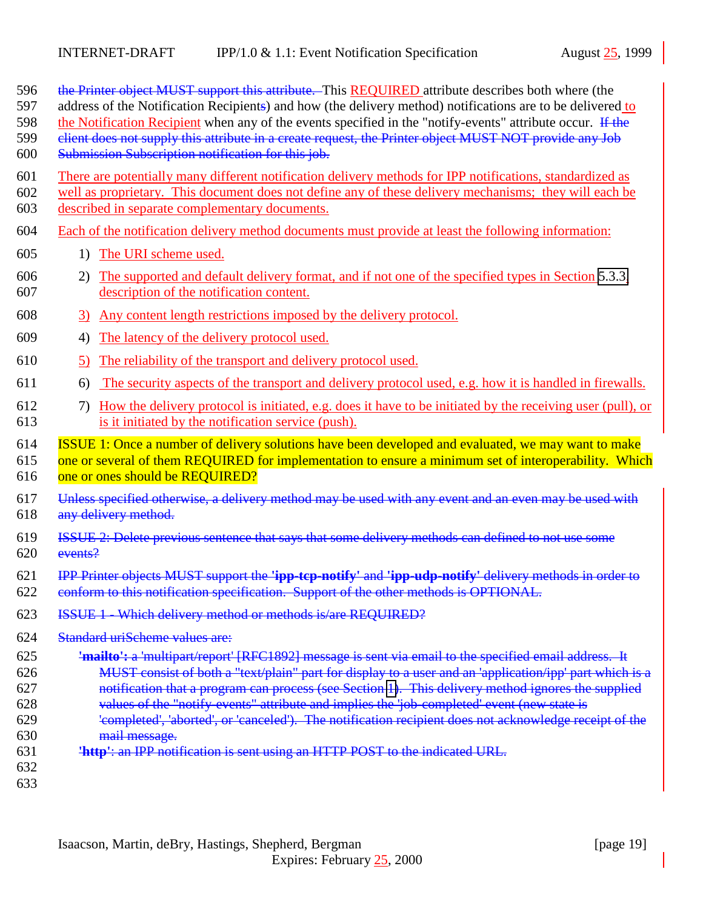| 596<br>597<br>598<br>599<br>600               | the Printer object MUST support this attribute. This REQUIRED attribute describes both where (the<br>address of the Notification Recipients) and how (the delivery method) notifications are to be delivered to<br>the Notification Recipient when any of the events specified in the "notify-events" attribute occur. If the<br>elient does not supply this attribute in a create request, the Printer object MUST NOT provide any Job<br>Submission Subscription notification for this job.                                                                                                                                    |  |
|-----------------------------------------------|----------------------------------------------------------------------------------------------------------------------------------------------------------------------------------------------------------------------------------------------------------------------------------------------------------------------------------------------------------------------------------------------------------------------------------------------------------------------------------------------------------------------------------------------------------------------------------------------------------------------------------|--|
| 601<br>602<br>603                             | There are potentially many different notification delivery methods for IPP notifications, standardized as<br>well as proprietary. This document does not define any of these delivery mechanisms; they will each be<br>described in separate complementary documents.                                                                                                                                                                                                                                                                                                                                                            |  |
| 604                                           | Each of the notification delivery method documents must provide at least the following information:                                                                                                                                                                                                                                                                                                                                                                                                                                                                                                                              |  |
| 605                                           | The URI scheme used.<br>1)                                                                                                                                                                                                                                                                                                                                                                                                                                                                                                                                                                                                       |  |
| 606<br>607                                    | The supported and default delivery format, and if not one of the specified types in Section 5.3.3,<br>2)<br>description of the notification content.                                                                                                                                                                                                                                                                                                                                                                                                                                                                             |  |
| 608                                           | Any content length restrictions imposed by the delivery protocol.<br>3)                                                                                                                                                                                                                                                                                                                                                                                                                                                                                                                                                          |  |
| 609                                           | 4)<br>The latency of the delivery protocol used.                                                                                                                                                                                                                                                                                                                                                                                                                                                                                                                                                                                 |  |
| 610                                           | The reliability of the transport and delivery protocol used.<br>5)                                                                                                                                                                                                                                                                                                                                                                                                                                                                                                                                                               |  |
| 611                                           | The security aspects of the transport and delivery protocol used, e.g. how it is handled in firewalls.<br>6)                                                                                                                                                                                                                                                                                                                                                                                                                                                                                                                     |  |
| 612<br>613                                    | How the delivery protocol is initiated, e.g. does it have to be initiated by the receiving user (pull), or<br>7)<br>is it initiated by the notification service (push).                                                                                                                                                                                                                                                                                                                                                                                                                                                          |  |
| 614<br>615<br>616                             | ISSUE 1: Once a number of delivery solutions have been developed and evaluated, we may want to make<br>one or several of them REQUIRED for implementation to ensure a minimum set of interoperability. Which<br>one or ones should be REQUIRED?                                                                                                                                                                                                                                                                                                                                                                                  |  |
| 617<br>618                                    | Unless specified otherwise, a delivery method may be used with any event and an even may be used with<br>any delivery method.                                                                                                                                                                                                                                                                                                                                                                                                                                                                                                    |  |
| 619<br>620                                    | ISSUE 2: Delete previous sentence that says that some delivery methods can defined to not use some<br>events?                                                                                                                                                                                                                                                                                                                                                                                                                                                                                                                    |  |
| 621<br>622                                    | IPP Printer objects MUST support the 'ipp-tep-notify' and 'ipp-udp-notify' delivery methods in order to<br>conform to this notification specification. Support of the other methods is OPTIONAL.                                                                                                                                                                                                                                                                                                                                                                                                                                 |  |
| 623                                           | ISSUE 1 - Which delivery method or methods is/are REQUIRED?                                                                                                                                                                                                                                                                                                                                                                                                                                                                                                                                                                      |  |
| 624                                           | <b>Standard uriScheme values are:</b>                                                                                                                                                                                                                                                                                                                                                                                                                                                                                                                                                                                            |  |
| 625<br>626<br>627<br>628<br>629<br>630<br>631 | 'mailto': a 'multipart/report' [RFC1892] message is sent via email to the specified email address. It<br>MUST consist of both a "text/plain" part for display to a user and an 'application/ipp' part which is a<br>notification that a program can process (see Section 1). This delivery method ignores the supplied<br>values of the "notify events" attribute and implies the 'job-completed' event (new state is<br>'completed', 'aborted', or 'canceled'). The notification recipient does not acknowledge receipt of the<br>mail message.<br>'http': an IPP notification is sent using an HTTP POST to the indicated URL. |  |
| 632<br>633                                    |                                                                                                                                                                                                                                                                                                                                                                                                                                                                                                                                                                                                                                  |  |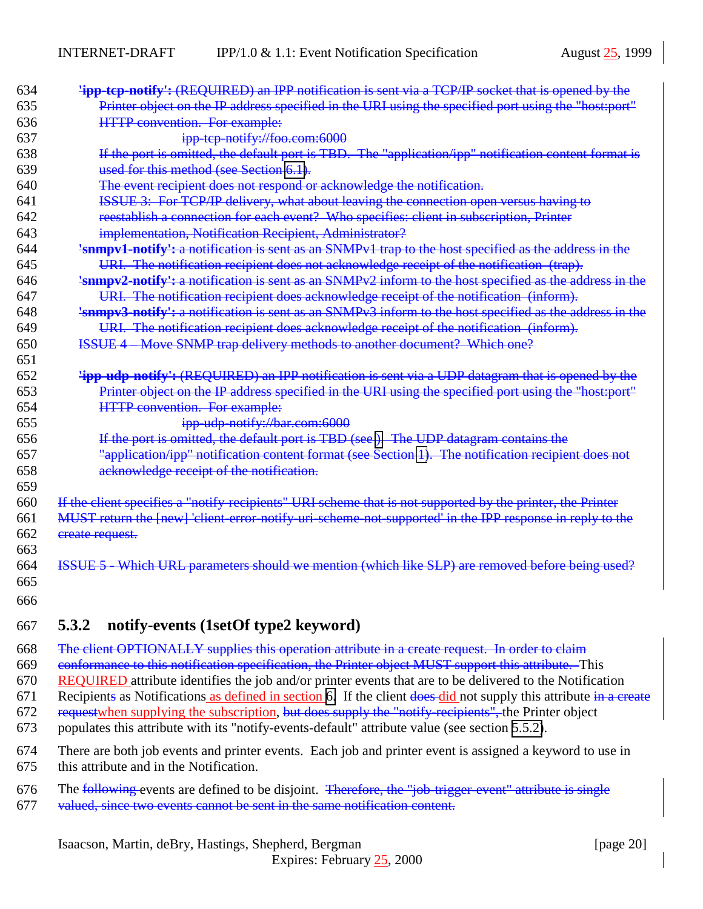<span id="page-19-0"></span>

| 634 | <b>'ipp-tep-notify':</b> (REQUIRED) an IPP notification is sent via a TCP/IP socket that is opened by the      |
|-----|----------------------------------------------------------------------------------------------------------------|
| 635 | Printer object on the IP address specified in the URI using the specified port using the "host:port"           |
| 636 | <b>HTTP</b> convention. For example:                                                                           |
| 637 | ipp-tep-notify://foo.com:6000                                                                                  |
| 638 | If the port is omitted, the default port is TBD. The "application/ipp" notification content format is          |
| 639 | used for this method (see Section 6.1).                                                                        |
| 640 | The event recipient does not respond or acknowledge the notification.                                          |
| 641 | ISSUE 3: For TCP/IP delivery, what about leaving the connection open versus having to                          |
| 642 | reestablish a connection for each event? Who specifies: client in subscription, Printer                        |
| 643 | implementation, Notification Recipient, Administrator?                                                         |
| 644 | <b>'snmpv1-notify':</b> a notification is sent as an SNMPv1 trap to the host specified as the address in the   |
| 645 | URI. The notification recipient does not acknowledge receipt of the notification (trap).                       |
| 646 | 'snmpv2-notify': a notification is sent as an SNMPv2 inform to the host specified as the address in the        |
| 647 | URI. The notification recipient does acknowledge receipt of the notification (inform).                         |
| 648 | <b>'snmpv3-notify':</b> a notification is sent as an SNMPv3 inform to the host specified as the address in the |
| 649 | URI. The notification recipient does acknowledge receipt of the notification (inform).                         |
| 650 | <b>ISSUE 4 – Move SNMP trap delivery methods to another document? Which one?</b>                               |
| 651 |                                                                                                                |
| 652 | <b>lipp-udp-notify':</b> (REQUIRED) an IPP notification is sent via a UDP datagram that is opened by the       |
| 653 | Printer object on the IP address specified in the URI using the specified port using the "host:port"           |
| 654 | <b>HTTP</b> convention. For example:                                                                           |
| 655 | ipp-udp-notify://bar.com:6000                                                                                  |
| 656 | If the port is omitted, the default port is TBD (see). The UDP datagram contains the                           |
| 657 | "application/ipp" notification content format (see Section 1). The notification recipient does not             |
| 658 | acknowledge receipt of the notification.                                                                       |
| 659 |                                                                                                                |
| 660 | If the client specifies a "notify-recipients" URI scheme that is not supported by the printer, the Printer     |
| 661 | MUST return the [new] 'client error-notify uri-scheme-not-supported' in the IPP response in reply to the       |
| 662 | create request.                                                                                                |
| 663 |                                                                                                                |
| 664 | <b>ISSUE 5 - Which URL parameters should we mention (which like SLP) are removed before being used?</b>        |
| 665 |                                                                                                                |
| 666 |                                                                                                                |
|     |                                                                                                                |

## **5.3.2 notify-events (1setOf type2 keyword)**

 The client OPTIONALLY supplies this operation attribute in a create request. In order to claim conformance to this notification specification, the Printer object MUST support this attribute. This

 REQUIRED attribute identifies the job and/or printer events that are to be delivered to the Notification 671 Recipients as Notifications as defined in section [6.](#page-28-0) If the client does did not supply this attribute in a create 672 requestwhen supplying the subscription, but does supply the "notify-recipients", the Printer object populates this attribute with its "notify-events-default" attribute value (see section [5.5.2\)](#page-26-0).

 There are both job events and printer events. Each job and printer event is assigned a keyword to use in this attribute and in the Notification.

- 676 The following events are defined to be disjoint. Therefore, the "job-trigger-event" attribute is single
- valued, since two events cannot be sent in the same notification content.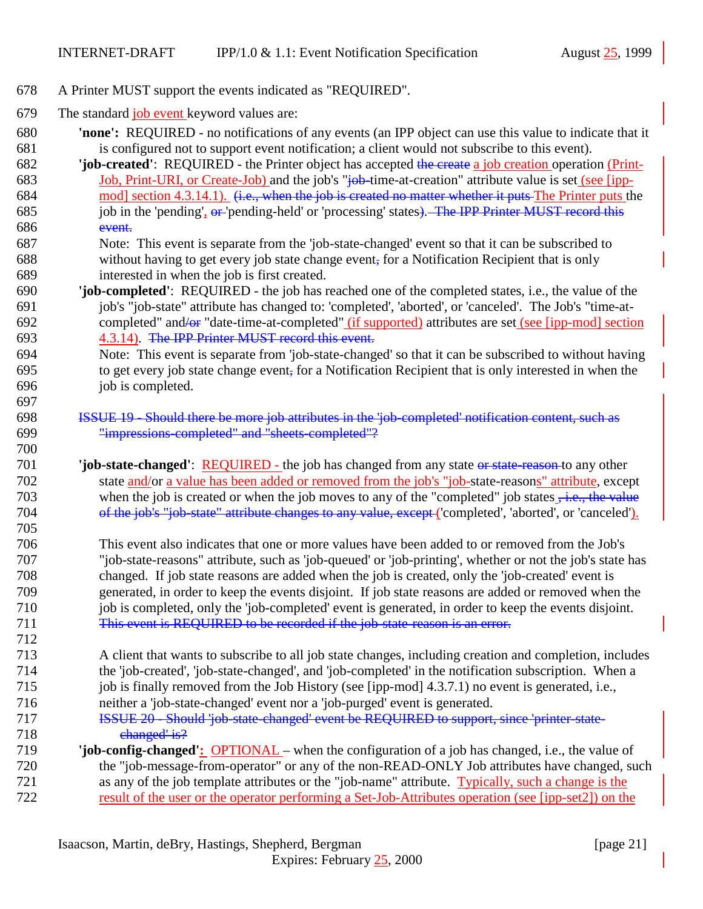- A Printer MUST support the events indicated as "REQUIRED".
- 679 The standard job event keyword values are:

- **'none':** REQUIRED no notifications of any events (an IPP object can use this value to indicate that it is configured not to support event notification; a client would not subscribe to this event).
- **'job-created'**: REQUIRED the Printer object has accepted the create a job creation operation (Print-683 Job, Print-URI, or Create-Job) and the job's "<del>job-</del>time-at-creation" attribute value is set (see [ipp-684 mod] section 4.3.14.1). (i.e., when the job is created no matter whether it puts The Printer puts the 685 job in the 'pending', or 'pending-held' or 'processing' states). The IPP Printer MUST record this event.
- Note: This event is separate from the 'job-state-changed' event so that it can be subscribed to without having to get every job state change event, for a Notification Recipient that is only interested in when the job is first created.
- **'job-completed'**: REQUIRED the job has reached one of the completed states, i.e., the value of the job's "job-state" attribute has changed to: 'completed', 'aborted', or 'canceled'. The Job's "time-at- completed" and/or "date-time-at-completed" (if supported) attributes are set (see [ipp-mod] section 4.3.14). The IPP Printer MUST record this event.
- Note: This event is separate from 'job-state-changed' so that it can be subscribed to without having to get every job state change event, for a Notification Recipient that is only interested in when the job is completed.
- ISSUE 19 Should there be more job attributes in the 'job-completed' notification content, such as "impressions-completed" and "sheets-completed"?
- **'job-state-changed'**: REQUIRED the job has changed from any state or state-reason-to any other state and/or a value has been added or removed from the job's "job-state-reasons" attribute, except 703 when the job is created or when the job moves to any of the "completed" job states  $\frac{1}{2}$ , the value 704 of the job's "job-state" attribute changes to any value, except ('completed', 'aborted', or 'canceled').
- This event also indicates that one or more values have been added to or removed from the Job's "job-state-reasons" attribute, such as 'job-queued' or 'job-printing', whether or not the job's state has changed. If job state reasons are added when the job is created, only the 'job-created' event is generated, in order to keep the events disjoint. If job state reasons are added or removed when the job is completed, only the 'job-completed' event is generated, in order to keep the events disjoint. This event is REQUIRED to be recorded if the job-state-reason is an error.
- A client that wants to subscribe to all job state changes, including creation and completion, includes the 'job-created', 'job-state-changed', and 'job-completed' in the notification subscription. When a job is finally removed from the Job History (see [ipp-mod] 4.3.7.1) no event is generated, i.e.,
- neither a 'job-state-changed' event nor a 'job-purged' event is generated.
- **ISSUE 20 Should 'job-state-changed' event be REQUIRED to support, since 'printer-state-**718 changed' is?
- **'job-config-changed':** OPTIONAL when the configuration of a job has changed, i.e., the value of the "job-message-from-operator" or any of the non-READ-ONLY Job attributes have changed, such as any of the job template attributes or the "job-name" attribute. Typically, such a change is the result of the user or the operator performing a Set-Job-Attributes operation (see [ipp-set2]) on the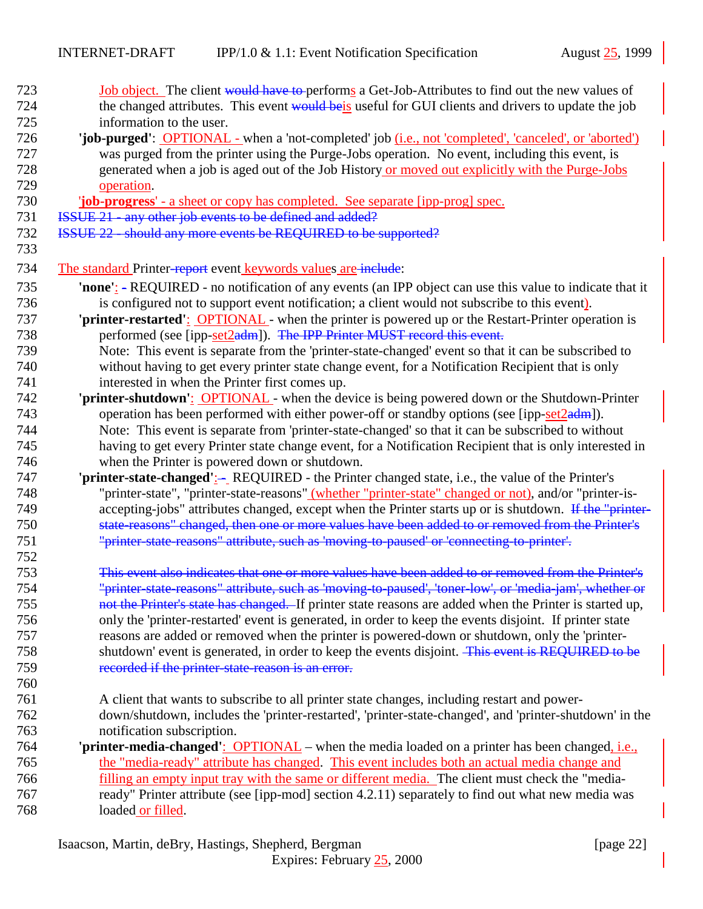| 723 | Job object. The client would have to performs a Get-Job-Attributes to find out the new values of               |
|-----|----------------------------------------------------------------------------------------------------------------|
| 724 | the changed attributes. This event would beis useful for GUI clients and drivers to update the job             |
| 725 | information to the user.                                                                                       |
| 726 | 'job-purged': OPTIONAL - when a 'not-completed' job ( <i>i.e.</i> , not 'completed', 'canceled', or 'aborted') |
| 727 | was purged from the printer using the Purge-Jobs operation. No event, including this event, is                 |
| 728 | generated when a job is aged out of the Job History or moved out explicitly with the Purge-Jobs                |
| 729 | operation.                                                                                                     |
| 730 | <b>job-progress'</b> - a sheet or copy has completed. See separate [ipp-prog] spec.                            |
| 731 | <b>ISSUE 21 - any other job events to be defined and added?</b>                                                |
| 732 | ISSUE 22 - should any more events be REQUIRED to be supported?                                                 |
| 733 |                                                                                                                |
| 734 | The standard Printer-report event keywords values are include:                                                 |
| 735 | 'none': - REQUIRED - no notification of any events (an IPP object can use this value to indicate that it       |
| 736 | is configured not to support event notification; a client would not subscribe to this event).                  |
| 737 | 'printer-restarted': OPTIONAL - when the printer is powered up or the Restart-Printer operation is             |
| 738 | performed (see [ipp-set2adm]). The IPP Printer MUST record this event.                                         |
| 739 | Note: This event is separate from the 'printer-state-changed' event so that it can be subscribed to            |
| 740 | without having to get every printer state change event, for a Notification Recipient that is only              |
| 741 | interested in when the Printer first comes up.                                                                 |
| 742 | 'printer-shutdown': OPTIONAL - when the device is being powered down or the Shutdown-Printer                   |
| 743 | operation has been performed with either power-off or standby options (see [ipp-set2adm]).                     |
| 744 | Note: This event is separate from 'printer-state-changed' so that it can be subscribed to without              |
| 745 | having to get every Printer state change event, for a Notification Recipient that is only interested in        |
| 746 | when the Printer is powered down or shutdown.                                                                  |
| 747 | 'printer-state-changed':- REQUIRED - the Printer changed state, i.e., the value of the Printer's               |
| 748 | "printer-state", "printer-state-reasons" (whether "printer-state" changed or not), and/or "printer-is-         |
| 749 | accepting-jobs" attributes changed, except when the Printer starts up or is shutdown. If the "printer-         |
| 750 | state reasons" changed, then one or more values have been added to or removed from the Printer's               |
| 751 | "printer state reasons" attribute, such as 'moving to paused' or 'connecting to printer'.                      |
| 752 |                                                                                                                |
| 753 | This event also indicates that one or more values have been added to or removed from the Printer's             |
| 754 | "printer-state-reasons" attribute, such as 'moving-to-paused', 'toner-low', or 'media-jam', whether or         |
| 755 | not the Printer's state has changed. If printer state reasons are added when the Printer is started up,        |
| 756 | only the 'printer-restarted' event is generated, in order to keep the events disjoint. If printer state        |
| 757 | reasons are added or removed when the printer is powered-down or shutdown, only the 'printer-                  |
| 758 | shutdown' event is generated, in order to keep the events disjoint. This event is REQUIRED to be               |
| 759 | recorded if the printer-state-reason is an error.                                                              |
| 760 |                                                                                                                |
| 761 | A client that wants to subscribe to all printer state changes, including restart and power-                    |
| 762 | down/shutdown, includes the 'printer-restarted', 'printer-state-changed', and 'printer-shutdown' in the        |
| 763 | notification subscription.                                                                                     |
| 764 | 'printer-media-changed': OPTIONAL – when the media loaded on a printer has been changed, <i>i.e.</i> ,         |
| 765 | the "media-ready" attribute has changed. This event includes both an actual media change and                   |
| 766 | filling an empty input tray with the same or different media. The client must check the "media-                |
| 767 | ready" Printer attribute (see [ipp-mod] section 4.2.11) separately to find out what new media was              |
| 768 | loaded or filled.                                                                                              |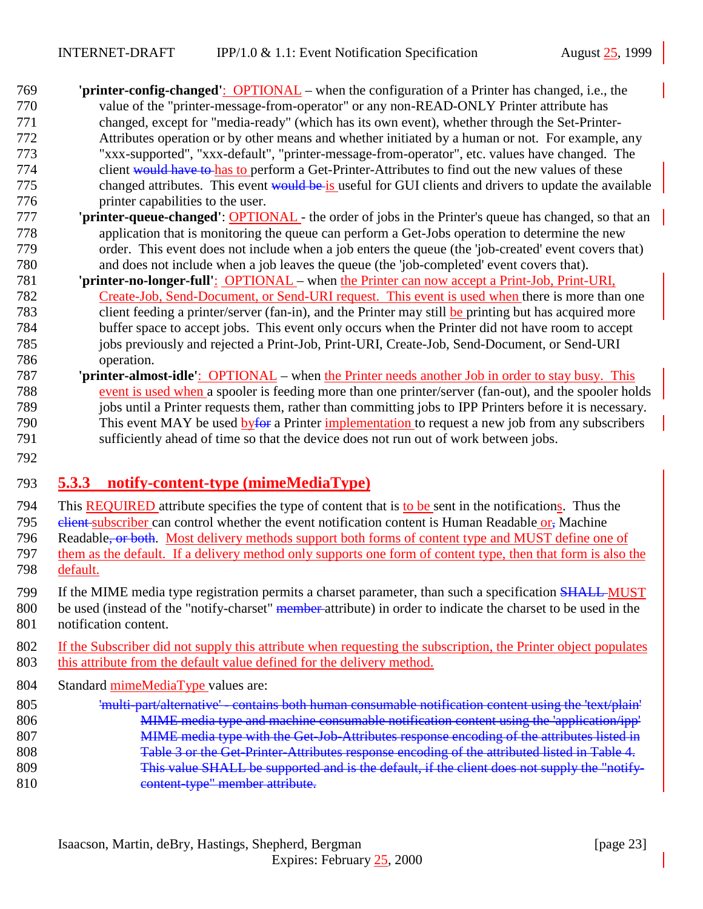- <span id="page-22-0"></span> **'printer-config-changed'**:OPTIONAL – when the configuration of a Printer has changed, i.e., the value of the "printer-message-from-operator" or any non-READ-ONLY Printer attribute has changed, except for "media-ready" (which has its own event), whether through the Set-Printer- Attributes operation or by other means and whether initiated by a human or not. For example, any "xxx-supported", "xxx-default", "printer-message-from-operator", etc. values have changed. The 774 client would have to has to perform a Get-Printer-Attributes to find out the new values of these 775 changed attributes. This event would be is useful for GUI clients and drivers to update the available printer capabilities to the user.
- **'printer-queue-changed'**: OPTIONAL the order of jobs in the Printer's queue has changed, so that an application that is monitoring the queue can perform a Get-Jobs operation to determine the new order. This event does not include when a job enters the queue (the 'job-created' event covers that) and does not include when a job leaves the queue (the 'job-completed' event covers that).
- **'printer-no-longer-full'**: OPTIONAL when the Printer can now accept a Print-Job, Print-URI, Create-Job, Send-Document, or Send-URI request. This event is used when there is more than one client feeding a printer/server (fan-in), and the Printer may still be printing but has acquired more buffer space to accept jobs. This event only occurs when the Printer did not have room to accept jobs previously and rejected a Print-Job, Print-URI, Create-Job, Send-Document, or Send-URI operation.
- **'printer-almost-idle'**:OPTIONAL when the Printer needs another Job in order to stay busy. This event is used when a spooler is feeding more than one printer/server (fan-out), and the spooler holds jobs until a Printer requests them, rather than committing jobs to IPP Printers before it is necessary. 790 This event MAY be used byfor a Printer implementation to request a new job from any subscribers sufficiently ahead of time so that the device does not run out of work between jobs.
- 

## **5.3.3 notify-content-type (mimeMediaType)**

- This REQUIRED attribute specifies the type of content that is to be sent in the notifications. Thus the 795 elient subscriber can control whether the event notification content is Human Readable or, Machine 796 Readable<del>, or both</del>. Most delivery methods support both forms of content type and MUST define one of them as the default. If a delivery method only supports one form of content type, then that form is also the default.
- 799 If the MIME media type registration permits a charset parameter, than such a specification SHALL MUST
- 800 be used (instead of the "notify-charset" member attribute) in order to indicate the charset to be used in the notification content.
- If the Subscriber did not supply this attribute when requesting the subscription, the Printer object populates this attribute from the default value defined for the delivery method.
- Standard mimeMediaType values are:
- 'multi-part/alternative' contains both human consumable notification content using the 'text/plain' 806 MIME media type and machine consumable notification content using the 'application/ipp' 807 MIME media type with the Get-Job-Attributes response encoding of the attributes listed in Table 3 or the Get-Printer-Attributes response encoding of the attributed listed in Table 4. This value SHALL be supported and is the default, if the client does not supply the "notify-content-type" member attribute.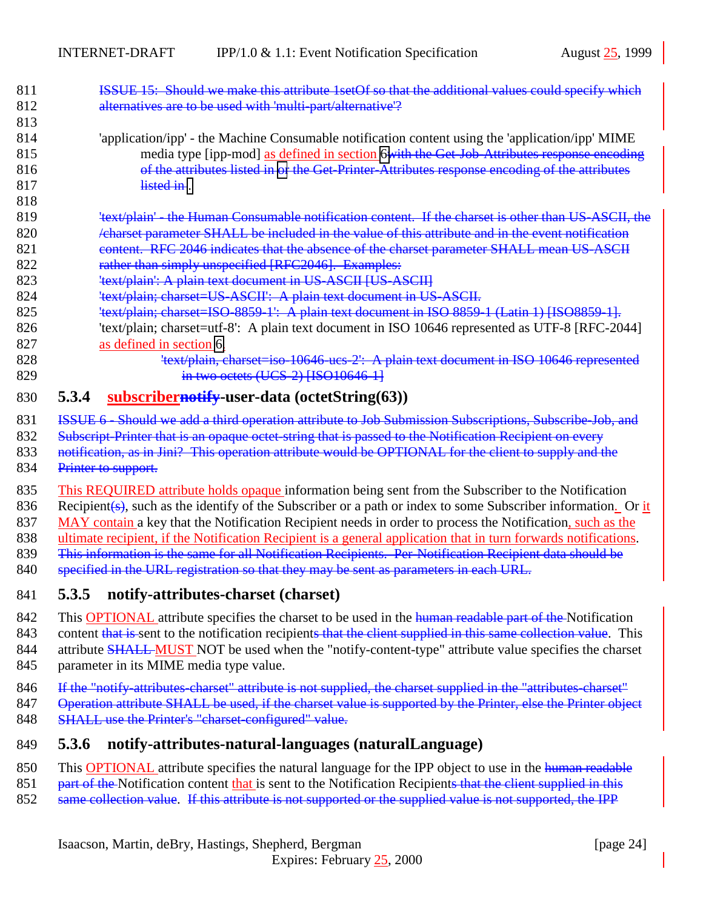<span id="page-23-0"></span>

| 811 | ISSUE 15: Should we make this attribute 1setOf so that the additional values could specify which        |
|-----|---------------------------------------------------------------------------------------------------------|
| 812 | alternatives are to be used with 'multi-part/alternative'?                                              |
| 813 |                                                                                                         |
| 814 | 'application/ipp' - the Machine Consumable notification content using the 'application/ipp' MIME        |
| 815 | media type [ipp-mod] as defined in section 6with the Get-Job-Attributes response encoding               |
| 816 | of the attributes listed in or the Get-Printer-Attributes response encoding of the attributes           |
| 817 | <del>listed in</del>                                                                                    |
| 818 |                                                                                                         |
| 819 | <del>'text/plain' - the Human Consumable notification content. If the charset is other than US-AS</del> |
| 820 | led in the value of this attribute and in the event notification                                        |
| 821 | content. RFC 2046 indicates that the absence of the charset parameter SHALL mean US-                    |
|     |                                                                                                         |

- 822 rather than simply unspecified [RFC2046]. Examples:
- 823 'text/plain': A plain text document in US-ASCII [US-ASCII]
- 824 'text/plain; charset=US-ASCII': A plain text document in US-ASCII.
- 825 'text/plain; charset=ISO-8859-1': A plain text document in ISO 8859-1 (Latin 1) [ISO8859-1].
- 826 'text/plain; charset=utf-8': A plain text document in ISO 10646 represented as UTF-8 [RFC-2044] 827 as defined in section [6.](#page-28-0)
- 828 'text/plain, charset=iso-10646 ucs-2': A plain text document in ISO 10646 represented 829 **in two octets (UCS-2)** [ISO10646-1]

#### 830 **5.3.4 subscribernotify-user-data (octetString(63))**

831 ISSUE 6 - Should we add a third operation attribute to Job Submission Subscriptions, Subscribe-Job, and

832 Subscript-Printer that is an opaque octet-string that is passed to the Notification Recipient on every

- 833 notification, as in Jini? This operation attribute would be OPTIONAL for the client to supply and the
- 834 Printer to support.

835 This REQUIRED attribute holds opaque information being sent from the Subscriber to the Notification 836 Recipient(s), such as the identify of the Subscriber or a path or index to some Subscriber information. Or it 837 MAY contain a key that the Notification Recipient needs in order to process the Notification, such as the 838 ultimate recipient, if the Notification Recipient is a general application that in turn forwards notifications. 839 This information is the same for all Notification Recipients. Per-Notification Recipient data should be

- 840 specified in the URL registration so that they may be sent as parameters in each URL.
- 841 **5.3.5 notify-attributes-charset (charset)**
- 842 This **OPTIONAL** attribute specifies the charset to be used in the human readable part of the Notification
- 843 content that is sent to the notification recipients that the client supplied in this same collection value. This 844 attribute **SHALL MUST** NOT be used when the "notify-content-type" attribute value specifies the charset
- 845 parameter in its MIME media type value.
- 846 If the "notify-attributes-charset" attribute is not supplied, the charset supplied in the "attributes-charset"
- 847 Operation attribute SHALL be used, if the charset value is supported by the Printer, else the Printer object
- 848 SHALL use the Printer's "charset-configured" value.

#### 849 **5.3.6 notify-attributes-natural-languages (naturalLanguage)**

- 850 This OPTIONAL attribute specifies the natural language for the IPP object to use in the human readable
- 851 part of the Notification content that is sent to the Notification Recipients that the client supplied in this
- 852 same collection value. If this attribute is not supported or the supplied value is not supported, the IPP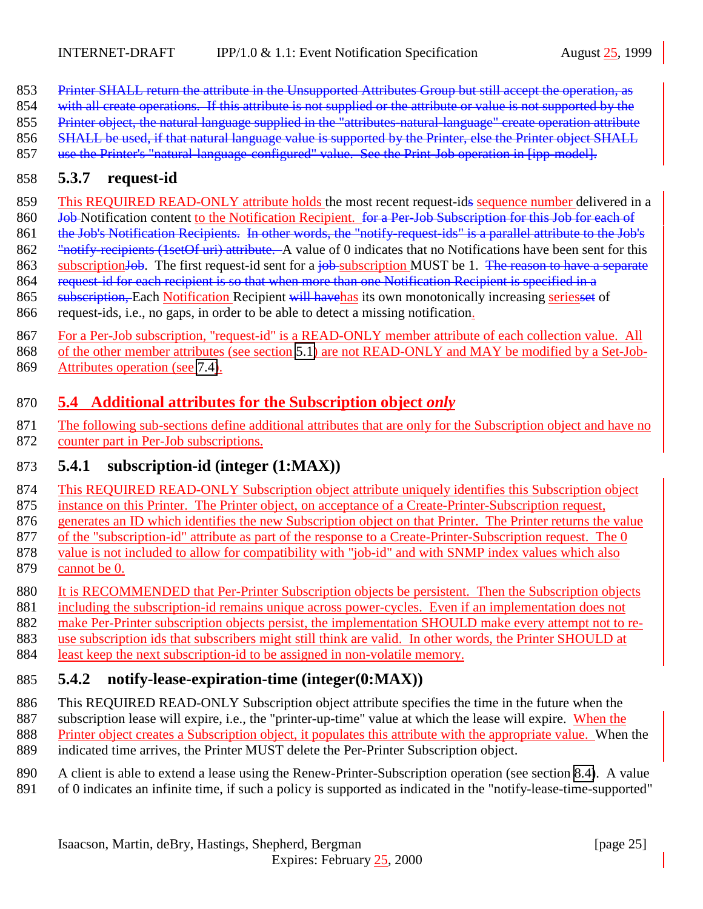- <span id="page-24-0"></span>853 Printer SHALL return the attribute in the Unsupported Attributes Group but still accept the operation, as
- 854 with all create operations. If this attribute is not supplied or the attribute or value is not supported by the
- 855 Printer object, the natural language supplied in the "attributes-natural-language" create operation attribute
- 856 SHALL be used, if that natural language value is supported by the Printer, else the Printer object SHALL
- use the Printer's "natural-language-configured" value. See the Print-Job operation in [ipp-model].

# **5.3.7 request-id**

- 859 This REQUIRED READ-ONLY attribute holds the most recent request-ids sequence number delivered in a
- 860 <del>Job</del> Notification content to the Notification Recipient. for a Per-Job Subscription for this Job for each of 861 the Job's Notification Recipients. In other words, the "notify-request-ids" is a parallel attribute to the Job's
- 862 "<del>notify recipients (1setOf uri) attribute.</del> A value of 0 indicates that no Notifications have been sent for this
- 863 subscriptionJob. The first request-id sent for a job subscription MUST be 1. The reason to have a separate
- request-id for each recipient is so that when more than one Notification Recipient is specified in a 865 subscription, Each Notification Recipient will have has its own monotonically increasing seriesset of
- request-ids, i.e., no gaps, in order to be able to detect a missing notification.
- For a Per-Job subscription, "request-id" is a READ-ONLY member attribute of each collection value. All
- of the other member attributes (see section [5.1\)](#page-15-0) are not READ-ONLY and MAY be modified by a Set-Job-
- Attributes operation (see [7.4\)](#page-37-0).

# **5.4 Additional attributes for the Subscription object** *only*

 The following sub-sections define additional attributes that are only for the Subscription object and have no counter part in Per-Job subscriptions.

# **5.4.1 subscription-id (integer (1:MAX))**

- This REQUIRED READ-ONLY Subscription object attribute uniquely identifies this Subscription object
- instance on this Printer. The Printer object, on acceptance of a Create-Printer-Subscription request,
- generates an ID which identifies the new Subscription object on that Printer. The Printer returns the value
- of the "subscription-id" attribute as part of the response to a Create-Printer-Subscription request. The 0
- value is not included to allow for compatibility with "job-id" and with SNMP index values which also cannot be 0.
- 880 It is RECOMMENDED that Per-Printer Subscription objects be persistent. Then the Subscription objects
- including the subscription-id remains unique across power-cycles. Even if an implementation does not
- make Per-Printer subscription objects persist, the implementation SHOULD make every attempt not to re-
- use subscription ids that subscribers might still think are valid. In other words, the Printer SHOULD at
- least keep the next subscription-id to be assigned in non-volatile memory.

# **5.4.2 notify-lease-expiration-time (integer(0:MAX))**

- This REQUIRED READ-ONLY Subscription object attribute specifies the time in the future when the
- subscription lease will expire, i.e., the "printer-up-time" value at which the lease will expire. When the
- Printer object creates a Subscription object, it populates this attribute with the appropriate value. When the
- indicated time arrives, the Printer MUST delete the Per-Printer Subscription object.
- A client is able to extend a lease using the Renew-Printer-Subscription operation (see section [8.4\)](#page-41-0). A value
- of 0 indicates an infinite time, if such a policy is supported as indicated in the "notify-lease-time-supported"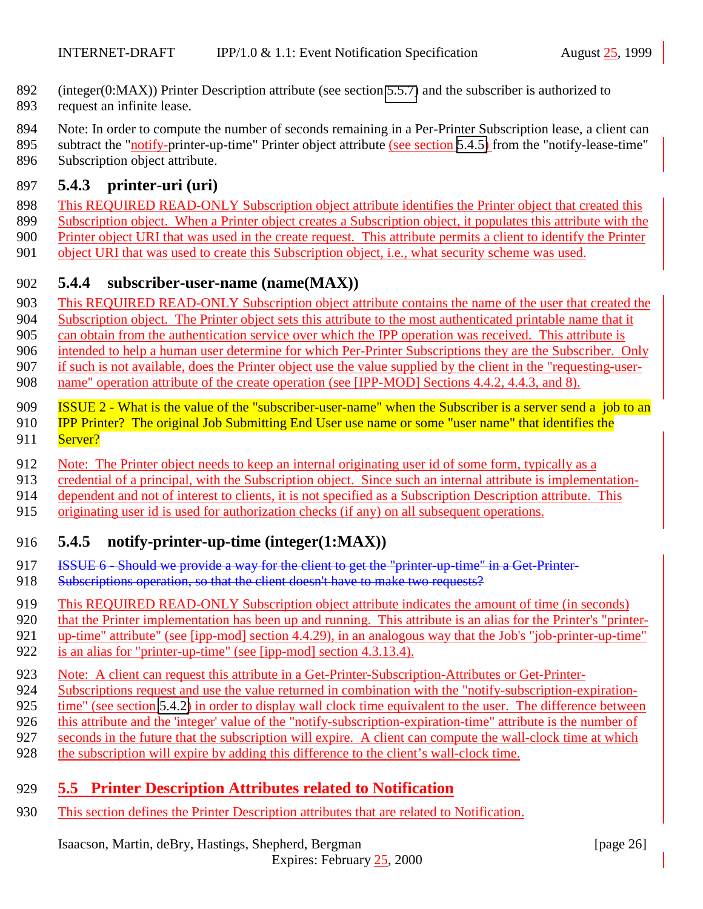- <span id="page-25-0"></span>(integer(0:MAX)) Printer Description attribute (see section [5.5.7\)](#page-27-0) and the subscriber is authorized to
- request an infinite lease.
- Note: In order to compute the number of seconds remaining in a Per-Printer Subscription lease, a client can
- 895 subtract the "notify-printer-up-time" Printer object attribute (see section 5.4.5) from the "notify-lease-time"
- Subscription object attribute.

# **5.4.3 printer-uri (uri)**

- This REQUIRED READ-ONLY Subscription object attribute identifies the Printer object that created this
- Subscription object. When a Printer object creates a Subscription object, it populates this attribute with the
- Printer object URI that was used in the create request. This attribute permits a client to identify the Printer
- object URI that was used to create this Subscription object, i.e., what security scheme was used.

# **5.4.4 subscriber-user-name (name(MAX))**

- This REQUIRED READ-ONLY Subscription object attribute contains the name of the user that created the
- Subscription object. The Printer object sets this attribute to the most authenticated printable name that it
- can obtain from the authentication service over which the IPP operation was received. This attribute is

intended to help a human user determine for which Per-Printer Subscriptions they are the Subscriber. Only

if such is not available, does the Printer object use the value supplied by the client in the "requesting-user-

- 908 name" operation attribute of the create operation (see [IPP-MOD] Sections 4.4.2, 4.4.3, and 8).
- 909 ISSUE 2 What is the value of the "subscriber-user-name" when the Subscriber is a server send a job to an
- **IPP Printer?** The original Job Submitting End User use name or some "user name" that identifies the 911 Server?
- Note: The Printer object needs to keep an internal originating user id of some form, typically as a
- credential of a principal, with the Subscription object. Since such an internal attribute is implementation-
- dependent and not of interest to clients, it is not specified as a Subscription Description attribute. This
- originating user id is used for authorization checks (if any) on all subsequent operations.

# **5.4.5 notify-printer-up-time (integer(1:MAX))**

- 917 ISSUE 6 Should we provide a way for the client to get the "printer-up-time" in a Get-Printer-
- 918 Subscriptions operation, so that the client doesn't have to make two requests?
- This REQUIRED READ-ONLY Subscription object attribute indicates the amount of time (in seconds)
- that the Printer implementation has been up and running. This attribute is an alias for the Printer's "printer-
- up-time" attribute" (see [ipp-mod] section 4.4.29), in an analogous way that the Job's "job-printer-up-time"
- is an alias for "printer-up-time" (see [ipp-mod] section 4.3.13.4).
- Note: A client can request this attribute in a Get-Printer-Subscription-Attributes or Get-Printer-
- Subscriptions request and use the value returned in combination with the "notify-subscription-expiration-
- time" (see section [5.4.2\)](#page-24-0) in order to display wall clock time equivalent to the user. The difference between
- this attribute and the 'integer' value of the "notify-subscription-expiration-time" attribute is the number of
- seconds in the future that the subscription will expire. A client can compute the wall-clock time at which
- the subscription will expire by adding this difference to the client's wall-clock time.

# **5.5 Printer Description Attributes related to Notification**

This section defines the Printer Description attributes that are related to Notification.

Isaacson, Martin, deBry, Hastings, Shepherd, Bergman [page 26]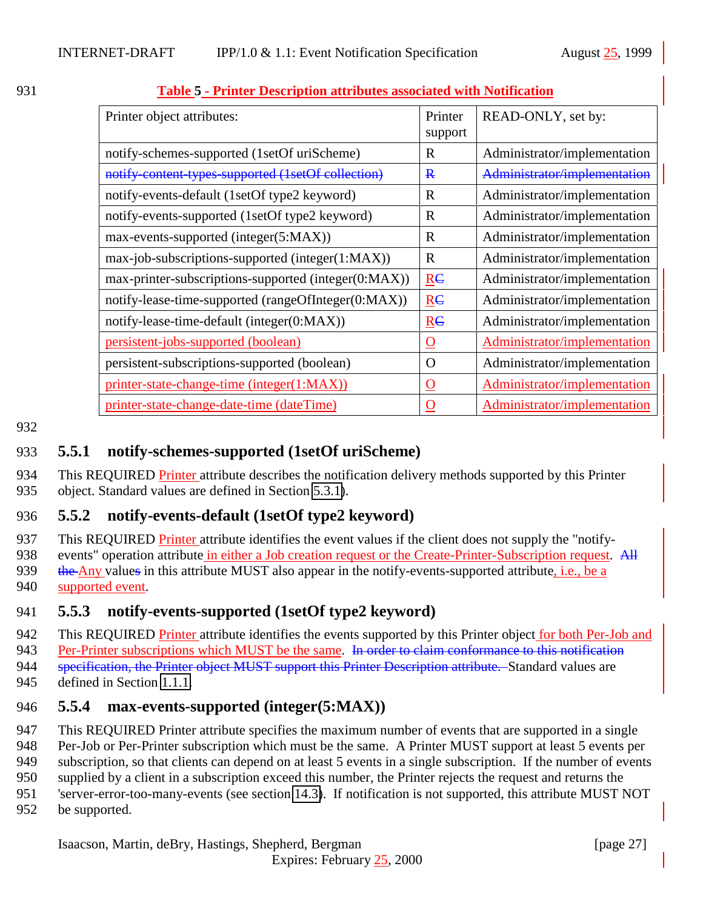| Printer object attributes:                           | Printer<br>support   | READ-ONLY, set by:           |
|------------------------------------------------------|----------------------|------------------------------|
| notify-schemes-supported (1setOf uriScheme)          | R                    | Administrator/implementation |
| notify-content-types-supported (1setOf collection)   | $\bf{R}$             | Administrator/implementation |
| notify-events-default (1setOf type2 keyword)         | R                    | Administrator/implementation |
| notify-events-supported (1setOf type2 keyword)       | R                    | Administrator/implementation |
| max-events-supported (integer(5:MAX))                | R                    | Administrator/implementation |
| max-job-subscriptions-supported (integer(1:MAX))     | R                    | Administrator/implementation |
| max-printer-subscriptions-supported (integer(0:MAX)) | Re                   | Administrator/implementation |
| notify-lease-time-supported (rangeOfInteger(0:MAX))  | Re                   | Administrator/implementation |
| notify-lease-time-default (integer(0:MAX))           | RC                   | Administrator/implementation |
| persistent-jobs-supported (boolean)                  | <u>0</u>             | Administrator/implementation |
| persistent-subscriptions-supported (boolean)         | O                    | Administrator/implementation |
| printer-state-change-time (integer(1:MAX))           | $\underline{\Omega}$ | Administrator/implementation |
| printer-state-change-date-time (dateTime)            | $\mathbf O$          | Administrator/implementation |

#### <span id="page-26-0"></span>931 **Table 5 - Printer Description attributes associated with Notification**

#### 932

### 933 **5.5.1 notify-schemes-supported (1setOf uriScheme)**

934 This REQUIRED Printer attribute describes the notification delivery methods supported by this Printer 935 object. Standard values are defined in Section [5.3.1\)](#page-17-0).

## 936 **5.5.2 notify-events-default (1setOf type2 keyword)**

937 This REQUIRED Printer attribute identifies the event values if the client does not supply the "notify-

938 events" operation attribute in either a Job creation request or the Create-Printer-Subscription request. All

939 the Any values in this attribute MUST also appear in the notify-events-supported attribute, i.e., be a 940 supported event.

## 941 **5.5.3 notify-events-supported (1setOf type2 keyword)**

942 This REQUIRED Printer attribute identifies the events supported by this Printer object for both Per-Job and

943 Per-Printer subscriptions which MUST be the same. In order to claim conformance to this notification

944 specification, the Printer object MUST support this Printer Description attribute. Standard values are

945 defined in Section [1.1.1.](#page-45-0)

#### 946 **5.5.4 max-events-supported (integer(5:MAX))**

947 This REQUIRED Printer attribute specifies the maximum number of events that are supported in a single

948 Per-Job or Per-Printer subscription which must be the same. A Printer MUST support at least 5 events per

949 subscription, so that clients can depend on at least 5 events in a single subscription. If the number of events

950 supplied by a client in a subscription exceed this number, the Printer rejects the request and returns the

- 951 'server-error-too-many-events (see section [14.3\)](#page-56-0). If notification is not supported, this attribute MUST NOT
- 952 be supported.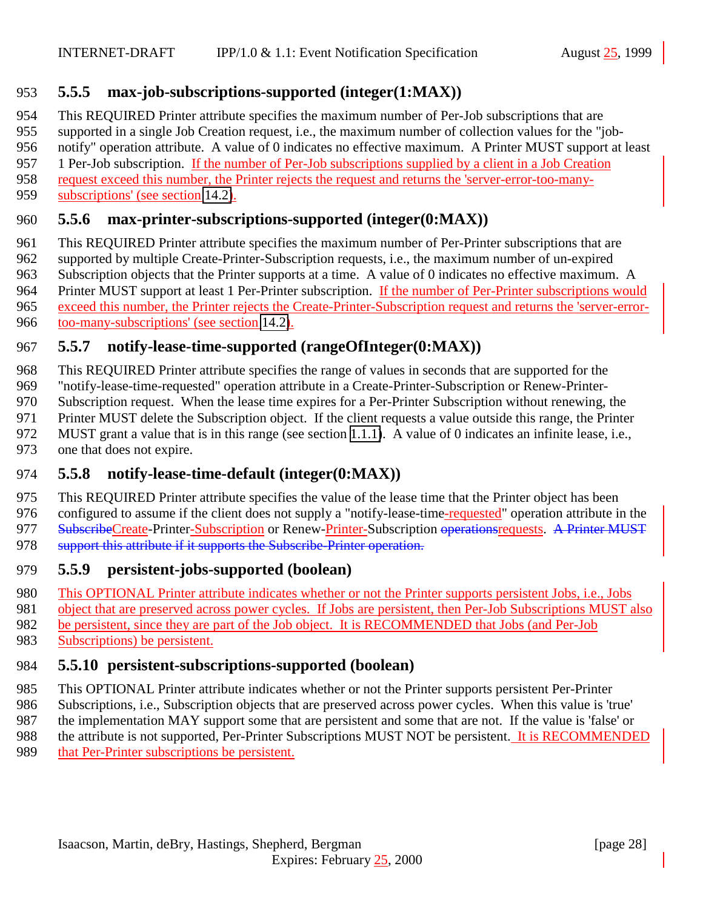## <span id="page-27-0"></span>**5.5.5 max-job-subscriptions-supported (integer(1:MAX))**

This REQUIRED Printer attribute specifies the maximum number of Per-Job subscriptions that are

supported in a single Job Creation request, i.e., the maximum number of collection values for the "job-

notify" operation attribute. A value of 0 indicates no effective maximum. A Printer MUST support at least

1 Per-Job subscription. If the number of Per-Job subscriptions supplied by a client in a Job Creation

request exceed this number, the Printer rejects the request and returns the 'server-error-too-many-

subscriptions' (see section [14.2\)](#page-56-0).

### **5.5.6 max-printer-subscriptions-supported (integer(0:MAX))**

 This REQUIRED Printer attribute specifies the maximum number of Per-Printer subscriptions that are supported by multiple Create-Printer-Subscription requests, i.e., the maximum number of un-expired Subscription objects that the Printer supports at a time. A value of 0 indicates no effective maximum. A Printer MUST support at least 1 Per-Printer subscription. If the number of Per-Printer subscriptions would exceed this number, the Printer rejects the Create-Printer-Subscription request and returns the 'server-error-too-many-subscriptions' (see section [14.2\)](#page-56-0).

## **5.5.7 notify-lease-time-supported (rangeOfInteger(0:MAX))**

 This REQUIRED Printer attribute specifies the range of values in seconds that are supported for the "notify-lease-time-requested" operation attribute in a Create-Printer-Subscription or Renew-Printer- Subscription request. When the lease time expires for a Per-Printer Subscription without renewing, the Printer MUST delete the Subscription object. If the client requests a value outside this range, the Printer

MUST grant a value that is in this range (see section [1.1.1\)](#page-49-0). A value of 0 indicates an infinite lease, i.e.,

one that does not expire.

## **5.5.8 notify-lease-time-default (integer(0:MAX))**

 This REQUIRED Printer attribute specifies the value of the lease time that the Printer object has been 976 configured to assume if the client does not supply a "notify-lease-time-requested" operation attribute in the 977 SubscribeCreate-Printer-Subscription or Renew-Printer-Subscription operationsrequests. A Printer MUST 978 support this attribute if it supports the Subscribe-Printer operation.

#### **5.5.9 persistent-jobs-supported (boolean)**

This OPTIONAL Printer attribute indicates whether or not the Printer supports persistent Jobs, i.e., Jobs

object that are preserved across power cycles. If Jobs are persistent, then Per-Job Subscriptions MUST also

be persistent, since they are part of the Job object. It is RECOMMENDED that Jobs (and Per-Job

Subscriptions) be persistent.

## **5.5.10 persistent-subscriptions-supported (boolean)**

This OPTIONAL Printer attribute indicates whether or not the Printer supports persistent Per-Printer

Subscriptions, i.e., Subscription objects that are preserved across power cycles. When this value is 'true'

 the implementation MAY support some that are persistent and some that are not. If the value is 'false' or 988 the attribute is not supported, Per-Printer Subscriptions MUST NOT be persistent. It is RECOMMENDED

that Per-Printer subscriptions be persistent.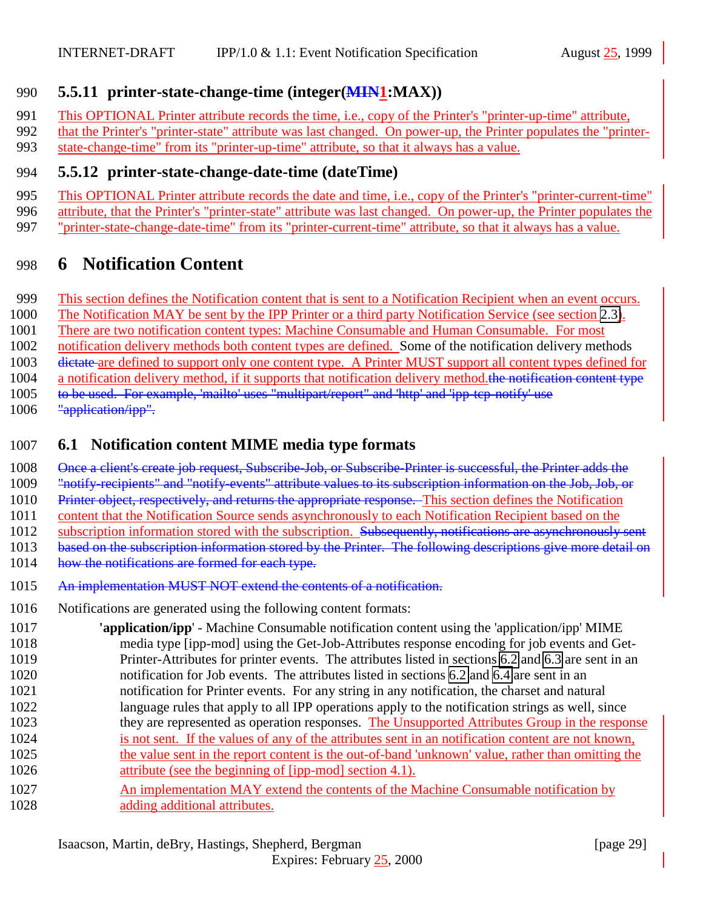### <span id="page-28-0"></span>**5.5.11 printer-state-change-time (integer(MIN1:MAX))**

- This OPTIONAL Printer attribute records the time, i.e., copy of the Printer's "printer-up-time" attribute,
- 992 that the Printer's "printer-state" attribute was last changed. On power-up, the Printer populates the "printer-state-change-time" from its "printer-up-time" attribute, so that it always has a value.

#### **5.5.12 printer-state-change-date-time (dateTime)**

- This OPTIONAL Printer attribute records the date and time, i.e., copy of the Printer's "printer-current-time"
- attribute, that the Printer's "printer-state" attribute was last changed. On power-up, the Printer populates the
- "printer-state-change-date-time" from its "printer-current-time" attribute, so that it always has a value.

# **6 Notification Content**

- This section defines the Notification content that is sent to a Notification Recipient when an event occurs.
- The Notification MAY be sent by the IPP Printer or a third party Notification Service (see section [2.3\)](#page-9-0).
- There are two notification content types: Machine Consumable and Human Consumable. For most
- notification delivery methods both content types are defined. Some of the notification delivery methods
- dictate are defined to support only one content type. A Printer MUST support all content types defined for
- 1004 a notification delivery method, if it supports that notification delivery method.the notification content type
- to be used. For example, 'mailto' uses "multipart/report" and 'http' and 'ipp-tcp-notify' use
- 1006 "application/ipp".

# **6.1 Notification content MIME media type formats**

- 1008 Once a client's create job request, Subscribe-Job, or Subscribe-Printer is successful, the Printer adds the
- "notify-recipients" and "notify-events" attribute values to its subscription information on the Job, Job, or
- 1010 Printer object, respectively, and returns the appropriate response. This section defines the Notification
- 1011 content that the Notification Source sends asynchronously to each Notification Recipient based on the
- 1012 subscription information stored with the subscription. Subsequently, notifications are asynchronously sent
- based on the subscription information stored by the Printer. The following descriptions give more detail on
- 1014 how the notifications are formed for each type.
- 1015 An implementation MUST NOT extend the contents of a notification.
- Notifications are generated using the following content formats:
- **'application/ipp**' Machine Consumable notification content using the 'application/ipp' MIME media type [ipp-mod] using the Get-Job-Attributes response encoding for job events and Get- Printer-Attributes for printer events. The attributes listed in sections [6.2](#page-29-0) and [6.3](#page-30-0) are sent in an notification for Job events. The attributes listed in sections [6.2](#page-29-0) and [6.4](#page-31-0) are sent in an notification for Printer events. For any string in any notification, the charset and natural language rules that apply to all IPP operations apply to the notification strings as well, since they are represented as operation responses. The Unsupported Attributes Group in the response is not sent. If the values of any of the attributes sent in an notification content are not known, the value sent in the report content is the out-of-band 'unknown' value, rather than omitting the **attribute** (see the beginning of [ipp-mod] section 4.1). 1027 An implementation MAY extend the contents of the Machine Consumable notification by
- 1028 adding additional attributes.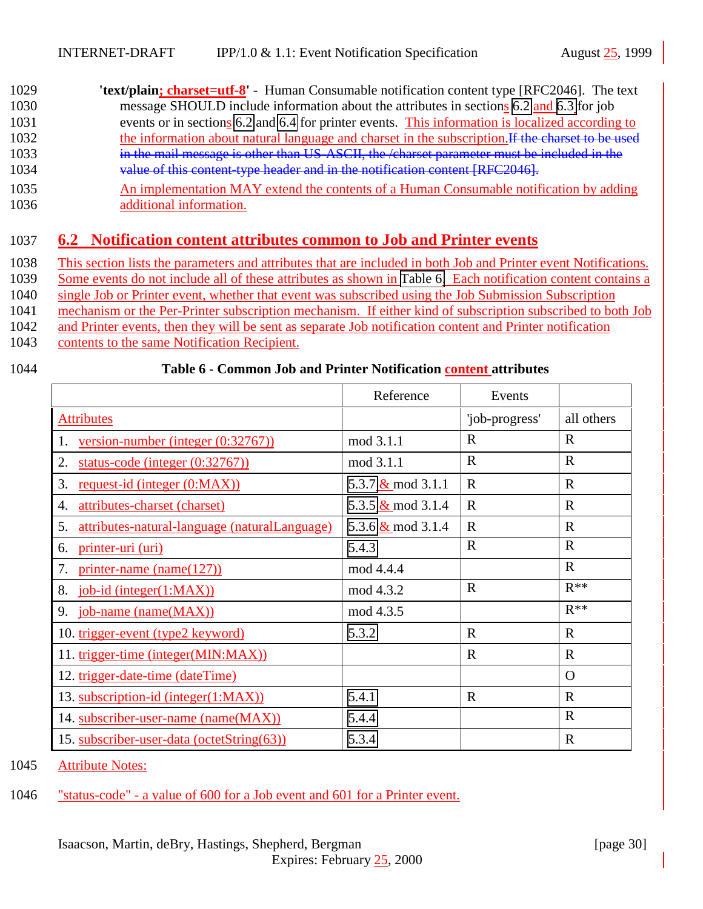- <span id="page-29-0"></span>1029 **'text/plain; charset=utf-8'** - Human Consumable notification content type [RFC2046]. The text 1030 message SHOULD include information about the attributes in sections [6.2](#page-31-0) and [6.3](#page-30-0) for job 1031 events or in sections 6.2 and [6.4](#page-31-0) for printer events. This information is localized according to 1032 the information about natural language and charset in the subscription. If the charset to be used 1033 in the mail message is other than US-ASCII, the /charset parameter must be included in the 1034 value of this content-type header and in the notification content [RFC2046].
- 1035 An implementation MAY extend the contents of a Human Consumable notification by adding 1036 additional information.

# 1037 **6.2 Notification content attributes common to Job and Printer events**

1038 This section lists the parameters and attributes that are included in both Job and Printer event Notifications.

1039 Some events do not include all of these attributes as shown in Table 6. Each notification content contains a

1040 single Job or Printer event, whether that event was subscribed using the Job Submission Subscription

1041 mechanism or the Per-Printer subscription mechanism. If either kind of subscription subscribed to both Job

1042 and Printer events, then they will be sent as separate Job notification content and Printer notification

1043 contents to the same Notification Recipient.

### 1044 **Table 6 - Common Job and Printer Notification content attributes**

|                                                              | Reference            | Events         |              |
|--------------------------------------------------------------|----------------------|----------------|--------------|
| <b>Attributes</b>                                            |                      | 'job-progress' | all others   |
| 1.<br><u>version-number (integer <math>(0.32767)</math>)</u> | mod 3.1.1            | $\mathbf R$    | $\mathbf R$  |
| 2.<br>status-code (integer $(0:32767)$ )                     | mod 3.1.1            | $\mathbf R$    | $\mathbf R$  |
| 3.<br>request-id (integer (0:MAX))                           | 5.3.7 $\&$ mod 3.1.1 | $\mathbf R$    | $\mathbf R$  |
| attributes-charset (charset)<br>4.                           | 5.3.5 $\&$ mod 3.1.4 | $\mathbf R$    | $\mathbf R$  |
| 5.<br>attributes-natural-language (naturalLanguage)          | 5.3.6 $\&$ mod 3.1.4 | $\mathbf R$    | $\mathbf R$  |
| printer-uri (uri)<br>6.                                      | 5.4.3                | $\mathbf R$    | $\mathbf R$  |
| 7.<br>$printer$ -name (name(127))                            | mod 4.4.4            |                | $\mathbf R$  |
| 8.<br>job-id (integer(1:MAX))                                | mod 4.3.2            | $\mathbf R$    | $R^{**}$     |
| 9. job-name (name (MAX))                                     | mod 4.3.5            |                | $R^{**}$     |
| 10. trigger-event (type2 keyword)                            | 5.3.2                | $\mathbf{R}$   | $\mathbf{R}$ |
| 11. trigger-time (integer(MIN:MAX))                          |                      | $\mathbf R$    | $\mathbf R$  |
| 12. trigger-date-time (dateTime)                             |                      |                | $\Omega$     |
| 13. subscription-id (integer(1:MAX))                         | 5.4.1                | $\mathbf R$    | $\mathbf{R}$ |
| 14. subscriber-user-name (name(MAX))                         | 5.4.4                |                | $\mathbf R$  |
| 15. subscriber-user-data (octetString(63))                   | 5.3.4                |                | $\mathbf R$  |

1045 Attribute Notes:

1046 "status-code" - a value of 600 for a Job event and 601 for a Printer event.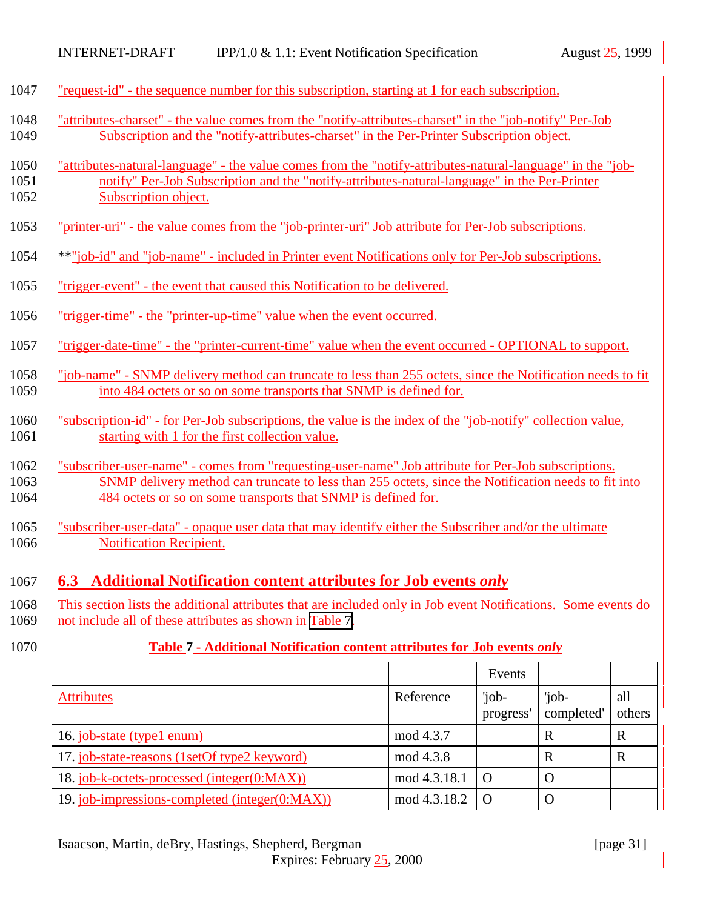<span id="page-30-0"></span>

| 1047 "request-id" - the sequence number for this subscription, starting at 1 for each subscription. |  |
|-----------------------------------------------------------------------------------------------------|--|
|-----------------------------------------------------------------------------------------------------|--|

- 1048 "attributes-charset" the value comes from the "notify-attributes-charset" in the "job-notify" Per-Job 1049 Subscription and the "notify-attributes-charset" in the Per-Printer Subscription object.
- 1050 "attributes-natural-language" the value comes from the "notify-attributes-natural-language" in the "job-1051 notify" Per-Job Subscription and the "notify-attributes-natural-language" in the Per-Printer 1052 Subscription object.
- 1053 "printer-uri" the value comes from the "job-printer-uri" Job attribute for Per-Job subscriptions.
- 1054 \*\*"job-id" and "job-name" included in Printer event Notifications only for Per-Job subscriptions.
- 1055 "trigger-event" the event that caused this Notification to be delivered.
- 1056 "trigger-time" the "printer-up-time" value when the event occurred.
- 1057 "trigger-date-time" the "printer-current-time" value when the event occurred OPTIONAL to support.
- 1058 "job-name" SNMP delivery method can truncate to less than 255 octets, since the Notification needs to fit 1059 into 484 octets or so on some transports that SNMP is defined for.
- 1060 "subscription-id" for Per-Job subscriptions, the value is the index of the "job-notify" collection value, 1061 starting with 1 for the first collection value.
- 1062 "subscriber-user-name" comes from "requesting-user-name" Job attribute for Per-Job subscriptions. 1063 SNMP delivery method can truncate to less than 255 octets, since the Notification needs to fit into 1064 484 octets or so on some transports that SNMP is defined for.
- 1065 "subscriber-user-data" opaque user data that may identify either the Subscriber and/or the ultimate 1066 **Notification Recipient.**

#### 1067 **6.3 Additional Notification content attributes for Job events** *only*

- 1068 This section lists the additional attributes that are included only in Job event Notifications. Some events do 1069 not include all of these attributes as shown in Table 7.
- 

#### 1070 **Table 7 - Additional Notification content attributes for Job events** *only*

|                                                |              | Events             |                     |               |
|------------------------------------------------|--------------|--------------------|---------------------|---------------|
| <b>Attributes</b>                              | Reference    | 'job-<br>progress' | 'job-<br>completed' | all<br>others |
| 16. job-state (type1 enum)                     | mod 4.3.7    |                    | R                   | $\mathbf R$   |
| 17. job-state-reasons (1setOf type2 keyword)   | mod 4.3.8    |                    | R                   | $\mathbf R$   |
| 18. job-k-octets-processed (integer(0:MAX))    | mod 4.3.18.1 | $\Omega$           | $\left($            |               |
| 19. job-impressions-completed (integer(0:MAX)) | mod 4.3.18.2 |                    | U                   |               |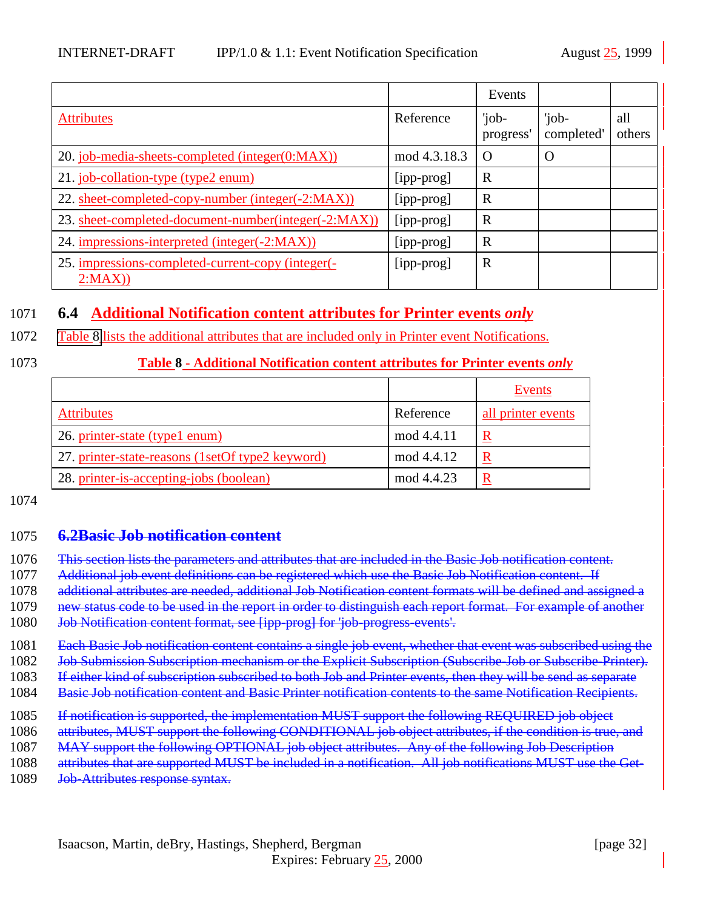<span id="page-31-0"></span>

|                                                             |              | Events             |                     |               |
|-------------------------------------------------------------|--------------|--------------------|---------------------|---------------|
| <b>Attributes</b>                                           | Reference    | 'job-<br>progress' | 'job-<br>completed' | all<br>others |
| 20. job-media-sheets-completed (integer(0:MAX))             | mod 4.3.18.3 | $\Omega$           |                     |               |
| 21. job-collation-type (type2 enum)                         | [ipp-prog]   | R                  |                     |               |
| 22. sheet-completed-copy-number (integer(-2:MAX))           | [ipp-prog]   | R                  |                     |               |
| 23. sheet-completed-document-number(integer(-2:MAX))        | [ipp-prog]   | R                  |                     |               |
| 24. impressions-interpreted (integer(-2:MAX))               | [ipp-prog]   | R                  |                     |               |
| 25. impressions-completed-current-copy (integer(-<br>2:MAX) | [ipp-prog]   | $\mathbb{R}$       |                     |               |

### 1071 **6.4 Additional Notification content attributes for Printer events** *only*

1072 Table 8 lists the additional attributes that are included only in Printer event Notifications.

#### 1073 **Table 8 - Additional Notification content attributes for Printer events** *only*

|                                                  |            | Events                  |
|--------------------------------------------------|------------|-------------------------|
| <b>Attributes</b>                                | Reference  | all printer events      |
| 26. printer-state (type1 enum)                   | mod 4.4.11 | R                       |
| 27. printer-state-reasons (1setOf type2 keyword) | mod 4.4.12 | R                       |
| 28. printer-is-accepting-jobs (boolean)          | mod 4.4.23 | $\overline{\mathbf{R}}$ |

1074

#### 1075 **6.2Basic Job notification content**

- 1076 This section lists the parameters and attributes that are included in the Basic Job notification content.
- 1077 Additional job event definitions can be registered which use the Basic Job Notification content. If
- 1078 additional attributes are needed, additional Job Notification content formats will be defined and assigned a
- 1079 new status code to be used in the report in order to distinguish each report format. For example of another
- 1080 Job Notification content format, see [ipp-prog] for 'job-progress-events'.
- 1081 Each Basic Job notification content contains a single job event, whether that event was subscribed using the
- 1082 Job Submission Subscription mechanism or the Explicit Subscription (Subscribe-Job or Subscribe-Printer).
- 1083 If either kind of subscription subscribed to both Job and Printer events, then they will be send as separate
- 1084 Basic Job notification content and Basic Printer notification contents to the same Notification Recipients.
- 1085 If notification is supported, the implementation MUST support the following REQUIRED job object
- 1086 attributes, MUST support the following CONDITIONAL job object attributes, if the condition is true, and
- 1087 MAY support the following OPTIONAL job object attributes. Any of the following Job Description
- 1088 attributes that are supported MUST be included in a notification. All job notifications MUST use the Get-
- 1089 Job-Attributes response syntax.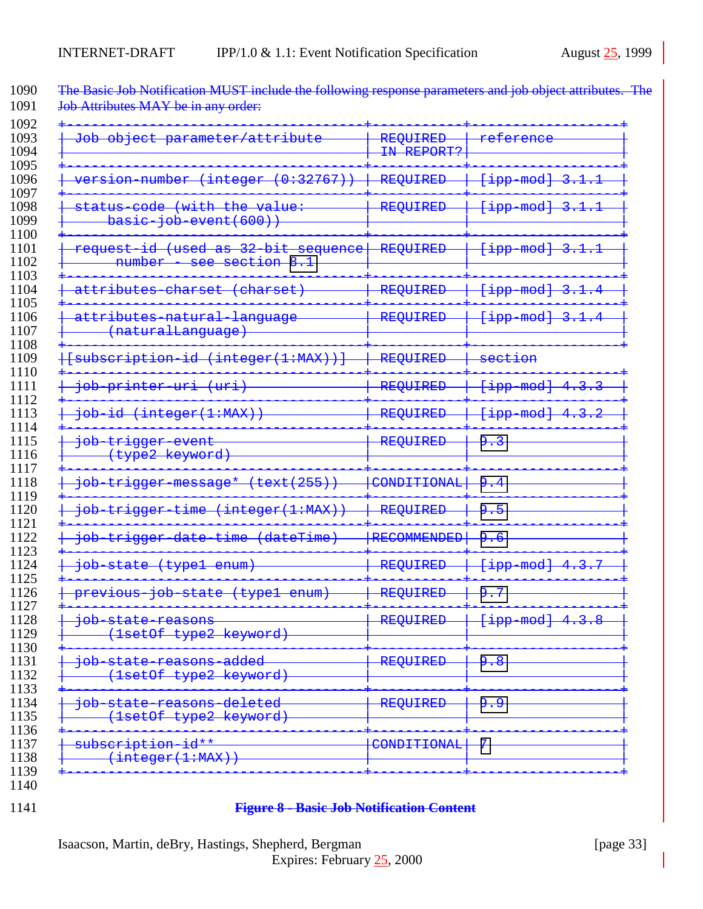| <del>/attribute</del><br><del>Job</del><br><del>object</del><br>parameter,                                                                                                           | REQUIRED<br>IN REPORT? | referene                                 |
|--------------------------------------------------------------------------------------------------------------------------------------------------------------------------------------|------------------------|------------------------------------------|
| on-number<br>(0:32767)<br>integer                                                                                                                                                    | REQUIRED               | <del>[ipp-mod]</del><br>3                |
| the value:<br><del>-code</del><br>(with<br><del>status</del><br>basic-job-event(600)                                                                                                 | <b>REQUIRED</b>        | <del>[ipp-mod]</del><br>з                |
| $\pm d$<br>$(used$<br>32<br><del>bit</del><br><del>request-</del><br><del>as</del><br><del>sequence</del><br>$\overline{\mathbf{8}}$<br>٦<br><del>number</del><br><del>section</del> | REQUIRED               | <del>[ipp-mod]</del><br>3                |
| ibutes<br>eharset<br>eharse                                                                                                                                                          | REQUIRED               | <del>[ipp-mod]</del><br>3                |
| attributes-natural-language<br><del>(naturalLanguage</del>                                                                                                                           | REQUIRED               | <del>[ipp-mod]</del><br>3                |
| subscription-id<br>(integer(1:MAX))                                                                                                                                                  | REQUIRED               | <del>section</del>                       |
| <del>طەز</del><br><del>printer-uri</del>                                                                                                                                             | REQUIRED               | <del>-mod]</del><br><del>qqi</del><br>4  |
| (integer(1:MAX)<br><del>doj</del>                                                                                                                                                    | REQUIRED               | <del>-mod]</del><br><del>qqi]</del><br>4 |
| <del>job-trigger-event</del><br><del>(type2 keyword)</del>                                                                                                                           | REQUIRED               | <u>م</u>                                 |
| (255)<br><del>trigger-message*</del><br><del>(text</del><br><del>doj</del>                                                                                                           | CONDITIONAL            | <u>م</u>                                 |
| integer(1:MAX)<br>dot<br><del>time</del><br><del>trigger</del>                                                                                                                       | REQUIRED               | <u>٩</u><br>-5                           |
| - <del>date</del><br>dateTime<br><del>doj</del><br><del>time</del><br><del>trigger</del>                                                                                             | <b>RECOMMENDED</b>     | <u>۵</u>                                 |
| <del>(typel</del><br>dot<br><del>-state</del><br>enum                                                                                                                                | REQUIRED               | <del>[ipp-mod]</del><br>3<br>4.          |
| <del>doj</del><br><del>(typel</del><br><del>state</del><br><del>10us</del><br><del>enum</del> )                                                                                      | <b>REQUIRED</b>        | 7<br>ۅ                                   |
| <del>job-state-reasons</del><br>(1setOf type2 keyword)                                                                                                                               | REQUIRED               | {ipp-mod} 4.3.8                          |
| <del>added</del><br><del>doj</del><br>setOf type2 keyword)                                                                                                                           | REQUIRED               | 9.8                                      |
| state-reasons-deleted<br><del>dof</del><br>setOf type2 keyword)                                                                                                                      | REQUIRED               | و و                                      |
| subscription-id**<br>(integer(1:MAX))                                                                                                                                                | CONDITIONAL            | 7                                        |

<span id="page-32-0"></span>1090 The Basic Job Notification MUST include the following response parameters and job object attributes. The

#### **Figure 8 - Basic Job Notification Content**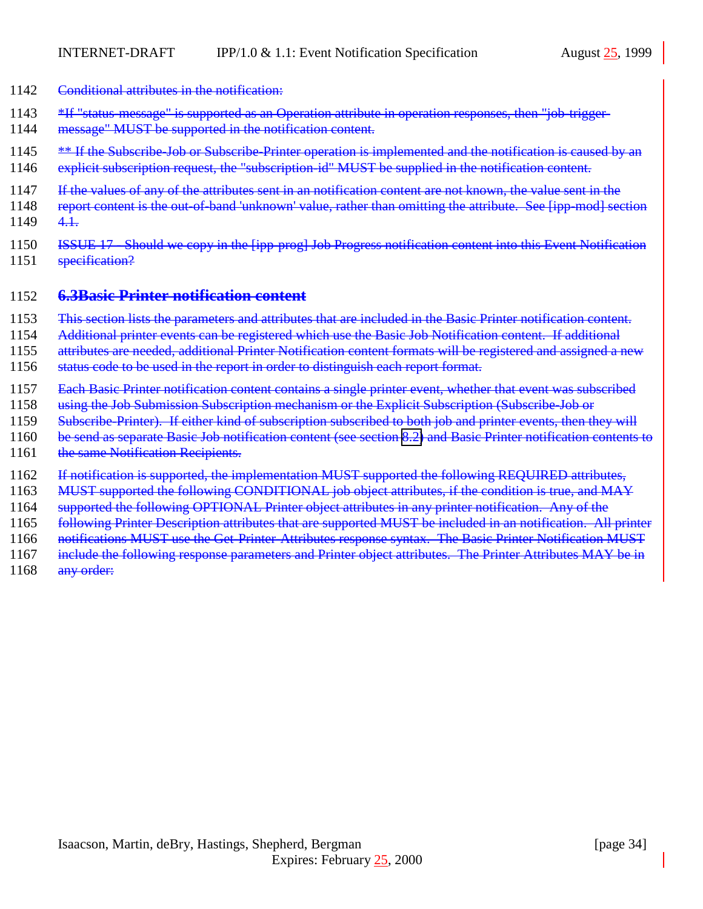- 1142 Conditional attributes in the notification:
- 1143 \*If "status-message" is supported as an Operation attribute in operation responses, then "job-trigger-
- 1144 message" MUST be supported in the notification content.
- 1145 \* **\*\*** If the Subscribe-Job or Subscribe-Printer operation is implemented and the notification is caused by an
- 1146 explicit subscription request, the "subscription-id" MUST be supplied in the notification content.
- 1147 If the values of any of the attributes sent in an notification content are not known, the value sent in the
- 1148 report content is the out-of-band 'unknown' value, rather than omitting the attribute. See [ipp-mod] section 1149 4.1.
- 1150 ISSUE 17 Should we copy in the [ipp-prog] Job Progress notification content into this Event Notification 1151 specification?

#### 1152 **6.3Basic Printer notification content**

- 1153 This section lists the parameters and attributes that are included in the Basic Printer notification content.
- 1154 Additional printer events can be registered which use the Basic Job Notification content. If additional
- 1155 attributes are needed, additional Printer Notification content formats will be registered and assigned a new
- 1156 status code to be used in the report in order to distinguish each report format.
- 1157 Each Basic Printer notification content contains a single printer event, whether that event was subscribed
- 1158 using the Job Submission Subscription mechanism or the Explicit Subscription (Subscribe-Job or
- 1159 Subscribe-Printer). If either kind of subscription subscribed to both job and printer events, then they will
- 1160 be send as separate Basic Job notification content (see section [8.2\)](#page-31-0) and Basic Printer notification contents to
- 1161 the same Notification Recipients.
- 1162 If notification is supported, the implementation MUST supported the following REQUIRED attributes,
- 1163 MUST supported the following CONDITIONAL job object attributes, if the condition is true, and MAY
- 1164 supported the following OPTIONAL Printer object attributes in any printer notification. Any of the
- 1165 following Printer Description attributes that are supported MUST be included in an notification. All printer
- 1166 notifications MUST use the Get-Printer-Attributes response syntax. The Basic Printer Notification MUST
- 1167 include the following response parameters and Printer object attributes. The Printer Attributes MAY be in
- 1168 any order: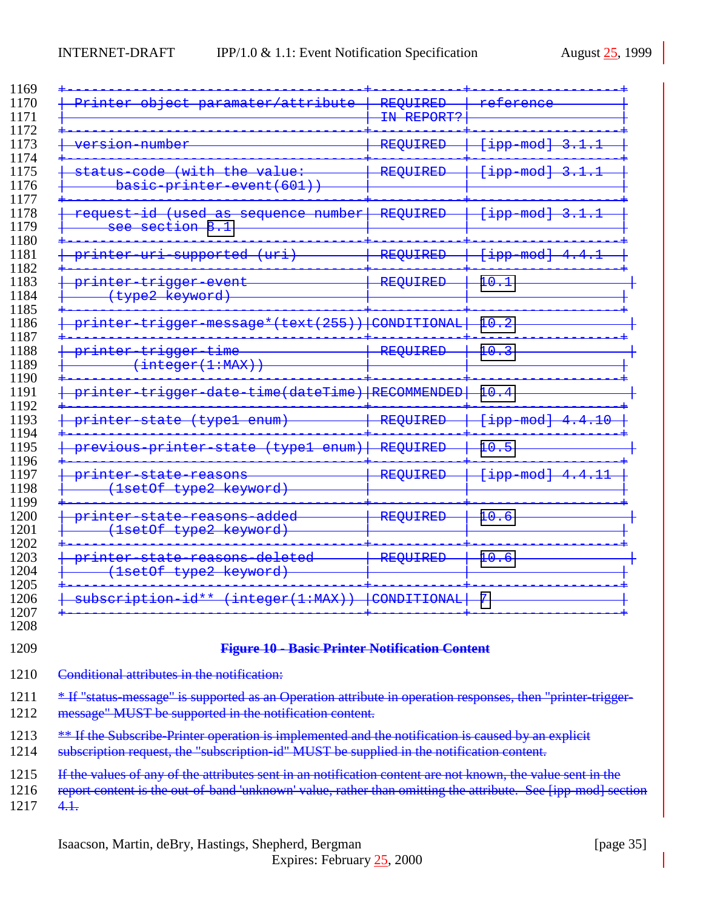<span id="page-34-0"></span>

| paramater/attribute<br>₽r<br><del>object</del>                                                                                                                                                                                      | REQUIRED<br>IN REPORT? | ence                                    |
|-------------------------------------------------------------------------------------------------------------------------------------------------------------------------------------------------------------------------------------|------------------------|-----------------------------------------|
| <del>ersion number</del>                                                                                                                                                                                                            | <b>REQUIRED</b>        | $mod\}$<br><u> 495 -</u>                |
| <del>value:</del><br><del>with</del><br><del>the</del><br><del>code</del><br><del>status</del><br>event (601))<br><del>basıc</del><br><del>printer</del>                                                                            | REQUIRED               | $mod\}$<br><del>qqi l</del>             |
| <del>number</del><br><del>sequence</del><br><del>used</del><br><del>request</del><br>ರರ<br>$\overline{\mathbf{8}}$<br><del>section</del>                                                                                            | REQUIRED               | mod<br><del>qqi.</del>                  |
| <del>supported</del><br><del>(urı)</del><br><del>printer</del><br>대표표                                                                                                                                                               | <b>REQUIRED</b>        | $mod\}$<br><del>lipp</del>              |
| <del>vent</del><br><del>print</del><br><del>trigger</del><br><del>(type2</del><br><del>keyword)</del>                                                                                                                               | <b>REQUIRED</b>        | $\pm \theta$                            |
| $\{text+ext}(255)$<br><del>message*(t</del><br><del>print</del>                                                                                                                                                                     | CONDITIONAL            | <u> 1 വ</u><br>≖ण                       |
| <del>trigger</del><br><del>tıme</del><br><del>printer</del><br>integer(1:MAX))                                                                                                                                                      | <b>REQUIRED</b>        | $\pm \theta$                            |
| time(dateTime) RECOMMENDED<br><del>print</del>                                                                                                                                                                                      |                        | <u> 1 വ</u><br>≖ण                       |
| <del>typel</del><br><del>enum)</del><br><del>statc</del><br>sist i Ger                                                                                                                                                              | <b>REQUIRED</b>        | $mod\}$<br>$\pm\theta$<br><u> 495 -</u> |
| <del>type1</del><br><del>enum)</del><br><del>stat</del><br>рr<br>- 11 L<br>roup                                                                                                                                                     | REQUIRED               | $\pm \theta$                            |
| <del>print</del><br><del>reasons</del><br><del>type2</del><br><del>lsetOf</del><br><del>keyword)</del>                                                                                                                              | <b>REQUIRED</b>        | $mod\}$<br><u> 1 1</u><br>$\frac{1}{2}$ |
| <del>added</del><br><del>print</del><br><del>casons</del><br><del>type2</del><br><del>lsetOf</del><br><del>keyword)</del>                                                                                                           | <b>REQUIRED</b>        | <u> 1 വ</u><br>I U                      |
| $\rm{det}$<br><del>easons</del><br><del>printer</del><br><del>statc</del><br><del>lsetOf</del><br><del>type2</del><br><del>keyword</del> )                                                                                          | REQUIRED               | $\pm \theta$                            |
| subscription id** (integer(1:MAX))                                                                                                                                                                                                  | CONDITIONAL            | 7                                       |
| <b>Figure 10 - Basic Printer Notification Content</b>                                                                                                                                                                               |                        |                                         |
| Conditional attributes in the notification:                                                                                                                                                                                         |                        |                                         |
| * If "status message" is supported as an Operation attribute in operation responses, then "printer trigger-<br>message" MUST be supported in the notification content.                                                              |                        |                                         |
| ** If the Subscribe-Printer operation is implemented and the notification is caused by an explicit<br>subscription request, the "subscription-id" MUST be supplied in the notification content.                                     |                        |                                         |
| If the values of any of the attributes sent in an notification content are not known, the value sent in the<br>report content is the out of band 'unknown' value, rather than omitting the attribute. See [ipp mod] section<br>4.1. |                        |                                         |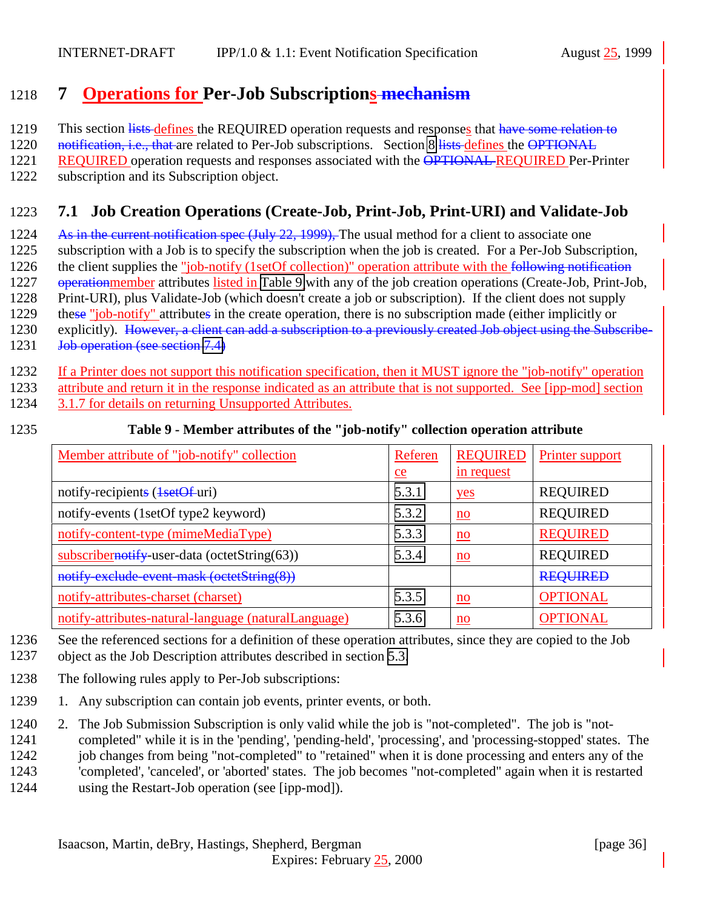# <span id="page-35-0"></span>1218 **7 Operations for Per-Job Subscriptions mechanism**

1219 This section lists defines the REQUIRED operation requests and responses that have some relation to

1220 notification, i.e., that are related to Per-Job subscriptions. Section [8](#page-37-0) lists defines the OPTIONAL

1221 REQUIRED operation requests and responses associated with the OPTIONAL REQUIRED Per-Printer

1222 subscription and its Subscription object.

# 1223 **7.1 Job Creation Operations (Create-Job, Print-Job, Print-URI) and Validate-Job**

1224 As in the current notification spec (July 22, 1999). The usual method for a client to associate one

1225 subscription with a Job is to specify the subscription when the job is created. For a Per-Job Subscription,

1226 the client supplies the "job-notify (1setOf collection)" operation attribute with the following notification

1227 operationmember attributes listed in Table 9 with any of the job creation operations (Create-Job, Print-Job,

1228 Print-URI), plus Validate-Job (which doesn't create a job or subscription). If the client does not supply

1229 these "job-notify" attributes in the create operation, there is no subscription made (either implicitly or

- 1230 explicitly). However, a client can add a subscription to a previously created Job object using the Subscribe-1231 Job operation (see section [7.4\)](#page-37-0)
- 1232 If a Printer does not support this notification specification, then it MUST ignore the "job-notify" operation

1233 attribute and return it in the response indicated as an attribute that is not supported. See [ipp-mod] section

1234 3.1.7 for details on returning Unsupported Attributes.

#### 1235 **Table 9 - Member attributes of the "job-notify" collection operation attribute**

| Member attribute of "job-notify" collection          | Referen | <b>REQUIRED</b>           | Printer support |
|------------------------------------------------------|---------|---------------------------|-----------------|
|                                                      | $e$     | in request                |                 |
| notify-recipients (1setOf-uri)                       | 5.3.1   | yes                       | <b>REQUIRED</b> |
| notify-events (1setOf type2 keyword)                 | 5.3.2   | $\underline{\mathbf{no}}$ | <b>REQUIRED</b> |
| notify-content-type (mimeMediaType)                  | 5.3.3   | $\underline{\mathbf{no}}$ | <b>REQUIRED</b> |
| subscribernotify-user-data (octetString $(63)$ )     | 5.3.4   | $\underline{\mathbf{no}}$ | <b>REQUIRED</b> |
| notify exclude event mask (octetString(8))           |         |                           | <b>REQUIRED</b> |
| notify-attributes-charset (charset)                  | 5.3.5   | $\underline{\mathbf{no}}$ | <b>OPTIONAL</b> |
| notify-attributes-natural-language (naturalLanguage) | 5.3.6   | $\underline{\mathbf{no}}$ | <b>OPTIONAL</b> |

1236 See the referenced sections for a definition of these operation attributes, since they are copied to the Job

- 1237 object as the Job Description attributes described in section [5.3.](#page-17-0)
- 1238 The following rules apply to Per-Job subscriptions:
- 1239 1. Any subscription can contain job events, printer events, or both.

1240 2. The Job Submission Subscription is only valid while the job is "not-completed". The job is "not-

1241 completed" while it is in the 'pending', 'pending-held', 'processing', and 'processing-stopped' states. The

1242 job changes from being "not-completed" to "retained" when it is done processing and enters any of the

1243 'completed', 'canceled', or 'aborted' states. The job becomes "not-completed" again when it is restarted

1244 using the Restart-Job operation (see [ipp-mod]).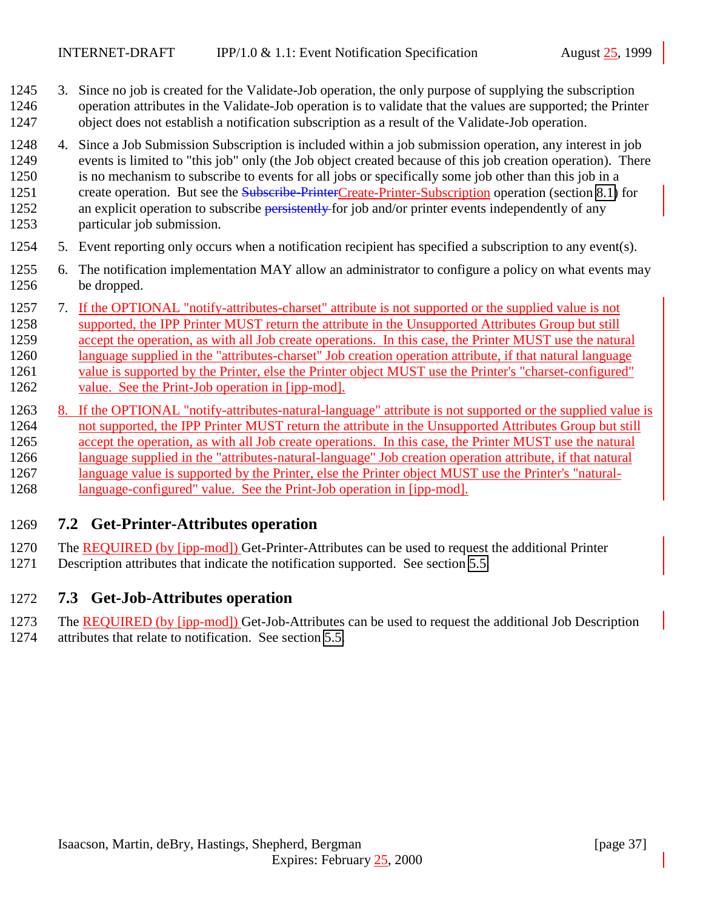- <span id="page-36-0"></span> 3. Since no job is created for the Validate-Job operation, the only purpose of supplying the subscription operation attributes in the Validate-Job operation is to validate that the values are supported; the Printer object does not establish a notification subscription as a result of the Validate-Job operation.
- 4. Since a Job Submission Subscription is included within a job submission operation, any interest in job events is limited to "this job" only (the Job object created because of this job creation operation). There is no mechanism to subscribe to events for all jobs or specifically some job other than this job in a 1251 create operation. But see the Subscribe-PrinterCreate-Printer-Subscription operation (section [8.1\)](#page-38-0) for 1252 an explicit operation to subscribe persistently for job and/or printer events independently of any particular job submission.
- 5. Event reporting only occurs when a notification recipient has specified a subscription to any event(s).
- 6. The notification implementation MAY allow an administrator to configure a policy on what events may be dropped.
- 7. If the OPTIONAL "notify-attributes-charset" attribute is not supported or the supplied value is not supported, the IPP Printer MUST return the attribute in the Unsupported Attributes Group but still accept the operation, as with all Job create operations. In this case, the Printer MUST use the natural language supplied in the "attributes-charset" Job creation operation attribute, if that natural language value is supported by the Printer, else the Printer object MUST use the Printer's "charset-configured" value. See the Print-Job operation in [ipp-mod].
- 1263 8. If the OPTIONAL "notify-attributes-natural-language" attribute is not supported or the supplied value is not supported, the IPP Printer MUST return the attribute in the Unsupported Attributes Group but still accept the operation, as with all Job create operations. In this case, the Printer MUST use the natural language supplied in the "attributes-natural-language" Job creation operation attribute, if that natural language value is supported by the Printer, else the Printer object MUST use the Printer's "natural-language-configured" value. See the Print-Job operation in [ipp-mod].

#### **7.2 Get-Printer-Attributes operation**

- The REQUIRED (by [ipp-mod]) Get-Printer-Attributes can be used to request the additional Printer
- Description attributes that indicate the notification supported. See section [5.5.](#page-25-0)

#### **7.3 Get-Job-Attributes operation**

- The REQUIRED (by [ipp-mod]) Get-Job-Attributes can be used to request the additional Job Description
- attributes that relate to notification. See section [5.5.](#page-25-0)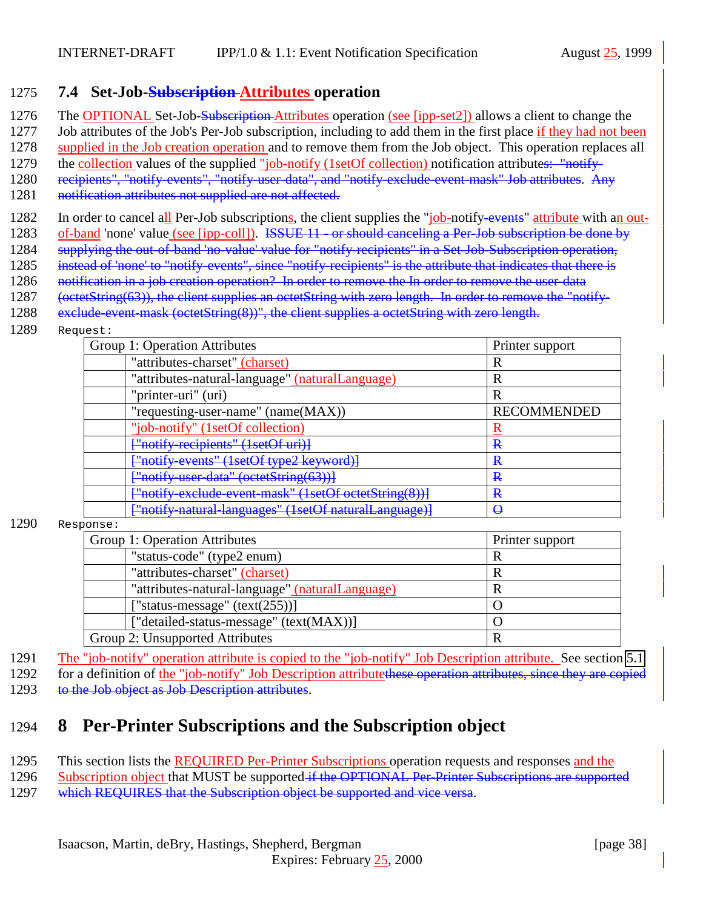### <span id="page-37-0"></span>1275 **7.4 Set-Job-Subscription Attributes operation**

- 1276 The OPTIONAL Set-Job-Subscription Attributes operation (see [ipp-set2]) allows a client to change the
- 1277 Job attributes of the Job's Per-Job subscription, including to add them in the first place if they had not been
- 1278 supplied in the Job creation operation and to remove them from the Job object. This operation replaces all
- 1279 the <u>collection</u> values of the supplied "job-notify (1setOf collection) notification attributes: "notify-
- 1280 recipients", "notify-events", "notify-user-data", and "notify-exclude-event-mask" Job attributes. Any
- 1281 notification attributes not supplied are not affected.
- 1282 In order to cancel all Per-Job subscriptions, the client supplies the "job-notify-events" attribute with an out-
- 1283 of-band 'none' value (see [ipp-coll]). ISSUE 11 or should canceling a Per-Job subscription be done by
- 1284 supplying the out-of-band 'no-value' value for "notify-recipients" in a Set-Job-Subscription operation,
- 1285 instead of 'none' to "notify-events", since "notify-recipients" is the attribute that indicates that there is
- 1286 notification in a job creation operation? In order to remove the In order to remove the user-data
- 1287 (octetString(63)), the client supplies an octetString with zero length. In order to remove the "notify-
- 1288 exclude-event-mask (octetString(8))", the client supplies a octetString with zero length.
- 1289 Request:

| Group 1: Operation Attributes                         | Printer support    |
|-------------------------------------------------------|--------------------|
| "attributes-charset" (charset)                        | R                  |
| "attributes-natural-language" (naturalLanguage)       | R                  |
| "printer-uri" (uri)                                   | R                  |
| "requesting-user-name" (name(MAX))                    | <b>RECOMMENDED</b> |
| "job-notify" (1setOf collection)                      |                    |
| <del>["notify-recipients" (1setOf uri)]</del>         | R                  |
| ["notify-events" (1setOf type2 keyword)]              | ₽                  |
| ["notify user data" (octetString(63))]                | R                  |
| ["notify-exclude-event-mask" (1setOf-octetString(8))] | R                  |
| ["notify-natural-languages" (1setOf naturalLanguage)] | ↔                  |

1290 Response:

| Group 1: Operation Attributes                   | Printer support |
|-------------------------------------------------|-----------------|
| "status-code" (type2 enum)                      |                 |
| "attributes-charset" (charset)                  |                 |
| "attributes-natural-language" (naturalLanguage) |                 |
| ["status-message" $(text(255))]$                |                 |
| ["detailed-status-message" (text(MAX))]         |                 |
| Group 2: Unsupported Attributes                 |                 |

- 1291 The "job-notify" operation attribute is copied to the "job-notify" Job Description attribute. See section [5.1](#page-15-0)
- 1292 for a definition of the "job-notify" Job Description attributethese operation attributes, since they are copied
- 1293 to the Job object as Job Description attributes.

# 1294 **8 Per-Printer Subscriptions and the Subscription object**

- 1295 This section lists the REQUIRED Per-Printer Subscriptions operation requests and responses and the
- 1296 Subscription object that MUST be supported if the OPTIONAL Per-Printer Subscriptions are supported 1297 which REQUIRES that the Subscription object be supported and vice versa.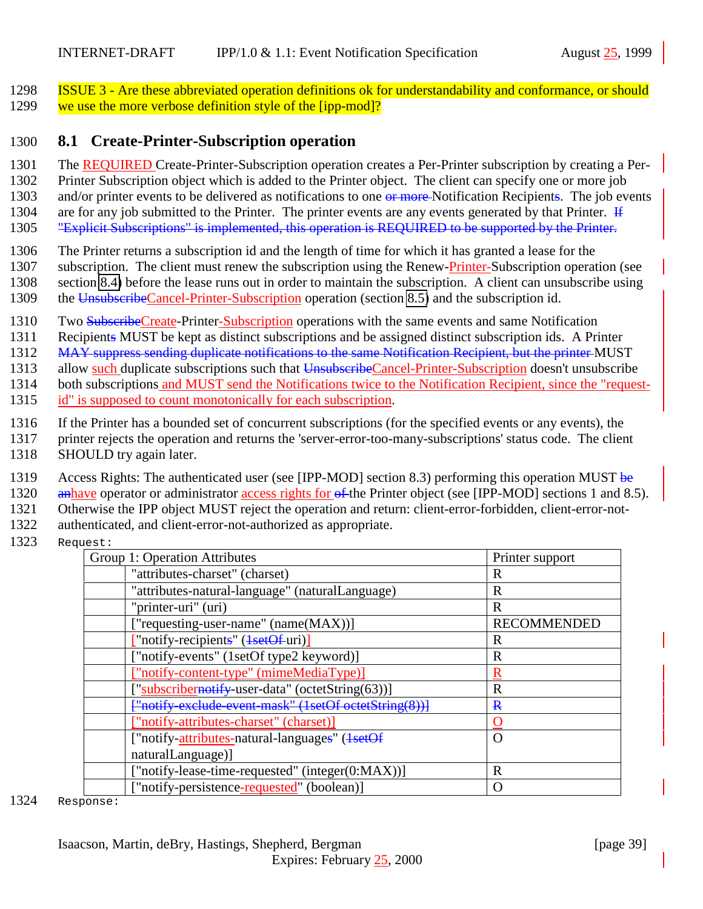<span id="page-38-0"></span>1298 ISSUE 3 - Are these abbreviated operation definitions ok for understandability and conformance, or should 1299 we use the more verbose definition style of the [ipp-mod]?

#### 1300 **8.1 Create-Printer-Subscription operation**

1301 The REQUIRED Create-Printer-Subscription operation creates a Per-Printer subscription by creating a Per-

1302 Printer Subscription object which is added to the Printer object. The client can specify one or more job

1303 and/or printer events to be delivered as notifications to one or more Notification Recipients. The job events

1304 are for any job submitted to the Printer. The printer events are any events generated by that Printer.  $\overline{H}$ 1305 "Explicit Subscriptions" is implemented, this operation is REQUIRED to be supported by the Printer.

- 1306 The Printer returns a subscription id and the length of time for which it has granted a lease for the
- 1307 subscription. The client must renew the subscription using the Renew-Printer-Subscription operation (see
- 1308 section [8.4\)](#page-41-0) before the lease runs out in order to maintain the subscription. A client can unsubscribe using
- 1309 the UnsubscribeCancel-Printer-Subscription operation (section [8.5\)](#page-43-0) and the subscription id.
- 1310 Two SubscribeCreate-Printer-Subscription operations with the same events and same Notification
- 1311 Recipients MUST be kept as distinct subscriptions and be assigned distinct subscription ids. A Printer

1312 MAY suppress sending duplicate notifications to the same Notification Recipient, but the printer MUST

1313 allow such duplicate subscriptions such that UnsubscribeCancel-Printer-Subscription doesn't unsubscribe

- 1314 both subscriptions and MUST send the Notifications twice to the Notification Recipient, since the "request-
- 1315 id" is supposed to count monotonically for each subscription.
- 1316 If the Printer has a bounded set of concurrent subscriptions (for the specified events or any events), the
- 1317 printer rejects the operation and returns the 'server-error-too-many-subscriptions' status code. The client
- 1318 SHOULD try again later.
- 1319 Access Rights: The authenticated user (see [IPP-MOD] section 8.3) performing this operation MUST be
- 1320 anhave operator or administrator access rights for  $\theta$  the Printer object (see [IPP-MOD] sections 1 and 8.5).

1321 Otherwise the IPP object MUST reject the operation and return: client-error-forbidden, client-error-not-

- 1322 authenticated, and client-error-not-authorized as appropriate.
- 1323 Request:

| Group 1: Operation Attributes                         | Printer support    |
|-------------------------------------------------------|--------------------|
| "attributes-charset" (charset)                        | R                  |
| "attributes-natural-language" (naturalLanguage)       | R                  |
| "printer-uri" (uri)                                   | R                  |
| ["requesting-user-name" (name(MAX))]                  | <b>RECOMMENDED</b> |
| "notify-recipients" ( <del>1setOf</del> -uri)]        | R                  |
| ["notify-events" (1setOf type2 keyword)]              | R                  |
| ["notify-content-type" (mimeMediaType)]               | R                  |
| ["subscribernotify-user-data" (octetString(63))]      | R                  |
| ["notify-exclude-event-mask" (1setOf octetString(8))] | $\mathbf{R}$       |
| ["notify-attributes-charset" (charset)]               |                    |
| ["notify-attributes-natural-languages" (1setOf        | $\Omega$           |
| naturalLanguage)]                                     |                    |
| ["notify-lease-time-requested" (integer(0:MAX))]      | R                  |
| ["notify-persistence-requested" (boolean)]            |                    |
|                                                       |                    |

1324 Response: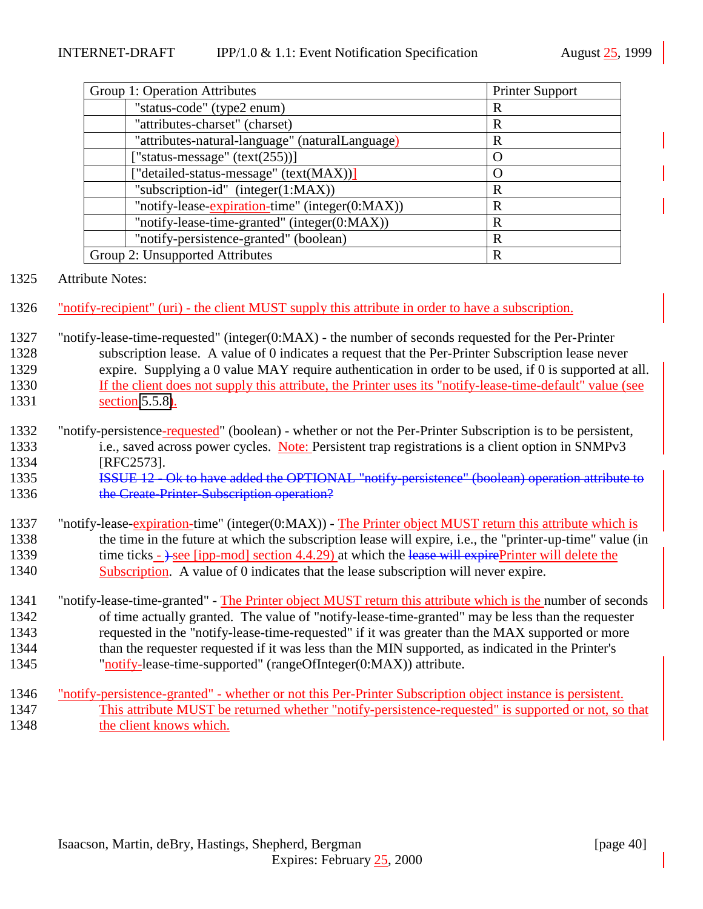| <b>Printer Support</b> |
|------------------------|
| R                      |
| R                      |
| R                      |
| $\left( \right)$       |
| $\Omega$               |
| R                      |
| R                      |
| R                      |
| $\mathbb{R}$           |
| R                      |
|                        |

#### 1325 Attribute Notes:

- 1326 "notify-recipient" (uri) the client MUST supply this attribute in order to have a subscription.
- 1327 "notify-lease-time-requested" (integer(0:MAX) the number of seconds requested for the Per-Printer 1328 subscription lease. A value of 0 indicates a request that the Per-Printer Subscription lease never 1329 expire. Supplying a 0 value MAY require authentication in order to be used, if 0 is supported at all. 1330 If the client does not supply this attribute, the Printer uses its "notify-lease-time-default" value (see 1331 section [5.5.8\)](#page-27-0).
- 1332 "notify-persistence-requested" (boolean) whether or not the Per-Printer Subscription is to be persistent, 1333 i.e., saved across power cycles. Note: Persistent trap registrations is a client option in SNMPv3 1334 [RFC2573].
- 1335 **ISSUE 12 Ok to have added the OPTIONAL "notify-persistence" (boolean) operation attribute to** 1336 the Create-Printer-Subscription operation?
- 1337 "notify-lease-expiration-time" (integer(0:MAX)) The Printer object MUST return this attribute which is 1338 the time in the future at which the subscription lease will expire, i.e., the "printer-up-time" value (in 1339 time ticks -  $\rightarrow$  see [ipp-mod] section 4.4.29) at which the lease will expirePrinter will delete the 1340 Subscription. A value of 0 indicates that the lease subscription will never expire.
- 1341 "notify-lease-time-granted" The Printer object MUST return this attribute which is the number of seconds 1342 of time actually granted. The value of "notify-lease-time-granted" may be less than the requester 1343 requested in the "notify-lease-time-requested" if it was greater than the MAX supported or more 1344 than the requester requested if it was less than the MIN supported, as indicated in the Printer's 1345 "notify-lease-time-supported" (rangeOfInteger(0:MAX)) attribute.
- 1346 "notify-persistence-granted" whether or not this Per-Printer Subscription object instance is persistent. 1347 This attribute MUST be returned whether "notify-persistence-requested" is supported or not, so that 1348 the client knows which.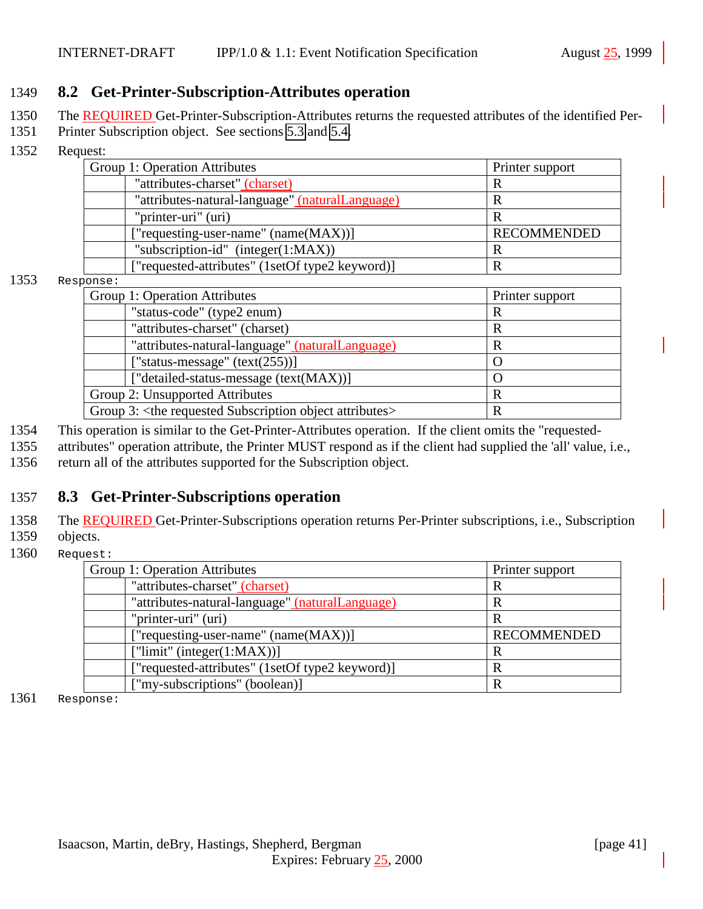#### <span id="page-40-0"></span>1349 **8.2 Get-Printer-Subscription-Attributes operation**

- 1350 The REQUIRED Get-Printer-Subscription-Attributes returns the requested attributes of the identified Per-
- 1351 Printer Subscription object. See sections [5.3](#page-17-0) and [5.4.](#page-24-0)
- 1352 Request:

| Group 1: Operation Attributes                   | Printer support    |
|-------------------------------------------------|--------------------|
| "attributes-charset" (charset)                  |                    |
| "attributes-natural-language" (naturalLanguage) |                    |
| "printer-uri" (uri)                             |                    |
| ["requesting-user-name" (name(MAX))]            | <b>RECOMMENDED</b> |
| "subscription-id" (integer $(1:MAX)$ )          |                    |
| ["requested-attributes" (1setOf type2 keyword)] |                    |

#### 1353 Response:

| UIIDE .                                                                   |   |
|---------------------------------------------------------------------------|---|
| Group 1: Operation Attributes<br>Printer support                          |   |
| "status-code" (type2 enum)                                                | R |
| "attributes-charset" (charset)                                            | R |
| "attributes-natural-language" (naturalLanguage)                           | R |
| ["status-message" $(text(255))]$                                          |   |
| ["detailed-status-message (text(MAX))]                                    |   |
| Group 2: Unsupported Attributes<br>R                                      |   |
| Group 3: <the attributes="" object="" requested="" subscription=""></the> | R |

1354 This operation is similar to the Get-Printer-Attributes operation. If the client omits the "requested-

1355 attributes" operation attribute, the Printer MUST respond as if the client had supplied the 'all' value, i.e., 1356 return all of the attributes supported for the Subscription object.

### 1357 **8.3 Get-Printer-Subscriptions operation**

1358 The REQUIRED Get-Printer-Subscriptions operation returns Per-Printer subscriptions, i.e., Subscription 1359 objects.

1360 Request:

| Group 1: Operation Attributes                   | Printer support    |
|-------------------------------------------------|--------------------|
| "attributes-charset" (charset)                  | R                  |
| "attributes-natural-language" (naturalLanguage) | R                  |
| "printer-uri" (uri)                             | R                  |
| ["requesting-user-name" (name(MAX))]            | <b>RECOMMENDED</b> |
| ["limit" (integer $(1:MAX)$ )]                  | R                  |
| ["requested-attributes" (1setOf type2 keyword)] | R                  |
| ["my-subscriptions" (boolean)]                  | R                  |

1361 Response: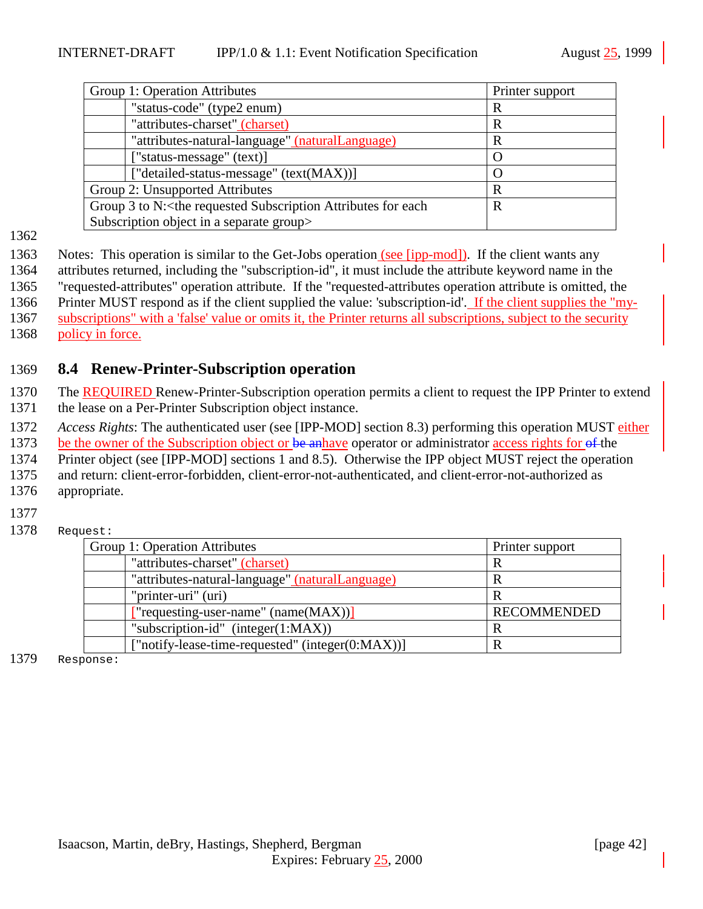<span id="page-41-0"></span>

| Group 1: Operation Attributes                                                           | Printer support |
|-----------------------------------------------------------------------------------------|-----------------|
| "status-code" (type2 enum)                                                              | R               |
| "attributes-charset" (charset)                                                          | R               |
| "attributes-natural-language" (naturalLanguage)                                         | R               |
| ["status-message" (text)]                                                               | O               |
| ["detailed-status-message" (text(MAX))]                                                 | ( )             |
| Group 2: Unsupported Attributes                                                         | R               |
| Group 3 to N: <the attributes="" each<br="" for="" requested="" subscription="">R</the> |                 |
| Subscription object in a separate group>                                                |                 |

1362

1363 Notes: This operation is similar to the Get-Jobs operation (see [ipp-mod]). If the client wants any

1364 attributes returned, including the "subscription-id", it must include the attribute keyword name in the

1365 "requested-attributes" operation attribute. If the "requested-attributes operation attribute is omitted, the

1366 Printer MUST respond as if the client supplied the value: 'subscription-id'. If the client supplies the "my-

1367 subscriptions" with a 'false' value or omits it, the Printer returns all subscriptions, subject to the security

1368 policy in force.

# 1369 **8.4 Renew-Printer-Subscription operation**

1370 The REQUIRED Renew-Printer-Subscription operation permits a client to request the IPP Printer to extend 1371 the lease on a Per-Printer Subscription object instance.

1372 *Access Rights*: The authenticated user (see [IPP-MOD] section 8.3) performing this operation MUST either

1373 be the owner of the Subscription object or be anhave operator or administrator access rights for of the

1374 Printer object (see [IPP-MOD] sections 1 and 8.5). Otherwise the IPP object MUST reject the operation

1375 and return: client-error-forbidden, client-error-not-authenticated, and client-error-not-authorized as

- 1376 appropriate.
- 1377
- 1378 Request:

| Group 1: Operation Attributes                    | Printer support    |
|--------------------------------------------------|--------------------|
| "attributes-charset" (charset)                   | R                  |
| "attributes-natural-language" (naturalLanguage)  | R                  |
| "printer-uri" (uri)                              | R                  |
| ["requesting-user-name" $(name(MAX))$ ]          | <b>RECOMMENDED</b> |
| "subscription-id" $(integer(1:MAX))$             | R                  |
| ["notify-lease-time-requested" (integer(0:MAX))] | R                  |

1379 Response: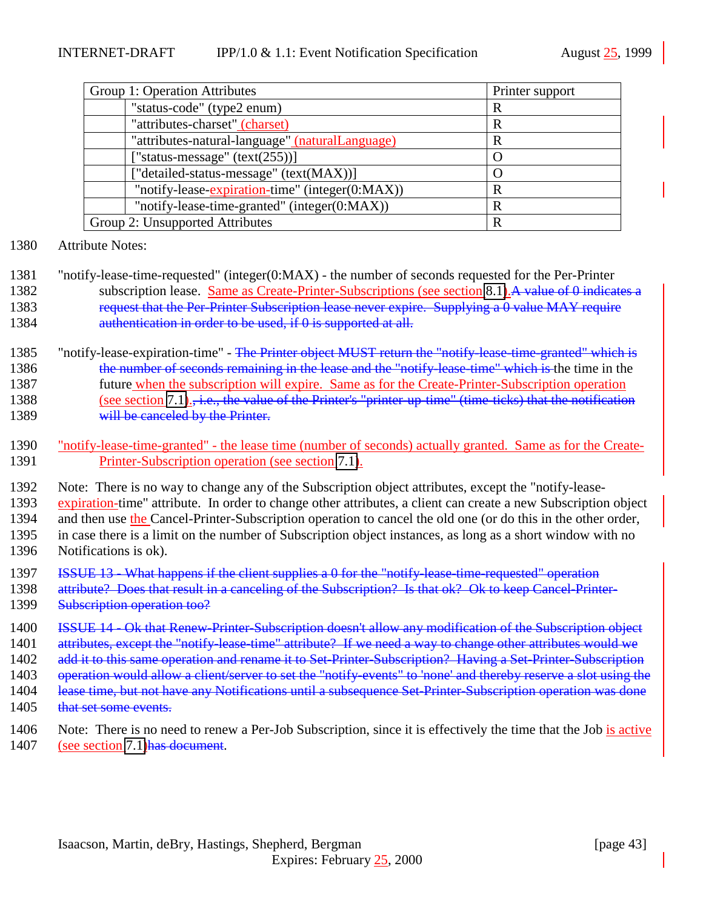| Group 1: Operation Attributes<br>Printer support |   |
|--------------------------------------------------|---|
| "status-code" (type2 enum)                       | R |
| "attributes-charset" (charset)                   | R |
| "attributes-natural-language" (naturalLanguage)  | R |
| ["status-message" $(text(255))]$                 |   |
| ["detailed-status-message" (text(MAX))]          |   |
| "notify-lease-expiration-time" (integer(0:MAX))  | R |
| "notify-lease-time-granted" (integer(0:MAX))     | R |
| Group 2: Unsupported Attributes<br>R             |   |

- 1380 Attribute Notes:
- 1381 "notify-lease-time-requested" (integer(0:MAX) the number of seconds requested for the Per-Printer 1382 subscription lease. Same as Create-Printer-Subscriptions (see section [8.1\)](#page-38-0). A value of 0 indicates a 1383 request that the Per-Printer Subscription lease never expire. Supplying a 0 value MAY require 1384 **authentication in order to be used, if 0 is supported at all.**
- 1385 "notify-lease-expiration-time" The Printer object MUST return the "notify-lease-time-granted" which is 1386 the number of seconds remaining in the lease and the "notify-lease-time" which is the time in the 1387 future when the subscription will expire. Same as for the Create-Printer-Subscription operation 1388 (see section [7.1\)](#page-35-0)., i.e., the value of the Printer's "printer-up-time" (time-ticks) that the notification 1389 will be canceled by the Printer.
- 1390 "notify-lease-time-granted" the lease time (number of seconds) actually granted. Same as for the Create-1391 Printer-Subscription operation (see section [7.1\)](#page-35-0).
- 1392 Note: There is no way to change any of the Subscription object attributes, except the "notify-lease-
- 1393 expiration-time" attribute. In order to change other attributes, a client can create a new Subscription object 1394 and then use the Cancel-Printer-Subscription operation to cancel the old one (or do this in the other order, 1395 in case there is a limit on the number of Subscription object instances, as long as a short window with no
- 1396 Notifications is ok).
- 1397 ISSUE 13 What happens if the client supplies a 0 for the "notify-lease-time-requested" operation
- 1398 attribute? Does that result in a canceling of the Subscription? Is that ok? Ok to keep Cancel-Printer-1399 Subscription operation too?
- 1400 ISSUE 14 Ok that Renew-Printer-Subscription doesn't allow any modification of the Subscription object 1401 attributes, except the "notify-lease-time" attribute? If we need a way to change other attributes would we 1402 add it to this same operation and rename it to Set-Printer-Subscription? Having a Set-Printer-Subscription
- 1403 operation would allow a client/server to set the "notify-events" to 'none' and thereby reserve a slot using the
- 1404 lease time, but not have any Notifications until a subsequence Set-Printer-Subscription operation was done 1405 that set some events.
- 
- 1406 Note: There is no need to renew a Per-Job Subscription, since it is effectively the time that the Job is active 1407 (see section [7.1\)](#page-35-0) has document.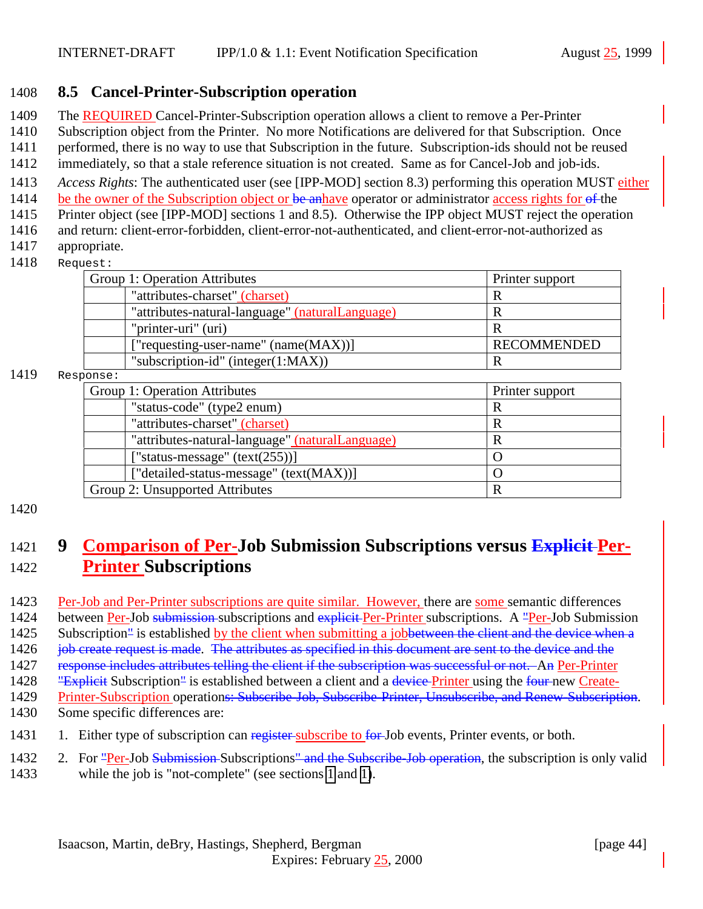### <span id="page-43-0"></span>1408 **8.5 Cancel-Printer-Subscription operation**

- 1409 The REQUIRED Cancel-Printer-Subscription operation allows a client to remove a Per-Printer
- 1410 Subscription object from the Printer. No more Notifications are delivered for that Subscription. Once
- 1411 performed, there is no way to use that Subscription in the future. Subscription-ids should not be reused
- 1412 immediately, so that a stale reference situation is not created. Same as for Cancel-Job and job-ids.
- 1413 *Access Rights*: The authenticated user (see [IPP-MOD] section 8.3) performing this operation MUST either
- 1414 be the owner of the Subscription object or be anhave operator or administrator access rights for of the
- 1415 Printer object (see [IPP-MOD] sections 1 and 8.5). Otherwise the IPP object MUST reject the operation 1416 and return: client-error-forbidden, client-error-not-authenticated, and client-error-not-authorized as
- 1417 appropriate.
- 1418 Request:

| uest.                                           |                    |
|-------------------------------------------------|--------------------|
| Group 1: Operation Attributes                   | Printer support    |
| "attributes-charset" (charset)                  |                    |
| "attributes-natural-language" (naturalLanguage) |                    |
| "printer-uri" (uri)                             |                    |
| ["requesting-user-name" (name(MAX))]            | <b>RECOMMENDED</b> |

"subscription-id" (integer(1:MAX))  $\vert R \vert$ 

#### 1419 Response:

| Group 1: Operation Attributes                   | Printer support |
|-------------------------------------------------|-----------------|
| "status-code" (type2 enum)                      | R               |
| "attributes-charset" (charset)                  | R               |
| "attributes-natural-language" (naturalLanguage) | R               |
| ["status-message" $(text(255))]$                |                 |
| ["detailed-status-message" (text(MAX))]         |                 |
| Group 2: Unsupported Attributes                 | R               |
|                                                 |                 |

#### 1420

# 1421 **9 Comparison of Per-Job Submission Subscriptions versus Explicit Per-**1422 **Printer Subscriptions**

- 1423 Per-Job and Per-Printer subscriptions are quite similar. However, there are some semantic differences 1424 between Per-Job submission subscriptions and explicit Per-Printer subscriptions. A "Per-Job Submission 1425 Subscription<sup>"</sup> is established by the client when submitting a jobbetween the client and the device when a 1426 job create request is made. The attributes as specified in this document are sent to the device and the 1427 response includes attributes telling the client if the subscription was successful or not. An Per-Printer 1428 "Explicit Subscription" is established between a client and a device-Printer using the four-new Create-
- 1429 Printer-Subscription operations: Subscribe-Job, Subscribe-Printer, Unsubscribe, and Renew-Subscription. 1430 Some specific differences are:
- 1431 1. Either type of subscription can register subscribe to for Job events, Printer events, or both.
- 1432 2. For "Per-Job Submission-Subscriptions" and the Subscribe-Job operation, the subscription is only valid
- 1433 while the job is "not-complete" (see sections [1](#page-44-0) and [1\)](#page-45-0).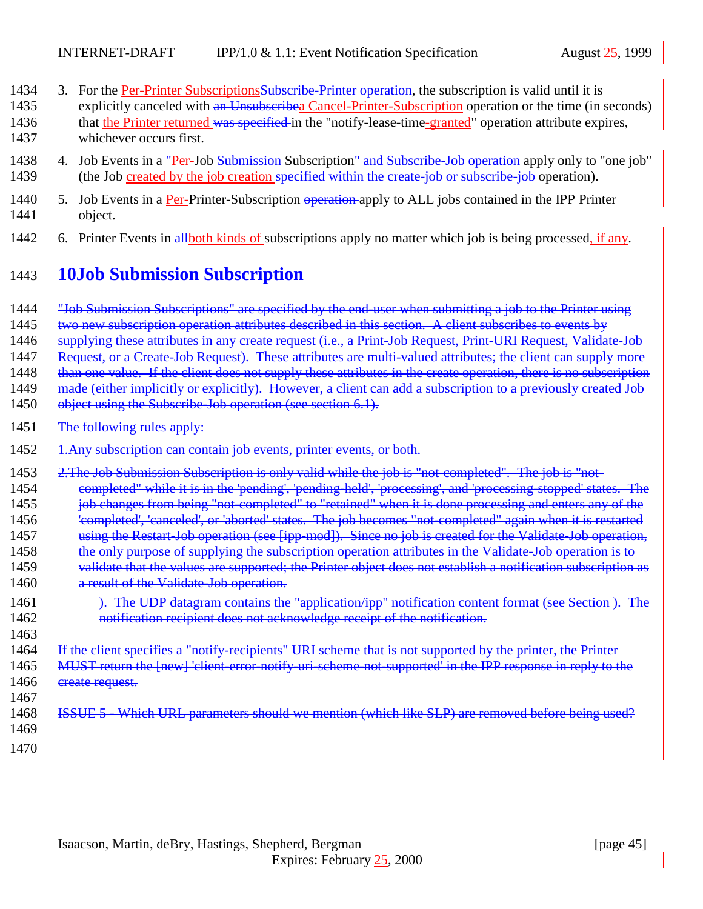- <span id="page-44-0"></span>1434 3. For the Per-Printer Subscriptions Subseribe-Printer operation, the subscription is valid until it is 1435 explicitly canceled with an Unsubscribea Cancel-Printer-Subscription operation or the time (in seconds) 1436 that the Printer returned was specified in the "notify-lease-time-granted" operation attribute expires, 1437 whichever occurs first.
- 1438 4. Job Events in a "Per-Job Submission-Subscription" and Subscribe-Job operation apply only to "one job" 1439 (the Job created by the job creation specified within the create-job or subscribe-job operation).
- 1440 5. Job Events in a Per-Printer-Subscription operation-apply to ALL jobs contained in the IPP Printer 1441 object.
- 1442 6. Printer Events in allboth kinds of subscriptions apply no matter which job is being processed, if any.

# 1443 **10Job Submission Subscription**

- 1444 "Job Submission Subscriptions" are specified by the end-user when submitting a job to the Printer using
- 1445 two new subscription operation attributes described in this section. A client subscribes to events by
- 1446 supplying these attributes in any create request (i.e., a Print-Job Request, Print-URI Request, Validate-Job
- 1447 Request, or a Create-Job Request). These attributes are multi-valued attributes; the client can supply more
- 1448 than one value. If the client does not supply these attributes in the create operation, there is no subscription
- 1449 made (either implicitly or explicitly). However, a client can add a subscription to a previously created Job
- 1450 object using the Subscribe-Job operation (see section 6.1).
- 1451 The following rules apply:
- 1452 1.Any subscription can contain job events, printer events, or both.
- 1453 2.The Job Submission Subscription is only valid while the job is "not-completed". The job is "not-1454 completed" while it is in the 'pending', 'pending-held', 'processing', and 'processing-stopped' states. The 1455 job changes from being "not-completed" to "retained" when it is done processing and enters any of the 1456 'completed', 'canceled', or 'aborted' states. The job becomes "not-completed" again when it is restarted 1457 using the Restart-Job operation (see [ipp-mod]). Since no job is created for the Validate-Job operation, 1458 the only purpose of supplying the subscription operation attributes in the Validate-Job operation is to 1459 validate that the values are supported; the Printer object does not establish a notification subscription as 1460 a result of the Validate-Job operation. 1461 **). The UDP datagram contains the "application/ipp" notification content format (see Section ). The** 1462 notification recipient does not acknowledge receipt of the notification. 1463 1464 If the client specifies a "notify-recipients" URI scheme that is not supported by the printer, the Printer 1465 MUST return the [new] 'client-error-notify-uri-scheme-not-supported' in the IPP response in reply to the
- 1466 ereate request. 1467
- 1468 ISSUE 5 Which URL parameters should we mention (which like SLP) are removed before being used? 1469
	- 1470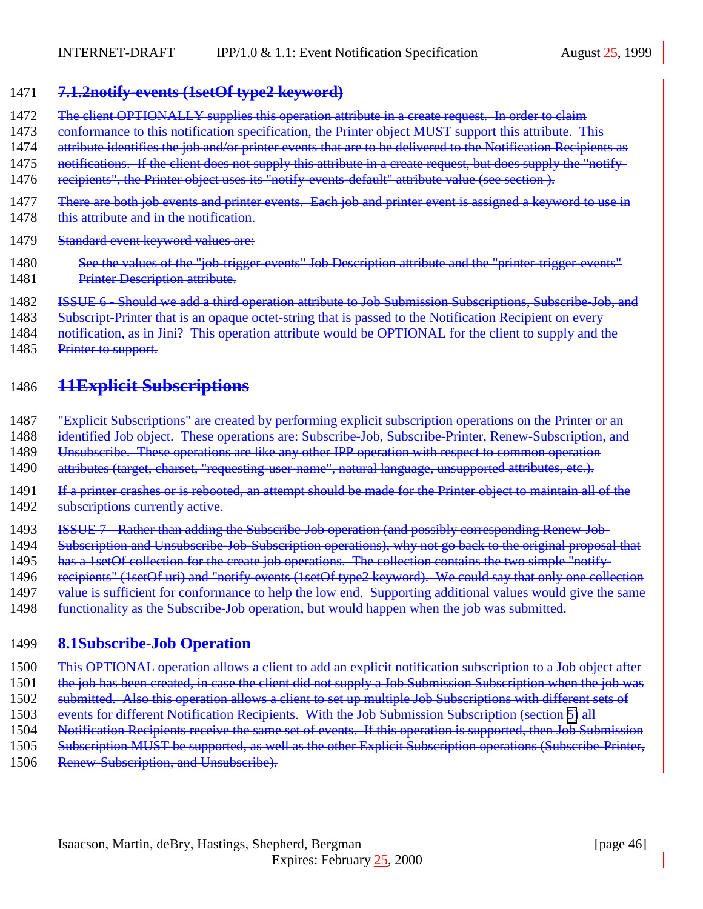### <span id="page-45-0"></span>1471 **7.1.2notify-events (1setOf type2 keyword)**

- 1472 The client OPTIONALLY supplies this operation attribute in a create request. In order to claim
- 1473 conformance to this notification specification, the Printer object MUST support this attribute. This
- 1474 attribute identifies the job and/or printer events that are to be delivered to the Notification Recipients as
- 1475 notifications. If the client does not supply this attribute in a create request, but does supply the "notify-
- 1476 recipients", the Printer object uses its "notify-events-default" attribute value (see section).
- 1477 There are both job events and printer events. Each job and printer event is assigned a keyword to use in
- 1478 this attribute and in the notification.
- 1479 Standard event keyword values are:
- 1480 See the values of the "job-trigger-events" Job Description attribute and the "printer-trigger-events" 1481 Printer Description attribute.
- 1482 ISSUE 6 Should we add a third operation attribute to Job Submission Subscriptions, Subscribe-Job, and
- 1483 Subscript-Printer that is an opaque octet-string that is passed to the Notification Recipient on every
- 1484 notification, as in Jini? This operation attribute would be OPTIONAL for the client to supply and the
- 1485 Printer to support.

# 1486 **11Explicit Subscriptions**

- 1487 "Explicit Subscriptions" are created by performing explicit subscription operations on the Printer or an
- 1488 identified Job object. These operations are: Subscribe-Job, Subscribe-Printer, Renew-Subscription, and
- 1489 Unsubscribe. These operations are like any other IPP operation with respect to common operation
- 1490 attributes (target, charset, "requesting-user-name", natural language, unsupported attributes, etc.).
- 1491 If a printer crashes or is rebooted, an attempt should be made for the Printer object to maintain all of the 1492 subscriptions currently active.
- 1493 ISSUE 7 Rather than adding the Subscribe-Job operation (and possibly corresponding Renew-Job-
- 1494 Subscription and Unsubscribe-Job-Subscription operations), why not go back to the original proposal that
- 1495 has a 1setOf collection for the create job operations. The collection contains the two simple "notify-
- 1496 recipients" (1setOf uri) and "notify-events (1setOf type2 keyword). We could say that only one collection
- 1497 value is sufficient for conformance to help the low end. Supporting additional values would give the same
- 1498 functionality as the Subscribe-Job operation, but would happen when the job was submitted.

## 1499 **8.1Subscribe-Job Operation**

- 1500 This OPTIONAL operation allows a client to add an explicit notification subscription to a Job object after
- 1501 the job has been created, in case the client did not supply a Job Submission Subscription when the job was
- 1502 submitted. Also this operation allows a client to set up multiple Job Subscriptions with different sets of
- 1503 events for different Notification Recipients. With the Job Submission Subscription (section [5\)](#page-44-0) all
- 1504 Notification Recipients receive the same set of events. If this operation is supported, then Job Submission
- 1505 Subscription MUST be supported, as well as the other Explicit Subscription operations (Subscribe-Printer,
- 1506 Renew-Subscription, and Unsubscribe).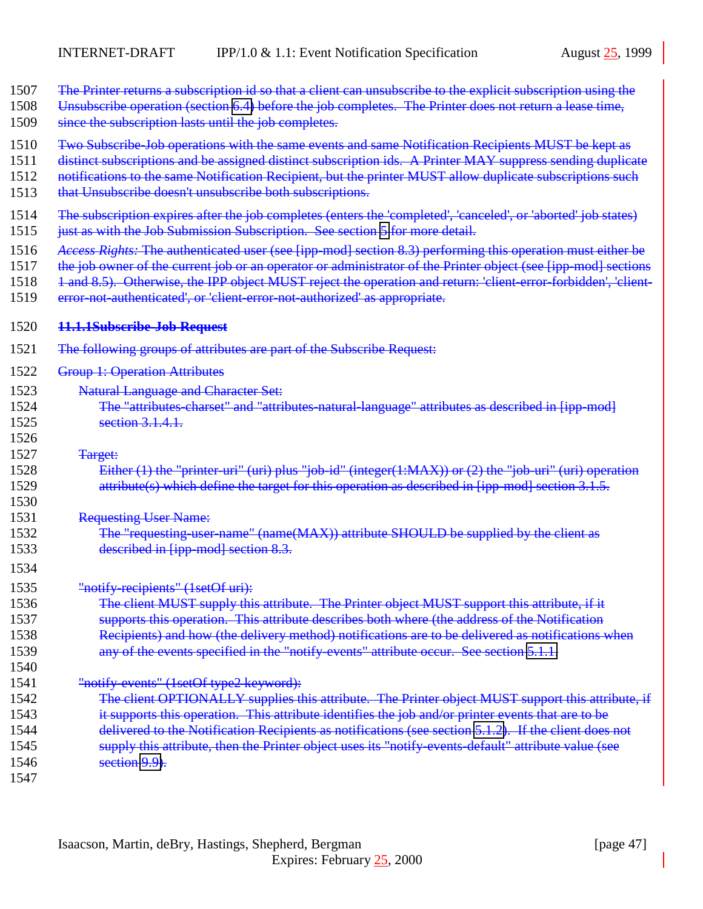- 1507 The Printer returns a subscription id so that a client can unsubscribe to the explicit subscription using the
- 1508 Unsubscribe operation (section [6.4\)](#page-51-0) before the job completes. The Printer does not return a lease time,
- 1509 since the subscription lasts until the job completes.
- 1510 Two Subscribe-Job operations with the same events and same Notification Recipients MUST be kept as
- 1511 distinct subscriptions and be assigned distinct subscription ids. A Printer MAY suppress sending duplicate
- 1512 notifications to the same Notification Recipient, but the printer MUST allow duplicate subscriptions such
- 1513 that Unsubscribe doesn't unsubscribe both subscriptions.
- 1514 The subscription expires after the job completes (enters the 'completed', 'canceled', or 'aborted' job states)
- 1515 just as with the Job Submission Subscription. See section [5](#page-44-0) for more detail.
- 1516 *Access Rights:* The authenticated user (see [ipp-mod] section 8.3) performing this operation must either be
- 1517 the job owner of the current job or an operator or administrator of the Printer object (see [ipp-mod] sections
- 1518 1 and 8.5). Otherwise, the IPP object MUST reject the operation and return: 'client-error-forbidden', 'client-
- 1519 error-not-authenticated', or 'client-error-not-authorized' as appropriate.

| 1520 | <del>11.1.1Subscribe-Job Request</del> |
|------|----------------------------------------|
|------|----------------------------------------|

- 1521 The following groups of attributes are part of the Subscribe Request:
- 1522 Group 1: Operation Attributes
- 1523 Natural Language and Character Set:
- 1524 The "attributes-charset" and "attributes-natural-language" attributes as described in [ipp-mod] 1525 section 3.1.4.1.
- 1527 Target:

1526

1530

1534

1540

- 1528 Either (1) the "printer-uri" (uri) plus "job-id" (integer(1:MAX)) or (2) the "job-uri" (uri) operation 1529 attribute(s) which define the target for this operation as described in [ipp-mod] section 3.1.5.
- 1531 Requesting User Name:
- 1532 The "requesting-user-name" (name(MAX)) attribute SHOULD be supplied by the client as 1533 described in [ipp-mod] section 8.3.
- 1535 "notify-recipients" (1setOf uri):
- 1536 The client MUST supply this attribute. The Printer object MUST support this attribute, if it
- 1537 supports this operation. This attribute describes both where (the address of the Notification 1538 Recipients) and how (the delivery method) notifications are to be delivered as notifications when
- 1539 any of the events specified in the "notify-events" attribute occur. See section [5.1.1.](#page-45-0)
- 1541 "notify-events" (1setOf type2 keyword):
- 1542 The client OPTIONALLY supplies this attribute. The Printer object MUST support this attribute, if 1543 it supports this operation. This attribute identifies the job and/or printer events that are to be 1544 delivered to the Notification Recipients as notifications (see section [5.1.2\)](#page-45-0). If the client does not 1545 supply this attribute, then the Printer object uses its "notify-events-default" attribute value (see 1546 **section 9.9**.
- 1547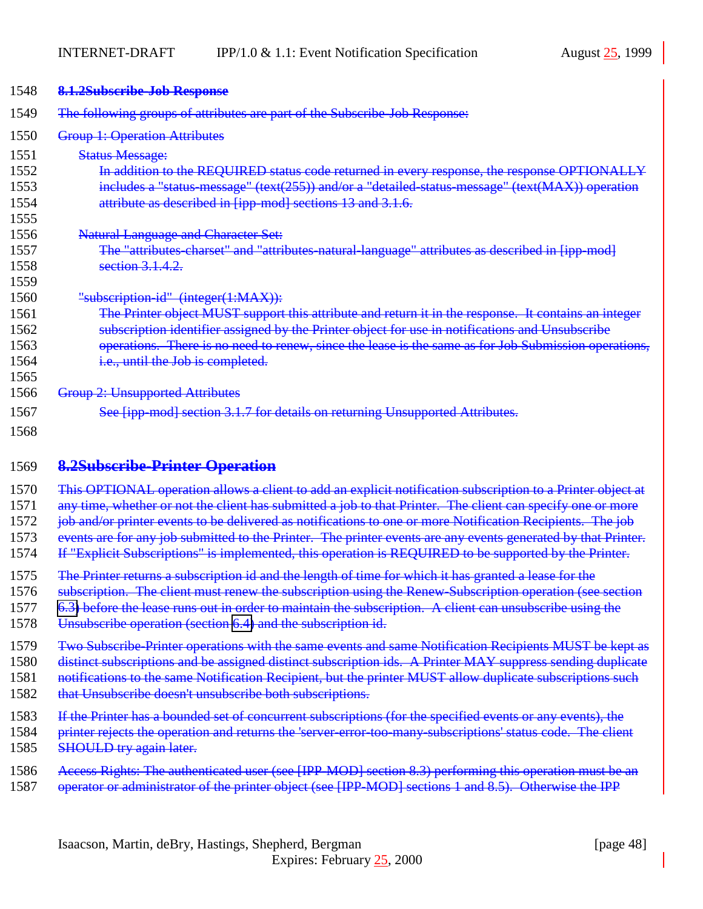| 1548 | 8.1.2Subscribe-Job Response                                                                                   |
|------|---------------------------------------------------------------------------------------------------------------|
| 1549 | The following groups of attributes are part of the Subscribe-Job Response:                                    |
| 1550 | <b>Group 1: Operation Attributes</b>                                                                          |
| 1551 | <b>Status Message:</b>                                                                                        |
| 1552 | In addition to the REQUIRED status code returned in every response, the response OPTIONALLY                   |
| 1553 | includes a "status-message" (text(255)) and/or a "detailed-status-message" (text(MAX)) operation              |
| 1554 | attribute as described in [ipp-mod] sections 13 and 3.1.6.                                                    |
| 1555 |                                                                                                               |
| 1556 | <b>Natural Language and Character Set:</b>                                                                    |
| 1557 | The "attributes-charset" and "attributes-natural-language" attributes as described in [ipp-mod]               |
| 1558 | section 3.1.4.2.                                                                                              |
| 1559 |                                                                                                               |
| 1560 | "subscription-id" (integer(1:MAX)):                                                                           |
| 1561 | The Printer object MUST support this attribute and return it in the response. It contains an integer          |
| 1562 | subscription identifier assigned by the Printer object for use in notifications and Unsubscribe               |
| 1563 | operations. There is no need to renew, since the lease is the same as for Job Submission operations,          |
| 1564 | i.e., until the Job is completed.                                                                             |
| 1565 |                                                                                                               |
| 1566 | <b>Group 2: Unsupported Attributes</b>                                                                        |
| 1567 | See [ipp-mod] section 3.1.7 for details on returning Unsupported Attributes.                                  |
| 1568 |                                                                                                               |
| 1569 | <b>8.2Subscribe-Printer Operation</b>                                                                         |
| 1570 | This OPTIONAL operation allows a client to add an explicit notification subscription to a Printer object at   |
| 1571 | any time, whether or not the client has submitted a job to that Printer. The client can specify one or more   |
| 1572 | job and/or printer events to be delivered as notifications to one or more Notification Recipients. The job    |
| 1573 | events are for any job submitted to the Printer. The printer events are any events generated by that Printer. |

1574 If "Explicit Subscriptions" is implemented, this operation is REQUIRED to be supported by the Printer.

1575 The Printer returns a subscription id and the length of time for which it has granted a lease for the

1576 subscription. The client must renew the subscription using the Renew-Subscription operation (see section

1577 [6.3\)](#page-50-0) before the lease runs out in order to maintain the subscription. A client can unsubscribe using the

- 1578 Unsubscribe operation (section [6.4\)](#page-51-0) and the subscription id.
- 1579 Two Subscribe-Printer operations with the same events and same Notification Recipients MUST be kept as

1580 distinct subscriptions and be assigned distinct subscription ids. A Printer MAY suppress sending duplicate

1581 notifications to the same Notification Recipient, but the printer MUST allow duplicate subscriptions such

- 1582 that Unsubscribe doesn't unsubscribe both subscriptions.
- 1583 If the Printer has a bounded set of concurrent subscriptions (for the specified events or any events), the
- 1584 printer rejects the operation and returns the 'server-error-too-many-subscriptions' status code. The client 1585 SHOULD try again later.
- 1586 Access Rights: The authenticated user (see [IPP-MOD] section 8.3) performing this operation must be an
- 1587 operator or administrator of the printer object (see [IPP-MOD] sections 1 and 8.5). Otherwise the IPP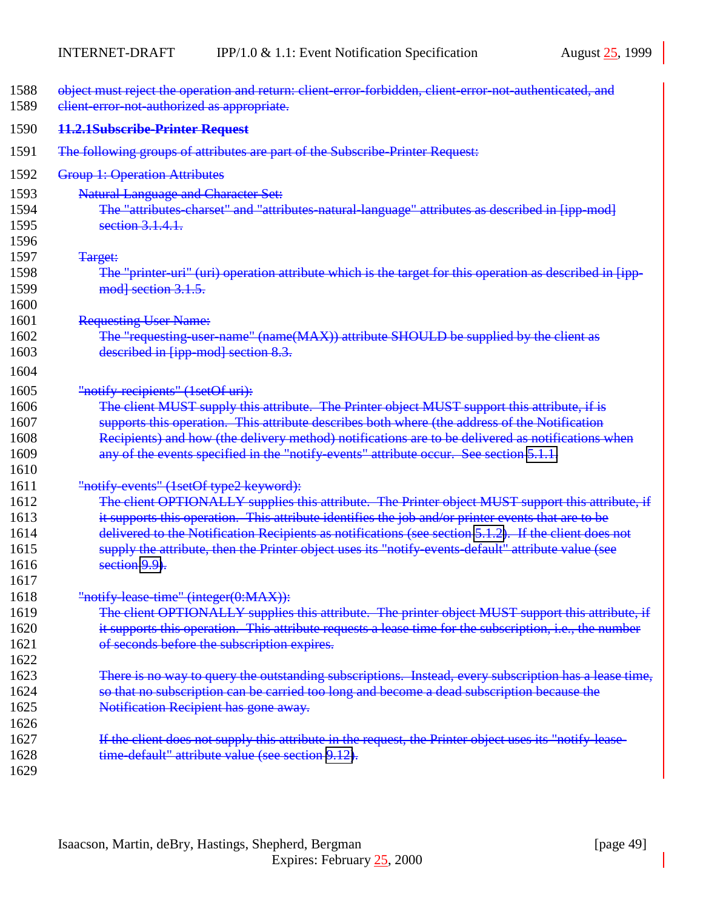<span id="page-48-0"></span>

| 1588<br>1589 | object must reject the operation and return: client-error-forbidden, client-error-not-authenticated, and<br>client-error-not-authorized as appropriate. |
|--------------|---------------------------------------------------------------------------------------------------------------------------------------------------------|
| 1590         | 11.2.1Subscribe-Printer Request                                                                                                                         |
| 1591         | The following groups of attributes are part of the Subscribe Printer Request:                                                                           |
| 1592         | <b>Group 1: Operation Attributes</b>                                                                                                                    |
| 1593         | <b>Natural Language and Character Set:</b>                                                                                                              |
| 1594         | The "attributes-charset" and "attributes-natural-language" attributes as described in [ipp-mod]                                                         |
| 1595         | section 3.1.4.1.                                                                                                                                        |
| 1596         |                                                                                                                                                         |
| 1597         | Target:                                                                                                                                                 |
| 1598         | The "printer-uri" (uri) operation attribute which is the target for this operation as described in [ipp-                                                |
| 1599         | mod] section 3.1.5.                                                                                                                                     |
| 1600         |                                                                                                                                                         |
| 1601         | <b>Requesting User Name:</b>                                                                                                                            |
| 1602         | The "requesting-user-name" (name(MAX)) attribute SHOULD be supplied by the client as                                                                    |
| 1603         | described in [ipp-mod] section 8.3.                                                                                                                     |
| 1604         |                                                                                                                                                         |
| 1605         | "notify recipients" (1setOf uri):                                                                                                                       |
| 1606         | The client MUST supply this attribute. The Printer object MUST support this attribute, if is                                                            |
| 1607         | supports this operation. This attribute describes both where (the address of the Notification                                                           |
| 1608         | Recipients) and how (the delivery method) notifications are to be delivered as notifications when                                                       |
| 1609         | any of the events specified in the "notify-events" attribute occur. See section 5.1.1.                                                                  |
| 1610         |                                                                                                                                                         |
| 1611         | "notify events" (1setOf type2 keyword):                                                                                                                 |
| 1612         | The client OPTIONALLY supplies this attribute. The Printer object MUST support this attribute, if                                                       |
| 1613         | it supports this operation. This attribute identifies the job and/or printer events that are to be                                                      |
| 1614         | delivered to the Notification Recipients as notifications (see section 5.1.2). If the client does not                                                   |
| 1615         | supply the attribute, then the Printer object uses its "notify events default" attribute value (see                                                     |
| 1616         | section 9.9).                                                                                                                                           |
| 1617         |                                                                                                                                                         |
| 1618         | "notify-lease-time" (integer(0:MAX)):                                                                                                                   |
| 1619         | The client OPTIONALLY supplies this attribute. The printer object MUST support this attribute, if                                                       |
| 1620         | it supports this operation. This attribute requests a lease time for the subscription, i.e., the number                                                 |
| 1621         | of seconds before the subscription expires.                                                                                                             |
| 1622         |                                                                                                                                                         |
| 1623         | There is no way to query the outstanding subscriptions. Instead, every subscription has a lease time,                                                   |
| 1624         | so that no subscription can be carried too long and become a dead subscription because the                                                              |
| 1625         | Notification Recipient has gone away.                                                                                                                   |
| 1626         |                                                                                                                                                         |
| 1627         | If the client does not supply this attribute in the request, the Printer object uses its "notify-lease-                                                 |
| 1628         | time-default" attribute value (see section 9.12).                                                                                                       |
| 1629         |                                                                                                                                                         |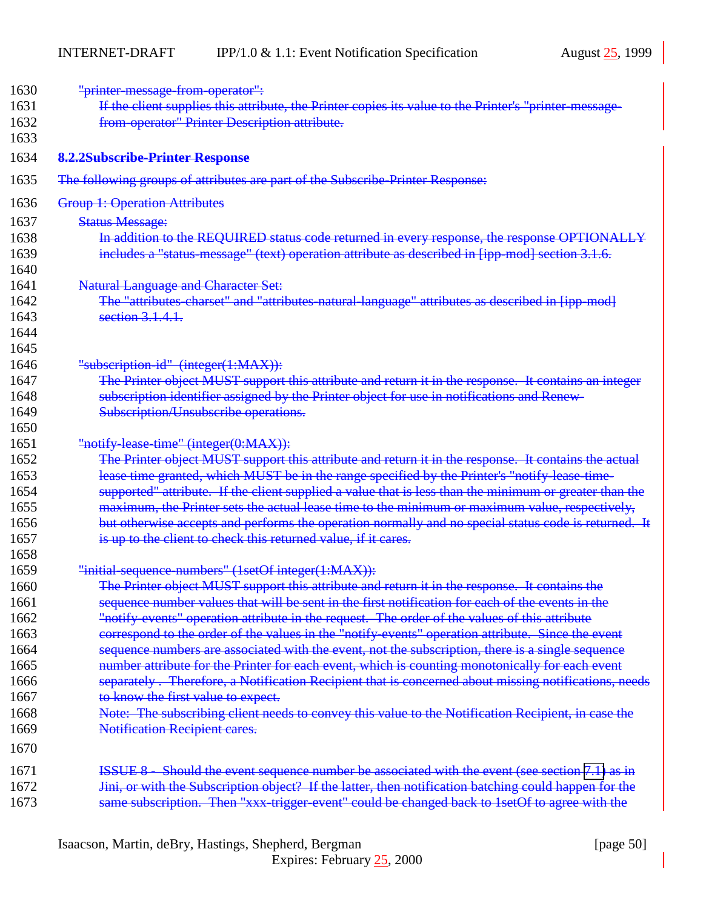<span id="page-49-0"></span>

| 1630 | "printer-message-from-operator":                                                                       |
|------|--------------------------------------------------------------------------------------------------------|
| 1631 | If the client supplies this attribute, the Printer copies its value to the Printer's "printer-message- |
| 1632 | from operator" Printer Description attribute.                                                          |
| 1633 |                                                                                                        |
| 1634 | 8.2.2Subscribe-Printer Response                                                                        |
| 1635 | The following groups of attributes are part of the Subscribe-Printer Response:                         |
| 1636 | <b>Group 1: Operation Attributes</b>                                                                   |
| 1637 | <b>Status Message:</b>                                                                                 |
| 1638 | In addition to the REQUIRED status code returned in every response, the response OPTIONALLY            |
| 1639 | includes a "status-message" (text) operation attribute as described in [ipp-mod] section 3.1.6.        |
| 1640 |                                                                                                        |
| 1641 | <b>Natural Language and Character Set:</b>                                                             |
| 1642 | The "attributes-charset" and "attributes-natural-language" attributes as described in [ipp-mod]        |
| 1643 | section 3.1.4.1.                                                                                       |
| 1644 |                                                                                                        |
| 1645 |                                                                                                        |
| 1646 | "subscription-id" (integer(1:MAX)):                                                                    |
| 1647 | The Printer object MUST support this attribute and return it in the response. It contains an integer   |
| 1648 | subscription identifier assigned by the Printer object for use in notifications and Renew-             |
| 1649 | Subscription/Unsubscribe operations.                                                                   |
| 1650 |                                                                                                        |
| 1651 | "notify-lease-time" (integer(0:MAX)):                                                                  |
| 1652 | The Printer object MUST support this attribute and return it in the response. It contains the actual   |
| 1653 | lease time granted, which MUST be in the range specified by the Printer's "notify lease time-          |
| 1654 | supported" attribute. If the client supplied a value that is less than the minimum or greater than the |
| 1655 | maximum, the Printer sets the actual lease time to the minimum or maximum value, respectively,         |
| 1656 | but otherwise accepts and performs the operation normally and no special status code is returned. It   |
| 1657 | is up to the client to check this returned value, if it cares.                                         |
| 1658 |                                                                                                        |
| 1659 | "initial-sequence-numbers" (1setOf integer(1:MAX)):                                                    |
| 1660 | The Printer object MUST support this attribute and return it in the response. It contains the          |
| 1661 | sequence number values that will be sent in the first notification for each of the events in the       |
| 1662 | "notify events" operation attribute in the request. The order of the values of this attribute          |
| 1663 | correspond to the order of the values in the "notify events" operation attribute. Since the event      |
| 1664 | sequence numbers are associated with the event, not the subscription, there is a single sequence       |
| 1665 | number attribute for the Printer for each event, which is counting monotonically for each event        |
| 1666 | separately. Therefore, a Notification Recipient that is concerned about missing notifications, needs   |
| 1667 | to know the first value to expect.                                                                     |
| 1668 | Note: The subscribing client needs to convey this value to the Notification Recipient, in case the     |
| 1669 | <b>Notification Recipient cares.</b>                                                                   |
| 1670 |                                                                                                        |
| 1671 | ISSUE 8 - Should the event sequence number be associated with the event (see section 7.1) as in        |
| 1672 | Jini, or with the Subscription object? If the latter, then notification batching could happen for the  |
| 1673 | same subscription. Then "xxx-trigger event" could be changed back to 1setOf to agree with the          |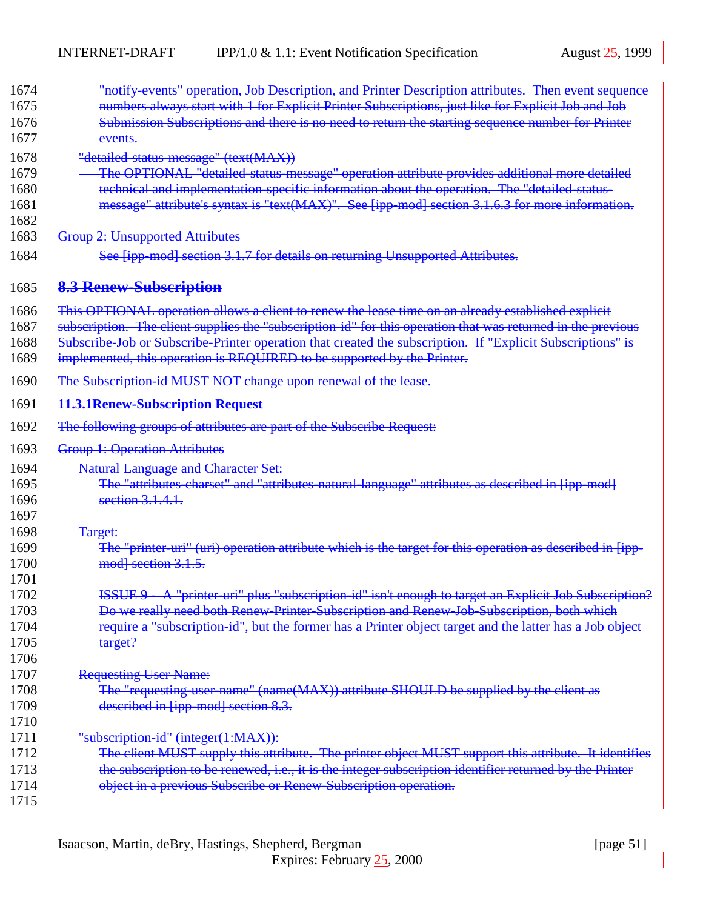<span id="page-50-0"></span>

| 1674 | "notify-events" operation, Job Description, and Printer Description attributes. Then event sequence          |
|------|--------------------------------------------------------------------------------------------------------------|
| 1675 | numbers always start with 1 for Explicit Printer Subscriptions, just like for Explicit Job and Job           |
| 1676 | Submission Subscriptions and there is no need to return the starting sequence number for Printer             |
| 1677 | events.                                                                                                      |
| 1678 | "detailed-status-message" (text(MAX))                                                                        |
| 1679 | The OPTIONAL "detailed-status-message" operation attribute provides additional more detailed                 |
| 1680 | technical and implementation-specific information about the operation. The "detailed-status-                 |
| 1681 | message" attribute's syntax is "text(MAX)". See [ipp-mod] section 3.1.6.3 for more information.              |
| 1682 |                                                                                                              |
| 1683 | <b>Group 2: Unsupported Attributes</b>                                                                       |
| 1684 | See [ipp-mod] section 3.1.7 for details on returning Unsupported Attributes.                                 |
| 1685 | 8.3 Renew-Subscription                                                                                       |
| 1686 | This OPTIONAL operation allows a client to renew the lease time on an already established explicit           |
| 1687 | subscription. The client supplies the "subscription-id" for this operation that was returned in the previous |
| 1688 | Subscribe Job or Subscribe Printer operation that created the subscription. If "Explicit Subscriptions" is   |
| 1689 | implemented, this operation is REQUIRED to be supported by the Printer.                                      |
| 1690 | The Subscription-id MUST NOT change upon renewal of the lease.                                               |
| 1691 | 11.3.1Renew-Subscription Request                                                                             |
| 1692 | The following groups of attributes are part of the Subscribe Request:                                        |
| 1693 | <b>Group 1: Operation Attributes</b>                                                                         |
| 1694 | <b>Natural Language and Character Set:</b>                                                                   |
| 1695 | The "attributes-charset" and "attributes-natural-language" attributes as described in [ipp-mod]              |
| 1696 | section 3.1.4.1.                                                                                             |
| 1697 |                                                                                                              |
| 1698 | Target:                                                                                                      |
| 1699 | The "printer-uri" (uri) operation attribute which is the target for this operation as described in [ipp-     |
| 1700 | mod] section 3.1.5.                                                                                          |
| 1701 |                                                                                                              |
| 1702 | ISSUE 9 A "printer uri" plus "subscription id" isn't enough to target an Explicit Job Subscription?          |
| 1703 | Do we really need both Renew-Printer-Subscription and Renew-Job-Subscription, both which                     |
| 1704 | require a "subscription-id", but the former has a Printer object target and the latter has a Job object      |
| 1705 | target?                                                                                                      |
| 1706 |                                                                                                              |
| 1707 | <b>Requesting User Name:</b>                                                                                 |
| 1708 | The "requesting user name" (name(MAX)) attribute SHOULD be supplied by the client as                         |
| 1709 | described in [ipp-mod] section 8.3.                                                                          |
| 1710 |                                                                                                              |
| 1711 | "subscription-id" (integer(1:MAX)):                                                                          |
| 1712 | The client MUST supply this attribute. The printer object MUST support this attribute. It identifies         |
| 1713 | the subscription to be renewed, i.e., it is the integer subscription identifier returned by the Printer      |
| 1714 | object in a previous Subscribe or Renew-Subscription operation.                                              |
| 1715 |                                                                                                              |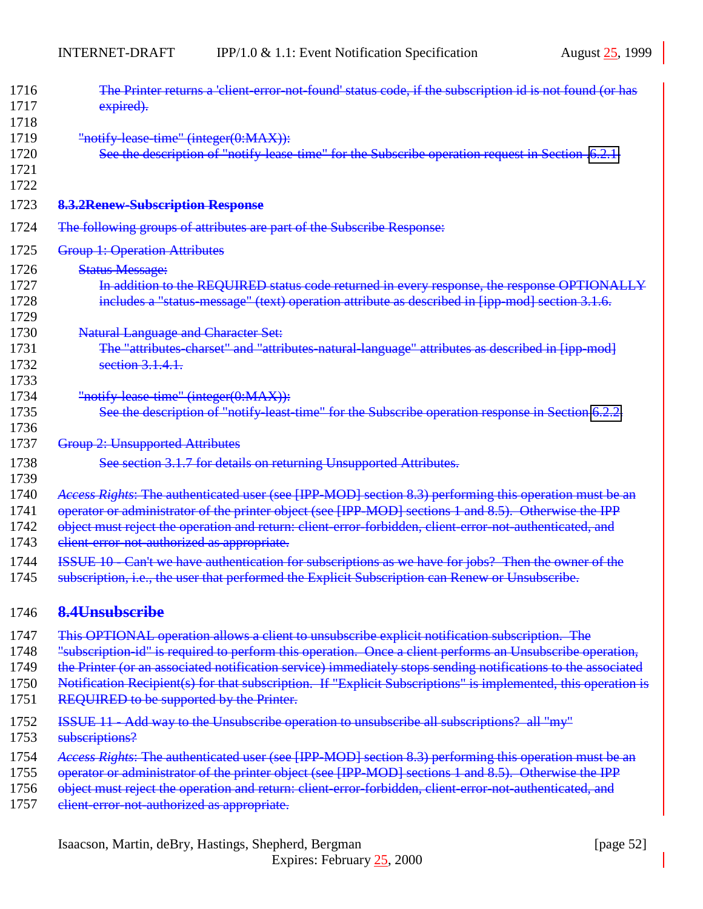<span id="page-51-0"></span>

| 1716 | The Printer returns a 'client-error-not-found' status code, if the subscription id is not found (or has        |
|------|----------------------------------------------------------------------------------------------------------------|
| 1717 | expired).                                                                                                      |
| 1718 |                                                                                                                |
| 1719 | "notify lease time" (integer(0:MAX)):                                                                          |
| 1720 | See the description of "notify-lease-time" for the Subscribe operation request in Section .6.2.1.              |
| 1721 |                                                                                                                |
| 1722 |                                                                                                                |
| 1723 | 8.3.2Renew-Subscription Response                                                                               |
| 1724 | The following groups of attributes are part of the Subscribe Response:                                         |
| 1725 | <b>Group 1: Operation Attributes</b>                                                                           |
| 1726 | <b>Status Message:</b>                                                                                         |
| 1727 | In addition to the REQUIRED status code returned in every response, the response OPTIONALLY                    |
| 1728 | includes a "status-message" (text) operation attribute as described in [ipp-mod] section 3.1.6.                |
| 1729 |                                                                                                                |
| 1730 | <b>Natural Language and Character Set:</b>                                                                     |
| 1731 | The "attributes-charset" and "attributes-natural-language" attributes as described in [ipp-mod]                |
| 1732 | section $3.1.4.1$ .                                                                                            |
| 1733 |                                                                                                                |
| 1734 | "notify lease time" (integer(0:MAX)):                                                                          |
| 1735 | See the description of "notify-least-time" for the Subscribe operation response in Section 6.2.2.              |
| 1736 |                                                                                                                |
| 1737 | <b>Group 2: Unsupported Attributes</b>                                                                         |
| 1738 | See section 3.1.7 for details on returning Unsupported Attributes.                                             |
| 1739 |                                                                                                                |
| 1740 | Access Rights: The authenticated user (see [IPP-MOD] section 8.3) performing this operation must be an         |
| 1741 | operator or administrator of the printer object (see [IPP-MOD] sections 1 and 8.5). Otherwise the IPP          |
| 1742 | object must reject the operation and return: client-error-forbidden, client-error-not-authenticated, and       |
| 1743 | client error not authorized as appropriate.                                                                    |
| 1744 | ISSUE 10 Can't we have authentication for subscriptions as we have for jobs? Then the owner of the             |
| 1745 | subscription, i.e., the user that performed the Explicit Subscription can Renew or Unsubscribe.                |
|      |                                                                                                                |
| 1746 | 8.4Unsubscribe                                                                                                 |
| 1747 | This OPTIONAL operation allows a client to unsubscribe explicit notification subscription. The                 |
| 1748 | "subscription id" is required to perform this operation. Once a client performs an Unsubscribe operation,      |
| 1749 | the Printer (or an associated notification service) immediately stops sending notifications to the associated  |
| 1750 | Notification Recipient(s) for that subscription. If "Explicit Subscriptions" is implemented, this operation is |
| 1751 | REQUIRED to be supported by the Printer.                                                                       |
| 1752 | ISSUE 11 - Add way to the Unsubscribe operation to unsubscribe all subscriptions? all "my"                     |
| 1753 | subscriptions?                                                                                                 |
|      |                                                                                                                |
| 1754 | Access Rights: The authenticated user (see [IPP-MOD] section 8.3) performing this operation must be an         |
| 1755 | operator or administrator of the printer object (see [IPP MOD] sections 1 and 8.5). Otherwise the IPP          |
| 1756 | object must reject the operation and return: client-error-forbidden, client-error-not-authenticated, and       |
| 1757 | client-error-not-authorized as appropriate.                                                                    |
|      |                                                                                                                |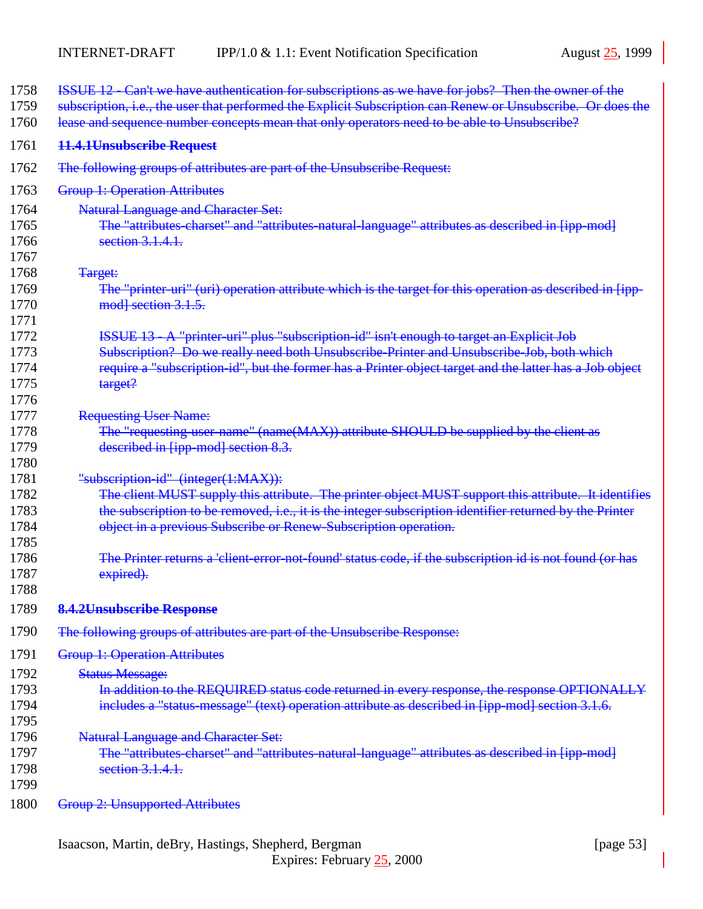| 1758<br>1759<br>1760 | ISSUE 12 - Can't we have authentication for subscriptions as we have for jobs? Then the owner of the<br>subscription, i.e., the user that performed the Explicit Subscription can Renew or Unsubscribe. Or does the<br>lease and sequence number concepts mean that only operators need to be able to Unsubscribe? |
|----------------------|--------------------------------------------------------------------------------------------------------------------------------------------------------------------------------------------------------------------------------------------------------------------------------------------------------------------|
| 1761                 | 11.4.1Unsubscribe Request                                                                                                                                                                                                                                                                                          |
| 1762                 | The following groups of attributes are part of the Unsubscribe Request:                                                                                                                                                                                                                                            |
| 1763                 | <b>Group 1: Operation Attributes</b>                                                                                                                                                                                                                                                                               |
| 1764                 | <b>Natural Language and Character Set:</b>                                                                                                                                                                                                                                                                         |
| 1765                 | The "attributes-charset" and "attributes-natural-language" attributes as described in [ipp-mod]                                                                                                                                                                                                                    |
| 1766                 | section $3.1.4.1$ .                                                                                                                                                                                                                                                                                                |
| 1767                 |                                                                                                                                                                                                                                                                                                                    |
| 1768                 | Target:                                                                                                                                                                                                                                                                                                            |
| 1769                 | The "printer-uri" (uri) operation attribute which is the target for this operation as described in [ipp-                                                                                                                                                                                                           |
| 1770                 | mod] section 3.1.5.                                                                                                                                                                                                                                                                                                |
| 1771                 |                                                                                                                                                                                                                                                                                                                    |
| 1772                 | ISSUE 13 - A "printer-uri" plus "subscription-id" isn't enough to target an Explicit Job                                                                                                                                                                                                                           |
| 1773                 | Subscription? Do we really need both Unsubscribe-Printer and Unsubscribe-Job, both which                                                                                                                                                                                                                           |
| 1774                 | require a "subscription-id", but the former has a Printer object target and the latter has a Job object                                                                                                                                                                                                            |
| 1775                 | target?                                                                                                                                                                                                                                                                                                            |
| 1776                 |                                                                                                                                                                                                                                                                                                                    |
| 1777                 | <b>Requesting User Name:</b>                                                                                                                                                                                                                                                                                       |
| 1778                 | The "requesting-user-name" (name(MAX)) attribute SHOULD be supplied by the client as                                                                                                                                                                                                                               |
| 1779                 | described in [ipp-mod] section 8.3.                                                                                                                                                                                                                                                                                |
| 1780                 |                                                                                                                                                                                                                                                                                                                    |
| 1781                 | "subscription-id" (integer(1:MAX)):                                                                                                                                                                                                                                                                                |
| 1782                 | The client MUST supply this attribute. The printer object MUST support this attribute. It identifies                                                                                                                                                                                                               |
| 1783                 | the subscription to be removed, i.e., it is the integer subscription identifier returned by the Printer                                                                                                                                                                                                            |
| 1784                 | object in a previous Subscribe or Renew-Subscription operation.                                                                                                                                                                                                                                                    |
| 1785                 |                                                                                                                                                                                                                                                                                                                    |
| 1786                 | The Printer returns a 'client error-not-found' status code, if the subscription id is not found (or has                                                                                                                                                                                                            |
| 1787                 | expired).                                                                                                                                                                                                                                                                                                          |
| 1788                 |                                                                                                                                                                                                                                                                                                                    |
| 1789                 | <b>8.4.2Unsubscribe Response</b>                                                                                                                                                                                                                                                                                   |
| 1790                 | The following groups of attributes are part of the Unsubscribe Response:                                                                                                                                                                                                                                           |
| 1791                 | <b>Group 1: Operation Attributes</b>                                                                                                                                                                                                                                                                               |
| 1792                 | <b>Status Message:</b>                                                                                                                                                                                                                                                                                             |
| 1793                 | In addition to the REQUIRED status code returned in every response, the response OPTIONALLY                                                                                                                                                                                                                        |
| 1794                 | includes a "status-message" (text) operation attribute as described in [ipp-mod] section 3.1.6.                                                                                                                                                                                                                    |
| 1795                 |                                                                                                                                                                                                                                                                                                                    |
| 1796                 | <b>Natural Language and Character Set:</b>                                                                                                                                                                                                                                                                         |
| 1797                 | The "attributes-charset" and "attributes-natural-language" attributes as described in [ipp-mod]                                                                                                                                                                                                                    |
| 1798                 | section 3.1.4.1.                                                                                                                                                                                                                                                                                                   |
| 1799                 |                                                                                                                                                                                                                                                                                                                    |
| 1800                 | <b>Group 2: Unsupported Attributes</b>                                                                                                                                                                                                                                                                             |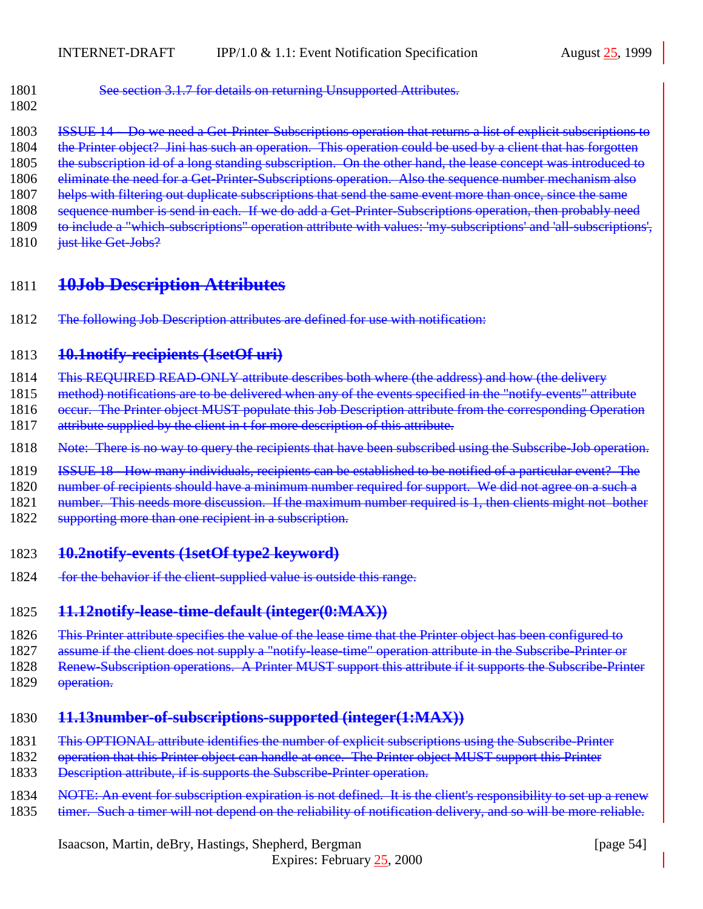<span id="page-53-0"></span>

| 1801 | See section $3.1.7$ for details on returning Unsupported Attributes                                       |
|------|-----------------------------------------------------------------------------------------------------------|
|      | $\frac{1}{100}$ section 3.1.7 for details on returning on supported $\frac{1}{100}$ and $\frac{1}{100}$ . |

- 1802
- 1803 ISSUE 14 Do we need a Get-Printer-Subscriptions operation that returns a list of explicit subscriptions to
- 1804 the Printer object? Jini has such an operation. This operation could be used by a client that has forgotten
- 1805 the subscription id of a long standing subscription. On the other hand, the lease concept was introduced to
- 1806 eliminate the need for a Get-Printer-Subscriptions operation. Also the sequence number mechanism also
- 1807 helps with filtering out duplicate subscriptions that send the same event more than once, since the same
- 1808 sequence number is send in each. If we do add a Get-Printer-Subscriptions operation, then probably need 1809 to include a "which-subscriptions" operation attribute with values: 'my-subscriptions' and 'all-subscriptions',
- 
- 1810 just like Get-Jobs?

# 1811 **10Job Description Attributes**

1812 The following Job Description attributes are defined for use with notification:

# 1813 **10.1notify-recipients (1setOf uri)**

- 1814 This REQUIRED READ-ONLY attribute describes both where (the address) and how (the delivery
- 1815 method) notifications are to be delivered when any of the events specified in the "notify-events" attribute
- 1816 occur. The Printer object MUST populate this Job Description attribute from the corresponding Operation
- 1817 attribute supplied by the client in t for more description of this attribute.
- 1818 Note: There is no way to query the recipients that have been subscribed using the Subscribe-Job operation.
- 1819 ISSUE 18 How many individuals, recipients can be established to be notified of a particular event? The
- 1820 number of recipients should have a minimum number required for support. We did not agree on a such a
- 1821 number. This needs more discussion. If the maximum number required is 1, then clients might not bother
- 1822 supporting more than one recipient in a subscription.

# 1823 **10.2notify-events (1setOf type2 keyword)**

1824 for the behavior if the client-supplied value is outside this range.

# 1825 **11.12notify-lease-time-default (integer(0:MAX))**

- 1826 This Printer attribute specifies the value of the lease time that the Printer object has been configured to
- 1827 assume if the client does not supply a "notify-lease-time" operation attribute in the Subscribe-Printer or
- 1828 Renew-Subscription operations. A Printer MUST support this attribute if it supports the Subscribe-Printer
- 1829 operation.

# 1830 **11.13number-of-subscriptions-supported (integer(1:MAX))**

- 1831 This OPTIONAL attribute identifies the number of explicit subscriptions using the Subscribe-Printer
- 1832 operation that this Printer object can handle at once. The Printer object MUST support this Printer
- 1833 Description attribute, if is supports the Subscribe-Printer operation.
- 1834 NOTE: An event for subscription expiration is not defined. It is the client's responsibility to set up a renew
- 1835 timer. Such a timer will not depend on the reliability of notification delivery, and so will be more reliable.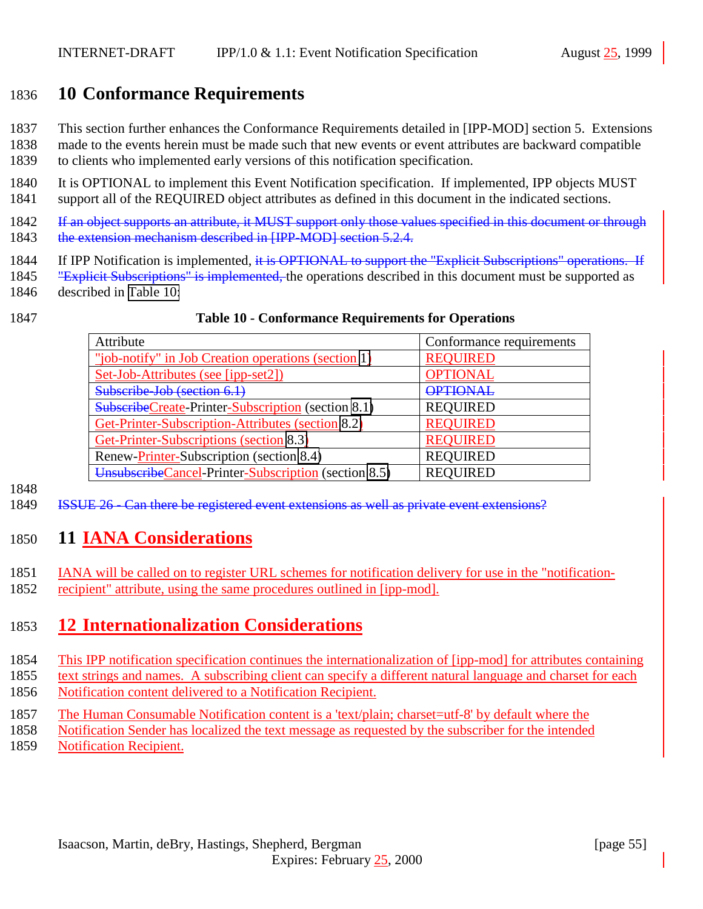# <span id="page-54-0"></span>1836 **10 Conformance Requirements**

- 1837 This section further enhances the Conformance Requirements detailed in [IPP-MOD] section 5. Extensions
- 1838 made to the events herein must be made such that new events or event attributes are backward compatible
- 1839 to clients who implemented early versions of this notification specification.
- 1840 It is OPTIONAL to implement this Event Notification specification. If implemented, IPP objects MUST 1841 support all of the REQUIRED object attributes as defined in this document in the indicated sections.
- 1842 If an object supports an attribute, it MUST support only those values specified in this document or through 1843 the extension mechanism described in [IPP-MOD] section 5.2.4.
- 1844 If IPP Notification is implemented, it is OPTIONAL to support the "Explicit Subscriptions" operations. If
- 1845 "Explicit Subscriptions" is implemented, the operations described in this document must be supported as
- 1846 described in Table 10:

#### 1847 **Table 10 - Conformance Requirements for Operations**

| Attribute                                                 | Conformance requirements |
|-----------------------------------------------------------|--------------------------|
| "job-notify" in Job Creation operations (section 1)       | <b>REQUIRED</b>          |
| Set-Job-Attributes (see [ipp-set2])                       | <b>OPTIONAL</b>          |
| Subscribe-Job (section 6.1)                               | <b>OPTIONAL</b>          |
| <b>SubscribeCreate-Printer-Subscription</b> (section 8.1) | <b>REQUIRED</b>          |
| Get-Printer-Subscription-Attributes (section 8.2)         | <b>REOUIRED</b>          |
| Get-Printer-Subscriptions (section 8.3)                   | <b>REOUIRED</b>          |
| Renew-Printer-Subscription (section 8.4)                  | <b>REQUIRED</b>          |
| UnsubscribeCancel-Printer-Subscription (section 8.5)      | <b>REOUIRED</b>          |

1848

1849 ISSUE 26 - Can there be registered event extensions as well as private event extensions?

# 1850 **11 IANA Considerations**

- 1851 IANA will be called on to register URL schemes for notification delivery for use in the "notification-
- 1852 recipient" attribute, using the same procedures outlined in [ipp-mod].

# 1853 **12 Internationalization Considerations**

- 1854 This IPP notification specification continues the internationalization of [ipp-mod] for attributes containing
- 1855 text strings and names. A subscribing client can specify a different natural language and charset for each 1856 Notification content delivered to a Notification Recipient.
- 1857 The Human Consumable Notification content is a 'text/plain; charset=utf-8' by default where the
- 1858 Notification Sender has localized the text message as requested by the subscriber for the intended
- 1859 Notification Recipient.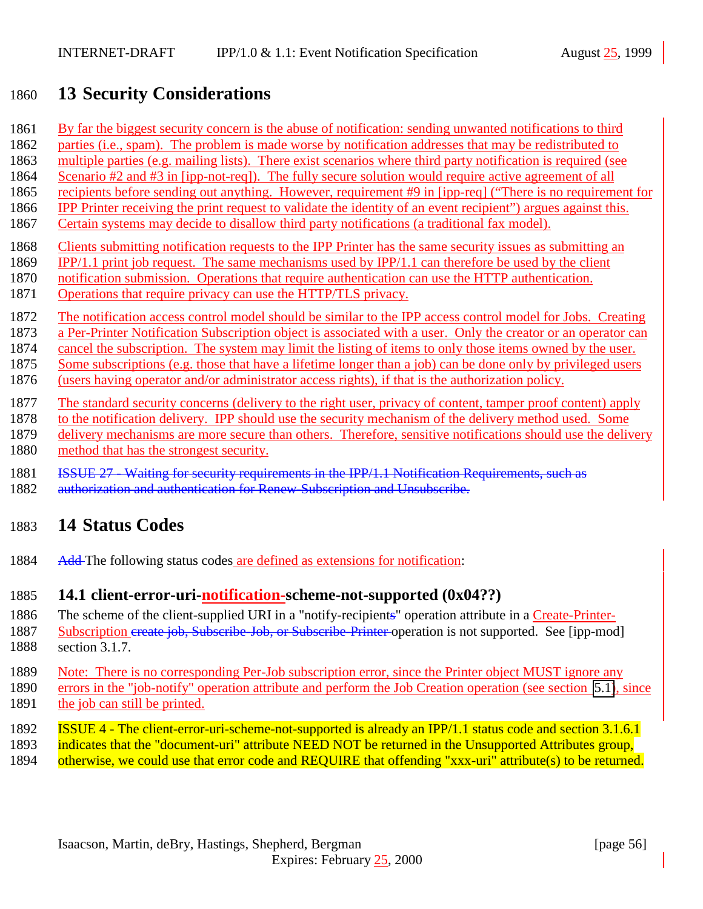# <span id="page-55-0"></span>**13 Security Considerations**

- By far the biggest security concern is the abuse of notification: sending unwanted notifications to third
- parties (i.e., spam). The problem is made worse by notification addresses that may be redistributed to
- multiple parties (e.g. mailing lists). There exist scenarios where third party notification is required (see
- Scenario #2 and #3 in [ipp-not-req]). The fully secure solution would require active agreement of all
- recipients before sending out anything. However, requirement #9 in [ipp-req] ("There is no requirement for IPP Printer receiving the print request to validate the identity of an event recipient") argues against this.
- Certain systems may decide to disallow third party notifications (a traditional fax model).
- Clients submitting notification requests to the IPP Printer has the same security issues as submitting an
- IPP/1.1 print job request. The same mechanisms used by IPP/1.1 can therefore be used by the client
- notification submission. Operations that require authentication can use the HTTP authentication.
- Operations that require privacy can use the HTTP/TLS privacy.
- The notification access control model should be similar to the IPP access control model for Jobs. Creating
- 1873 a Per-Printer Notification Subscription object is associated with a user. Only the creator or an operator can
- cancel the subscription. The system may limit the listing of items to only those items owned by the user.
- Some subscriptions (e.g. those that have a lifetime longer than a job) can be done only by privileged users
- (users having operator and/or administrator access rights), if that is the authorization policy.
- The standard security concerns (delivery to the right user, privacy of content, tamper proof content) apply
- to the notification delivery. IPP should use the security mechanism of the delivery method used. Some
- 1879 delivery mechanisms are more secure than others. Therefore, sensitive notifications should use the delivery
- method that has the strongest security.
- ISSUE 27 Waiting for security requirements in the IPP/1.1 Notification Requirements, such as
- 1882 authorization and authentication for Renew-Subscription and Unsubscribe.

# **14 Status Codes**

1884 Add-The following status codes are defined as extensions for notification:

# **14.1 client-error-uri-notification-scheme-not-supported (0x04??)**

- The scheme of the client-supplied URI in a "notify-recipients" operation attribute in a Create-Printer-1887 Subscription create job, Subscribe-Job, or Subscribe-Printer operation is not supported. See [ipp-mod]
- section 3.1.7.
- Note: There is no corresponding Per-Job subscription error, since the Printer object MUST ignore any errors in the "job-notify" operation attribute and perform the Job Creation operation (see section [5.1\)](#page-15-0), since
- 1891 the job can still be printed.
- ISSUE 4 The client-error-uri-scheme-not-supported is already an IPP/1.1 status code and section 3.1.6.1 indicates that the "document-uri" attribute NEED NOT be returned in the Unsupported Attributes group,
- 1894 otherwise, we could use that error code and REQUIRE that offending "xxx-uri" attribute(s) to be returned.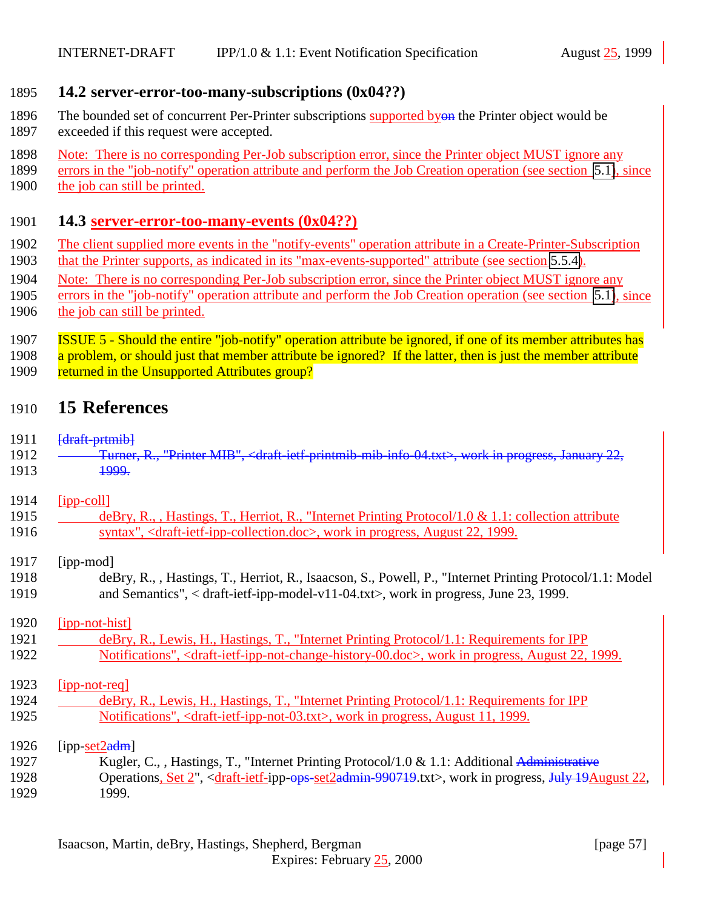#### <span id="page-56-0"></span>1895 **14.2 server-error-too-many-subscriptions (0x04??)**

- 1896 The bounded set of concurrent Per-Printer subscriptions supported byon the Printer object would be 1897 exceeded if this request were accepted.
- 1898 Note: There is no corresponding Per-Job subscription error, since the Printer object MUST ignore any
- 1899 errors in the "job-notify" operation attribute and perform the Job Creation operation (see section [5.1\)](#page-15-0), since 1900 the job can still be printed.

#### 1901 **14.3 server-error-too-many-events (0x04??)**

- 1902 The client supplied more events in the "notify-events" operation attribute in a Create-Printer-Subscription 1903 that the Printer supports, as indicated in its "max-events-supported" attribute (see section [5.5.4\)](#page-26-0).
- 1904 Note: There is no corresponding Per-Job subscription error, since the Printer object MUST ignore any
- 1905 errors in the "job-notify" operation attribute and perform the Job Creation operation (see section [5.1\)](#page-15-0), since
- 1906 the job can still be printed.
- 1907 ISSUE 5 Should the entire "job-notify" operation attribute be ignored, if one of its member attributes has 1908 a problem, or should just that member attribute be ignored? If the latter, then is just the member attribute
- 1909 returned in the Unsupported Attributes group?

# 1910 **15 References**

#### 1911 <del>[draft-prtmib]</del>

- 1912 Turner, R., "Printer MIB", <draft-ietf-printmib-mib-info-04.txt>, work in progress, January 22,
- 1913 **1999.**

#### 1914 [ipp-coll]

1915 deBry, R., , Hastings, T., Herriot, R., "Internet Printing Protocol/1.0 & 1.1: collection attribute 1916 syntax", <draft-ietf-ipp-collection.doc>, work in progress, August 22, 1999.

#### 1917 [ipp-mod]

1918 deBry, R., , Hastings, T., Herriot, R., Isaacson, S., Powell, P., "Internet Printing Protocol/1.1: Model 1919 and Semantics", < draft-ietf-ipp-model-v11-04.txt>, work in progress, June 23, 1999.

#### 1920 [ipp-not-hist]

1921 deBry, R., Lewis, H., Hastings, T., "Internet Printing Protocol/1.1: Requirements for IPP 1922 Notifications", <draft-ietf-ipp-not-change-history-00.doc>, work in progress, August 22, 1999.

#### 1923 [ipp-not-req]

1924 deBry, R., Lewis, H., Hastings, T., "Internet Printing Protocol/1.1: Requirements for IPP 1925 Notifications", <draft-ietf-ipp-not-03.txt>, work in progress, August 11, 1999.

#### 1926  $[pp-set2adm]$

- 1927 Kugler, C., , Hastings, T., "Internet Printing Protocol/1.0 & 1.1: Additional Administrative 1928 Operations, Set 2", <draft-ietf-ipp-ops-set2admin-990719.txt>, work in progress, July 19August 22,
- 1929 1999.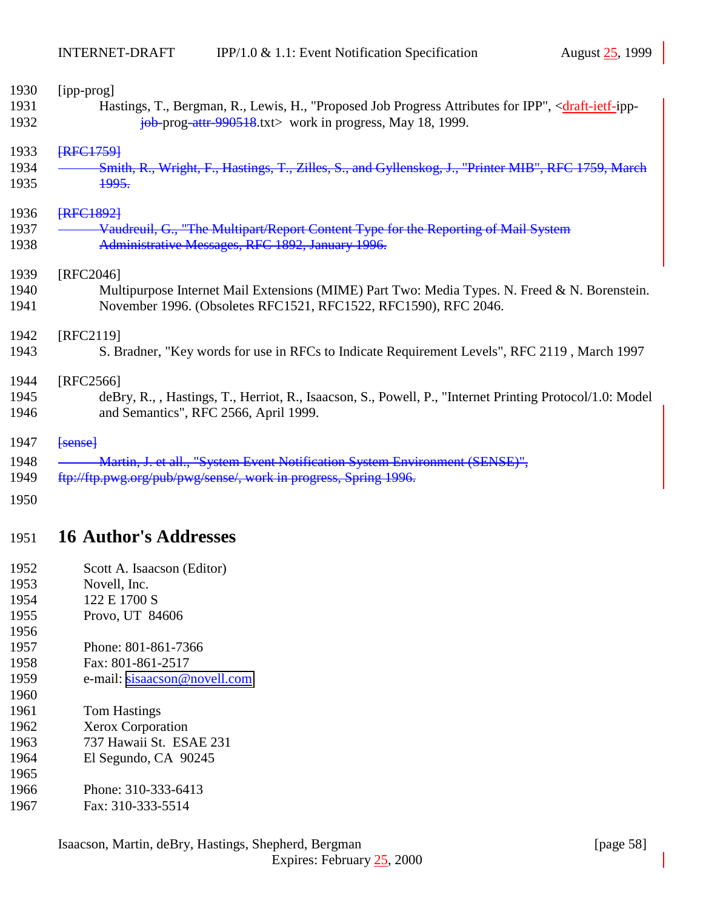<span id="page-57-0"></span>

| 1930 | [ipp-prog]                                                                                                                    |
|------|-------------------------------------------------------------------------------------------------------------------------------|
| 1931 | Hastings, T., Bergman, R., Lewis, H., "Proposed Job Progress Attributes for IPP", <draft-ietf-ipp-< td=""></draft-ietf-ipp-<> |
| 1932 | $\frac{1}{10}$ prog-attr 990518.txt work in progress, May 18, 1999.                                                           |
| 1933 | <b>IRFC17591</b>                                                                                                              |
| 1934 | Smith, R., Wright, F., Hastings, T., Zilles, S., and Gyllenskog, J., "Printer MIB", RFC 1759, March                           |
| 1935 | <del>1995.</del>                                                                                                              |
| 1936 | <b>{RFC1892}</b>                                                                                                              |
| 1937 | Vaudreuil, G., "The Multipart/Report Content Type for the Reporting of Mail System                                            |
| 1938 | Administrative Messages, RFC 1892, January 1996.                                                                              |
| 1939 | [RFC2046]                                                                                                                     |
| 1940 | Multipurpose Internet Mail Extensions (MIME) Part Two: Media Types. N. Freed & N. Borenstein.                                 |
| 1941 | November 1996. (Obsoletes RFC1521, RFC1522, RFC1590), RFC 2046.                                                               |
| 1942 | [RFC2119]                                                                                                                     |
| 1943 | S. Bradner, "Key words for use in RFCs to Indicate Requirement Levels", RFC 2119, March 1997                                  |
| 1944 | [RFC2566]                                                                                                                     |
| 1945 | deBry, R., , Hastings, T., Herriot, R., Isaacson, S., Powell, P., "Internet Printing Protocol/1.0: Model                      |
| 1946 | and Semantics", RFC 2566, April 1999.                                                                                         |
| 1947 | $\leftarrow$                                                                                                                  |
| 1948 | Martin, J. et all., "System Event Notification System Environment (SENSE)",                                                   |
| 1949 | ftp://ftp.pwg.org/pub/pwg/sense/, work in progress, Spring 1996.                                                              |
| 1950 |                                                                                                                               |
|      |                                                                                                                               |

# **16 Author's Addresses**

- Scott A. Isaacson (Editor)
- Novell, Inc.
- 1954 122 E 1700 S
- Provo, UT 84606
- Phone: 801-861-7366
- Fax: 801-861-2517
- e-mail: [sisaacson@novell.com](mailto:sisaacson@novell.com)
- Tom Hastings
- Xerox Corporation
- 737 Hawaii St. ESAE 231
- El Segundo, CA 90245
- Phone: 310-333-6413
- Fax: 310-333-5514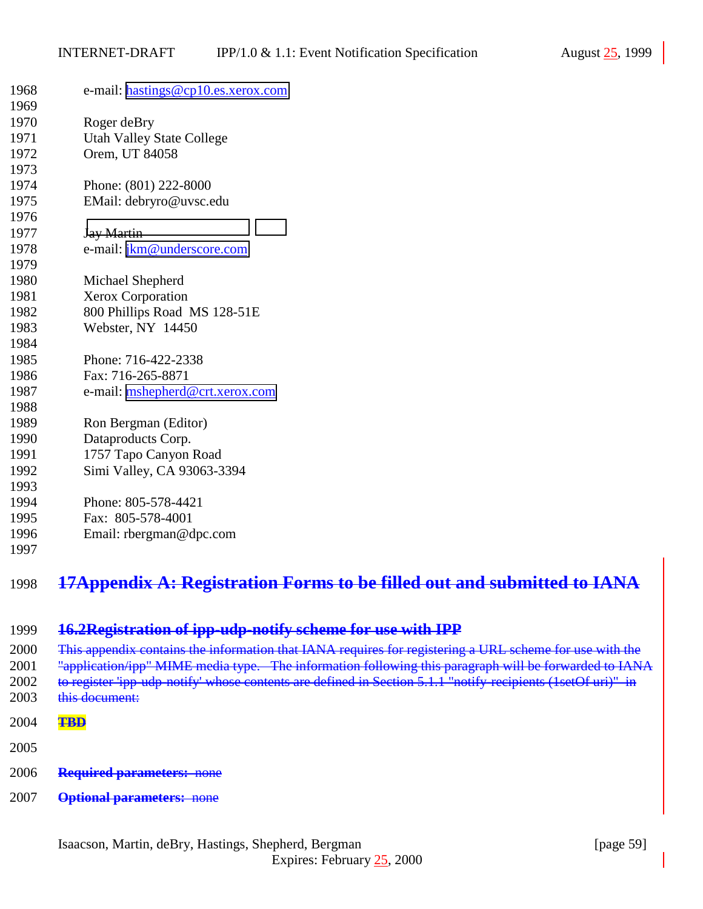<span id="page-58-0"></span>

| 1968 | e-mail: hastings@cp10.es.xerox.com                                          |
|------|-----------------------------------------------------------------------------|
| 1969 |                                                                             |
| 1970 | Roger deBry                                                                 |
| 1971 | <b>Utah Valley State College</b>                                            |
| 1972 | Orem, UT 84058                                                              |
| 1973 |                                                                             |
| 1974 | Phone: (801) 222-8000                                                       |
| 1975 | EMail: debryro@uvsc.edu                                                     |
| 1976 |                                                                             |
| 1977 | <b>Jay Martin</b>                                                           |
| 1978 | e-mail: jkm@underscore.com                                                  |
| 1979 |                                                                             |
| 1980 | Michael Shepherd                                                            |
| 1981 | <b>Xerox Corporation</b>                                                    |
| 1982 | 800 Phillips Road MS 128-51E                                                |
| 1983 | Webster, NY 14450                                                           |
| 1984 |                                                                             |
| 1985 | Phone: 716-422-2338                                                         |
| 1986 | Fax: 716-265-8871                                                           |
| 1987 | e-mail: mshepherd@crt.xerox.com                                             |
| 1988 |                                                                             |
| 1989 | Ron Bergman (Editor)                                                        |
| 1990 | Dataproducts Corp.                                                          |
| 1991 | 1757 Tapo Canyon Road                                                       |
| 1992 | Simi Valley, CA 93063-3394                                                  |
| 1993 |                                                                             |
| 1994 | Phone: 805-578-4421                                                         |
| 1995 | Fax: 805-578-4001                                                           |
| 1996 | Email: $rbegin@ifnextchar[{\@model{thm}}{\mathbf{c} \times \mathbf{c}}$ Com |
| 1997 |                                                                             |
|      |                                                                             |

# **17Appendix A: Registration Forms to be filled out and submitted to IANA**

**16.2Registration of ipp-udp-notify scheme for use with IPP**

2000 This appendix contains the information that IANA requires for registering a URL scheme for use with the 2001 "application/ipp" MIME media type. The information following this paragraph will be forwarded to IANA 2002 to register 'ipp-udp-notify' whose contents are defined in Section 5.1.1 "notify-recipients (1setOf uri)" in 2003 this document:

- **TBD**
- 
- **Required parameters:** none
- **Optional parameters:** none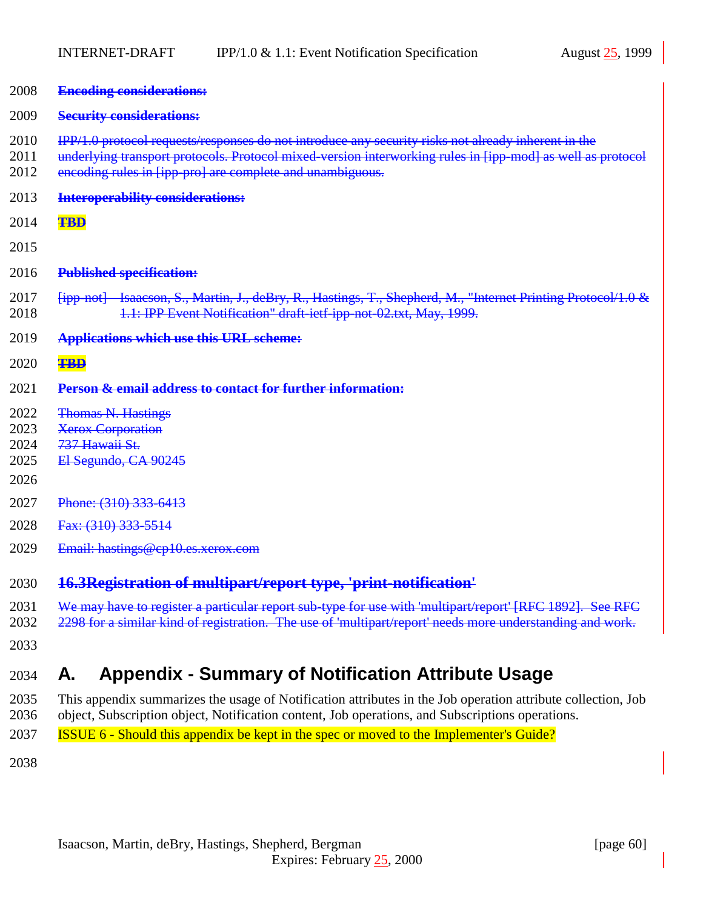<span id="page-59-0"></span>

| 2008                                 | <b>Encoding considerations:</b>                                                                                                                                                                                                                                                |
|--------------------------------------|--------------------------------------------------------------------------------------------------------------------------------------------------------------------------------------------------------------------------------------------------------------------------------|
| 2009                                 | <b>Security considerations:</b>                                                                                                                                                                                                                                                |
| 2010<br>2011<br>2012                 | IPP/1.0 protocol requests/responses do not introduce any security risks not already inherent in the<br>underlying transport protocols. Protocol mixed-version interworking rules in [ipp-mod] as well as protocol<br>encoding rules in [ipp-pro] are complete and unambiguous. |
| 2013                                 | <b>Interoperability considerations:</b>                                                                                                                                                                                                                                        |
| 2014                                 | <b>TBD</b>                                                                                                                                                                                                                                                                     |
| 2015                                 |                                                                                                                                                                                                                                                                                |
| 2016                                 | <b>Published specification:</b>                                                                                                                                                                                                                                                |
| 2017<br>2018                         | [ipp-not] Isaacson, S., Martin, J., deBry, R., Hastings, T., Shepherd, M., "Internet Printing Protocol/1.0 &<br>1.1: IPP Event Notification" draft-ietf-ipp-not-02.txt, May, 1999.                                                                                             |
| 2019                                 | <b>Applications which use this URL scheme:</b>                                                                                                                                                                                                                                 |
| 2020                                 | <b>TBD</b>                                                                                                                                                                                                                                                                     |
| 2021                                 | <b>Person &amp; email address to contact for further information:</b>                                                                                                                                                                                                          |
| 2022<br>2023<br>2024<br>2025<br>2026 | <b>Thomas N. Hastings</b><br><b>Xerox Corporation</b><br>737 Hawaii St.<br>El Segundo, CA 90245                                                                                                                                                                                |
| 2027                                 | Phone: (310) 333-6413                                                                                                                                                                                                                                                          |
| 2028                                 | Fax: (310) 333-5514                                                                                                                                                                                                                                                            |
| 2029                                 | Email: hastings@cp10.es.xerox.com                                                                                                                                                                                                                                              |
| 2030                                 | 16.3Registration of multipart/report type, 'print-notification'                                                                                                                                                                                                                |
| 2031<br>2032<br>2033                 | We may have to register a particular report sub-type for use with 'multipart/report' [RFC 1892]. See RFC<br>2298 for a similar kind of registration. The use of 'multipart/report' needs more understanding and work.                                                          |

# 2034 **A. Appendix - Summary of Notification Attribute Usage**

2035 This appendix summarizes the usage of Notification attributes in the Job operation attribute collection, Job 2036 object, Subscription object, Notification content, Job operations, and Subscriptions operations.

2037 ISSUE 6 - Should this appendix be kept in the spec or moved to the Implementer's Guide?

2038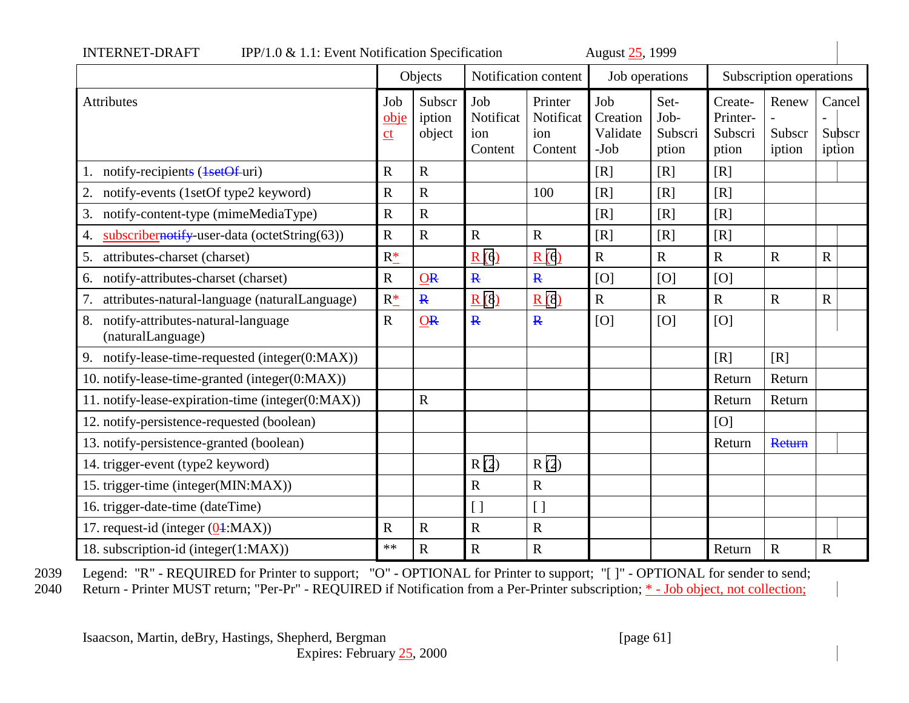<span id="page-60-0"></span>

|                                                               |                   | Objects                    | Notification content               |                                        | Job operations                      |                                  | Subscription operations                 |                           |                            |
|---------------------------------------------------------------|-------------------|----------------------------|------------------------------------|----------------------------------------|-------------------------------------|----------------------------------|-----------------------------------------|---------------------------|----------------------------|
| <b>Attributes</b>                                             | Job<br>obje<br>ct | Subscr<br>iption<br>object | Job<br>Notificat<br>ion<br>Content | Printer<br>Notificat<br>ion<br>Content | Job<br>Creation<br>Validate<br>-Job | Set-<br>Job-<br>Subscri<br>ption | Create-<br>Printer-<br>Subscri<br>ption | Renew<br>Subscr<br>iption | Cancel<br>Subscr<br>iption |
| notify-recipients (1setOf-uri)                                | $\mathbf R$       | $\mathbf R$                |                                    |                                        | [R]                                 | [R]                              | [R]                                     |                           |                            |
| 2.<br>notify-events (1setOf type2 keyword)                    | $\mathbf R$       | $\mathbf R$                |                                    | 100                                    | [R]                                 | [R]                              | [R]                                     |                           |                            |
| notify-content-type (mimeMediaType)<br>3.                     | $\mathbf R$       | $\mathbf R$                |                                    |                                        | [R]                                 | [R]                              | [R]                                     |                           |                            |
| subscribernotify-user-data (octetString(63))<br>4.            | $\mathbf R$       | $\mathbf R$                | $\mathbf R$                        | $\mathbf R$                            | [R]                                 | [R]                              | [R]                                     |                           |                            |
| attributes-charset (charset)<br>5.                            | $R_{-}^*$         |                            | R(6)                               | R(6)                                   | $\mathbf R$                         | $\mathbf R$                      | $\mathbf R$                             | $\mathbf R$               | $\mathbf R$                |
| notify-attributes-charset (charset)<br>6.                     | $\mathbf R$       | <b>OR</b>                  | $\overline{\mathbf{R}}$            | $\overline{\mathbf{R}}$                | [O]                                 | [O]                              | [O]                                     |                           |                            |
| attributes-natural-language (naturalLanguage)<br>7.           | $R_{-}^{*}$       | $\mathbf{R}$               | R(8)                               | R(8)                                   | ${\bf R}$                           | $\mathbf R$                      | $\mathbf R$                             | $\mathbf R$               | $\mathbf R$                |
| notify-attributes-natural-language<br>8.<br>(naturalLanguage) | $\mathbf R$       | <b>OR</b>                  | $\mathbf{R}$                       | $\mathbf{R}$                           | [O]                                 | [O]                              | [O]                                     |                           |                            |
| 9. notify-lease-time-requested (integer(0:MAX))               |                   |                            |                                    |                                        |                                     |                                  | [R]                                     | [R]                       |                            |
| 10. notify-lease-time-granted (integer(0:MAX))                |                   |                            |                                    |                                        |                                     |                                  | Return                                  | Return                    |                            |
| 11. notify-lease-expiration-time (integer(0:MAX))             |                   | $\mathbf R$                |                                    |                                        |                                     |                                  | Return                                  | Return                    |                            |
| 12. notify-persistence-requested (boolean)                    |                   |                            |                                    |                                        |                                     |                                  | [O]                                     |                           |                            |
| 13. notify-persistence-granted (boolean)                      |                   |                            |                                    |                                        |                                     |                                  | Return                                  | Return                    |                            |
| 14. trigger-event (type2 keyword)                             |                   |                            | R(2)                               | R(2)                                   |                                     |                                  |                                         |                           |                            |
| 15. trigger-time (integer(MIN:MAX))                           |                   |                            | $\mathbf R$                        | ${\bf R}$                              |                                     |                                  |                                         |                           |                            |
| 16. trigger-date-time (dateTime)                              |                   |                            | $\left[ \ \right]$                 | $\left[ \ \right]$                     |                                     |                                  |                                         |                           |                            |
| 17. request-id (integer $(Q_1 : MAX)$ )                       | $\mathbf R$       | ${\bf R}$                  | $\mathbf R$                        | ${\bf R}$                              |                                     |                                  |                                         |                           |                            |
| 18. subscription-id (integer(1:MAX))                          | **                | $\mathbf R$                | $\mathbf R$                        | $\mathbf R$                            |                                     |                                  | Return                                  | $\mathbf R$               | $\mathbf R$                |

INTERNET-DRAFT IPP/1.0  $\ell$ -1.1: Event Notification Specification August 25, 1000

2039 Legend: "R" - REQUIRED for Printer to support; "O" - OPTIONAL for Printer to support; "[ ]" - OPTIONAL for sender to send;

2040 Return - Printer MUST return; "Per-Pr" - REQUIRED if Notification from a Per-Printer subscription; \* - Job object, not collection;

Isaacson, Martin, deBry, Hastings, Shepherd, Bergman [page 61] Expires: February 25, 2000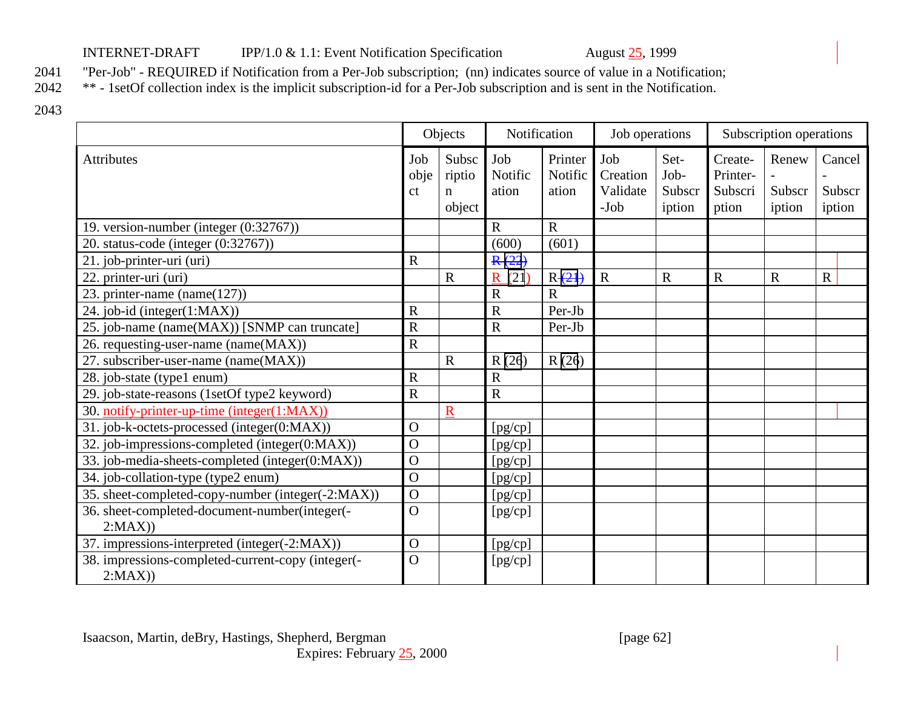### INTERNET-DRAFT IPP/1.0 & 1.1: Event Notification Specification August 25, 1999

2041 "Per-Job" - REQUIRED if Notification from a Per-Job subscription; (nn) indicates source of value in a Notification;<br>2042 \*\* - 1setOf collection index is the implicit subscription-id for a Per-Job subscription and is s

\*\* - 1setOf collection index is the implicit subscription-id for a Per-Job subscription and is sent in the Notification.

2043

|                                                             | Objects           |                                          | Notification            |                             | Job operations                        |                                  | Subscription operations                 |                           |                            |
|-------------------------------------------------------------|-------------------|------------------------------------------|-------------------------|-----------------------------|---------------------------------------|----------------------------------|-----------------------------------------|---------------------------|----------------------------|
| <b>Attributes</b>                                           | Job<br>obje<br>ct | Subsc<br>riptio<br>$\mathbf n$<br>object | Job<br>Notific<br>ation | Printer<br>Notific<br>ation | Job<br>Creation<br>Validate<br>$-Job$ | Set-<br>Job-<br>Subscr<br>iption | Create-<br>Printer-<br>Subscri<br>ption | Renew<br>Subscr<br>iption | Cancel<br>Subscr<br>iption |
| 19. version-number (integer (0:32767))                      |                   |                                          | $\mathbf R$             | $\mathbf R$                 |                                       |                                  |                                         |                           |                            |
| 20. status-code (integer (0:32767))                         |                   |                                          | (600)                   | (601)                       |                                       |                                  |                                         |                           |                            |
| 21. job-printer-uri (uri)                                   | $\mathbf R$       |                                          | R(22)                   |                             |                                       |                                  |                                         |                           |                            |
| 22. printer-uri (uri)                                       |                   | $\mathbf R$                              | $\mathbf R$<br>(21)     | $R(-21)$                    | $\mathbf R$                           | $\mathbf R$                      | $\mathbf R$                             | $\mathbf R$               | R                          |
| 23. printer-name $(name(127))$                              |                   |                                          | $\overline{R}$          | $\mathbf R$                 |                                       |                                  |                                         |                           |                            |
| 24. job-id (integer(1:MAX))                                 | $\mathbf R$       |                                          | $\mathbf R$             | Per-Jb                      |                                       |                                  |                                         |                           |                            |
| 25. job-name (name(MAX)) [SNMP can truncate]                | $\mathbf R$       |                                          | $\mathbf R$             | Per-Jb                      |                                       |                                  |                                         |                           |                            |
| 26. requesting-user-name (name(MAX))                        | $\mathbf R$       |                                          |                         |                             |                                       |                                  |                                         |                           |                            |
| 27. subscriber-user-name (name(MAX))                        |                   | $\mathbf R$                              | R(26)                   | R(26)                       |                                       |                                  |                                         |                           |                            |
| 28. job-state (type1 enum)                                  | $\mathbf R$       |                                          | $\mathbf R$             |                             |                                       |                                  |                                         |                           |                            |
| 29. job-state-reasons (1setOf type2 keyword)                | $\overline{R}$    |                                          | $\overline{R}$          |                             |                                       |                                  |                                         |                           |                            |
| 30. notify-printer-up-time (integer(1:MAX))                 |                   | $\underline{R}$                          |                         |                             |                                       |                                  |                                         |                           |                            |
| 31. job-k-octets-processed (integer(0:MAX))                 | $\mathbf{O}$      |                                          | [pg/cp]                 |                             |                                       |                                  |                                         |                           |                            |
| 32. job-impressions-completed (integer(0:MAX))              | $\mathbf O$       |                                          | [pg/cp]                 |                             |                                       |                                  |                                         |                           |                            |
| 33. job-media-sheets-completed (integer(0:MAX))             | $\mathbf O$       |                                          | [pg/cp]                 |                             |                                       |                                  |                                         |                           |                            |
| 34. job-collation-type (type2 enum)                         | $\overline{O}$    |                                          | [pg/cp]                 |                             |                                       |                                  |                                         |                           |                            |
| 35. sheet-completed-copy-number (integer(-2:MAX))           | $\mathbf O$       |                                          | [pg/cp]                 |                             |                                       |                                  |                                         |                           |                            |
| 36. sheet-completed-document-number(integer(-               | $\overline{O}$    |                                          | [pg/cp]                 |                             |                                       |                                  |                                         |                           |                            |
| 2:MAX)                                                      |                   |                                          |                         |                             |                                       |                                  |                                         |                           |                            |
| 37. impressions-interpreted (integer(-2:MAX))               | $\mathbf O$       |                                          | [pg/cp]                 |                             |                                       |                                  |                                         |                           |                            |
| 38. impressions-completed-current-copy (integer(-<br>2:MAX) | $\Omega$          |                                          | [pg/cp]                 |                             |                                       |                                  |                                         |                           |                            |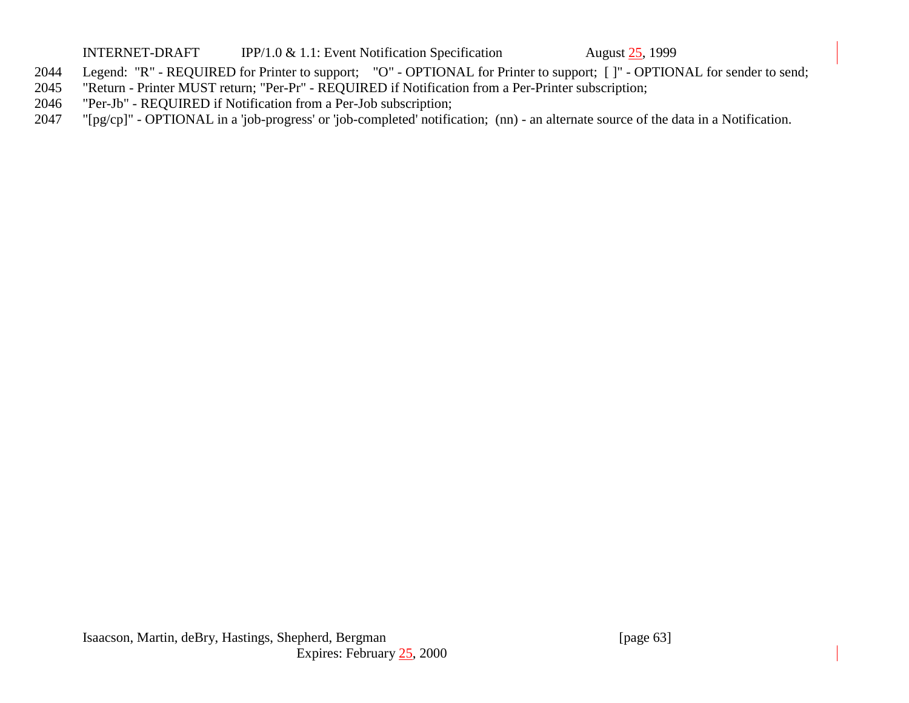#### INTERNET-DRAFT IPP/1.0 & 1.1: Event Notification Specification August 25, 1999

- 2044 Legend: "R" REQUIRED for Printer to support; "O" OPTIONAL for Printer to support; [ ]" OPTIONAL for sender to send;
- 2045 "Return Printer MUST return; "Per-Pr" REQUIRED if Notification from a Per-Printer subscription;
- 2046 "Per-Jb" REQUIRED if Notification from a Per-Job subscription;
- 2047 "[pg/cp]" OPTIONAL in a 'job-progress' or 'job-completed' notification; (nn) an alternate source of the data in a Notification.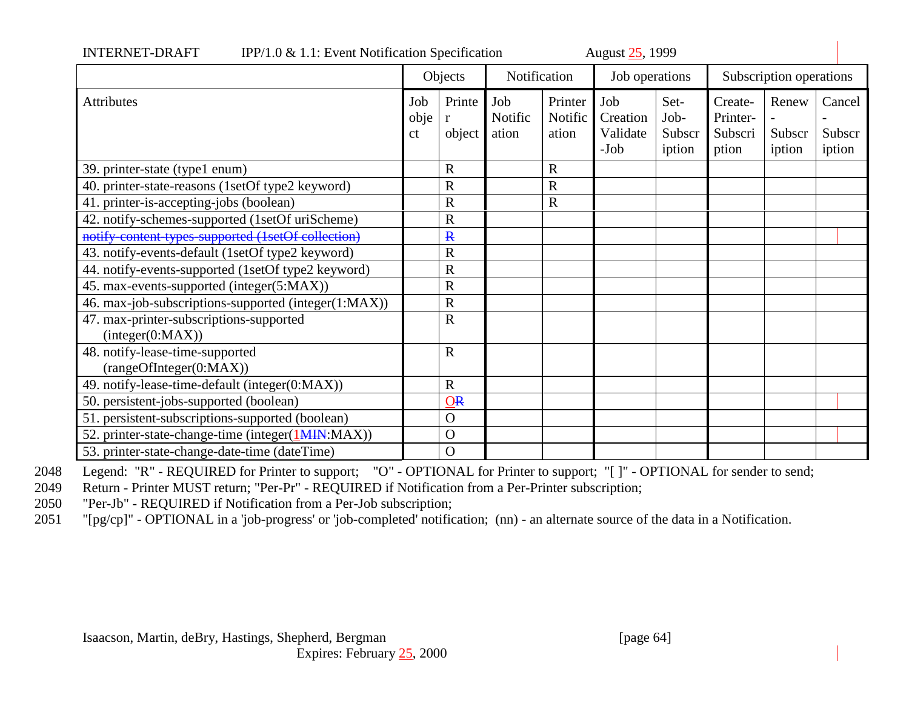| IPP/1.0 $\&$ 1.1: Event Notification Specification<br><b>INTERNET-DRAFT</b> |                              |                         |                         |                               | August 25, 1999                       |                                  |                                         |                           |                            |
|-----------------------------------------------------------------------------|------------------------------|-------------------------|-------------------------|-------------------------------|---------------------------------------|----------------------------------|-----------------------------------------|---------------------------|----------------------------|
|                                                                             | Objects                      |                         | Notification            |                               | Job operations                        |                                  | Subscription operations                 |                           |                            |
| <b>Attributes</b>                                                           | Job<br>obje<br><sub>ct</sub> | Printe<br>r<br>object   | Job<br>Notific<br>ation | Printer<br>Notific  <br>ation | Job<br>Creation<br>Validate<br>$-Job$ | Set-<br>Job-<br>Subscr<br>iption | Create-<br>Printer-<br>Subscri<br>ption | Renew<br>Subscr<br>iption | Cancel<br>Subscr<br>iption |
| 39. printer-state (type1 enum)                                              |                              | R                       |                         | $\mathbf R$                   |                                       |                                  |                                         |                           |                            |
| 40. printer-state-reasons (1setOf type2 keyword)                            |                              | R                       |                         | $\mathbf R$                   |                                       |                                  |                                         |                           |                            |
| 41. printer-is-accepting-jobs (boolean)                                     |                              | R                       |                         | $\mathbf R$                   |                                       |                                  |                                         |                           |                            |
| 42. notify-schemes-supported (1setOf uriScheme)                             |                              | R                       |                         |                               |                                       |                                  |                                         |                           |                            |
| notify content types supported (1setOf collection)                          |                              | $\mathbf{R}$            |                         |                               |                                       |                                  |                                         |                           |                            |
| 43. notify-events-default (1setOf type2 keyword)                            |                              | R                       |                         |                               |                                       |                                  |                                         |                           |                            |
| 44. notify-events-supported (1setOf type2 keyword)                          |                              | R                       |                         |                               |                                       |                                  |                                         |                           |                            |
| 45. max-events-supported (integer(5:MAX))                                   |                              | R                       |                         |                               |                                       |                                  |                                         |                           |                            |
| 46. max-job-subscriptions-supported (integer(1:MAX))                        |                              | R                       |                         |                               |                                       |                                  |                                         |                           |                            |
| 47. max-printer-subscriptions-supported<br>interger(0:MAX))                 |                              | $\overline{\text{R}}$   |                         |                               |                                       |                                  |                                         |                           |                            |
| 48. notify-lease-time-supported<br>(rangeOfInteger(0:MAX))                  |                              | $\overline{\text{R}}$   |                         |                               |                                       |                                  |                                         |                           |                            |
| 49. notify-lease-time-default (integer(0:MAX))                              |                              | $\overline{\mathrm{R}}$ |                         |                               |                                       |                                  |                                         |                           |                            |
| 50. persistent-jobs-supported (boolean)                                     |                              | $Q_{R}$                 |                         |                               |                                       |                                  |                                         |                           |                            |
| 51. persistent-subscriptions-supported (boolean)                            |                              | $\overline{O}$          |                         |                               |                                       |                                  |                                         |                           |                            |
| 52. printer-state-change-time (integer(1MIN:MAX))                           |                              | $\overline{O}$          |                         |                               |                                       |                                  |                                         |                           |                            |
| 53. printer-state-change-date-time (dateTime)                               |                              | $\mathbf O$             |                         |                               |                                       |                                  |                                         |                           |                            |

2048 Legend: "R" - REQUIRED for Printer to support; "O" - OPTIONAL for Printer to support; "[ ]" - OPTIONAL for sender to send;

2049 Return - Printer MUST return; "Per-Pr" - REQUIRED if Notification from a Per-Printer subscription;

2050 "Per-Jb" - REQUIRED if Notification from a Per-Job subscription;

2051 "[pg/cp]" - OPTIONAL in a 'job-progress' or 'job-completed' notification; (nn) - an alternate source of the data in a Notification.